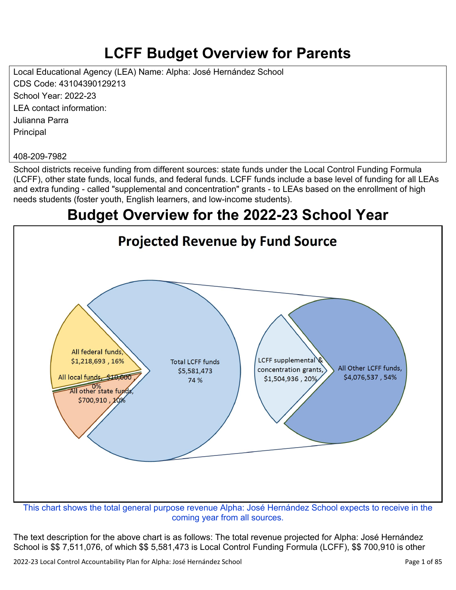# **LCFF Budget Overview for Parents**

Local Educational Agency (LEA) Name: Alpha: José Hernández School CDS Code: 43104390129213 School Year: 2022-23 LEA contact information: Julianna Parra **Principal** 

#### 408-209-7982

School districts receive funding from different sources: state funds under the Local Control Funding Formula (LCFF), other state funds, local funds, and federal funds. LCFF funds include a base level of funding for all LEAs and extra funding - called "supplemental and concentration" grants - to LEAs based on the enrollment of high needs students (foster youth, English learners, and low-income students).

## **Budget Overview for the 2022-23 School Year**



coming year from all sources.

The text description for the above chart is as follows: The total revenue projected for Alpha: José Hernández School is \$\$ 7,511,076, of which \$\$ 5,581,473 is Local Control Funding Formula (LCFF), \$\$ 700,910 is other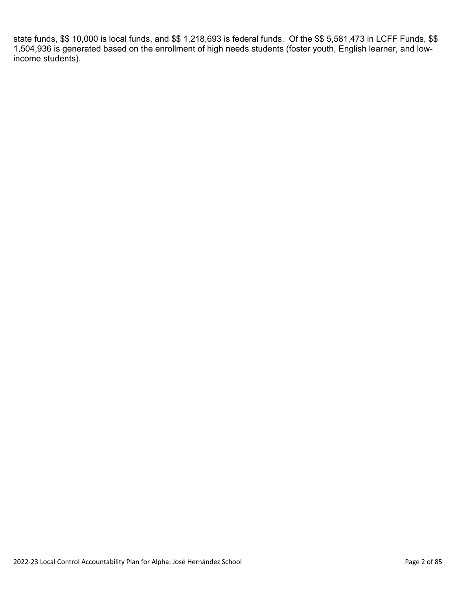state funds, \$\$ 10,000 is local funds, and \$\$ 1,218,693 is federal funds. Of the \$\$ 5,581,473 in LCFF Funds, \$\$ 1,504,936 is generated based on the enrollment of high needs students (foster youth, English learner, and lowincome students).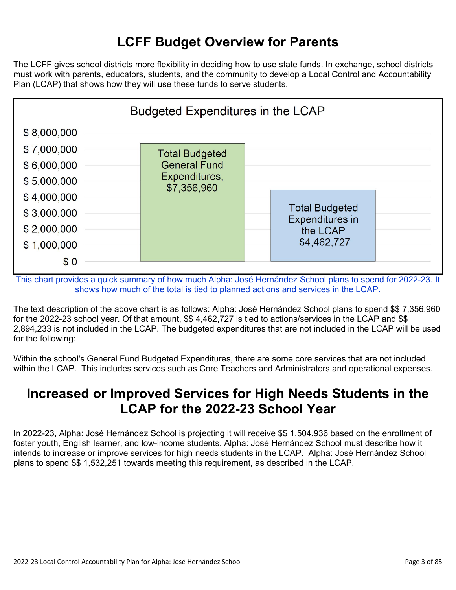## **LCFF Budget Overview for Parents**

The LCFF gives school districts more flexibility in deciding how to use state funds. In exchange, school districts must work with parents, educators, students, and the community to develop a Local Control and Accountability Plan (LCAP) that shows how they will use these funds to serve students.



This chart provides a quick summary of how much Alpha: José Hernández School plans to spend for 2022-23. It shows how much of the total is tied to planned actions and services in the LCAP.

The text description of the above chart is as follows: Alpha: José Hernández School plans to spend \$\$ 7,356,960 for the 2022-23 school year. Of that amount, \$\$ 4,462,727 is tied to actions/services in the LCAP and \$\$ 2,894,233 is not included in the LCAP. The budgeted expenditures that are not included in the LCAP will be used for the following:

Within the school's General Fund Budgeted Expenditures, there are some core services that are not included within the LCAP. This includes services such as Core Teachers and Administrators and operational expenses.

### **Increased or Improved Services for High Needs Students in the LCAP for the 2022-23 School Year**

In 2022-23, Alpha: José Hernández School is projecting it will receive \$\$ 1,504,936 based on the enrollment of foster youth, English learner, and low-income students. Alpha: José Hernández School must describe how it intends to increase or improve services for high needs students in the LCAP. Alpha: José Hernández School plans to spend \$\$ 1,532,251 towards meeting this requirement, as described in the LCAP.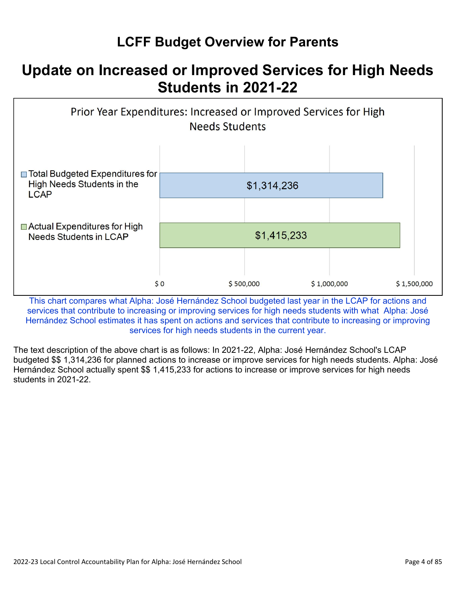## **LCFF Budget Overview for Parents**

## **Update on Increased or Improved Services for High Needs Students in 2021-22**



This chart compares what Alpha: José Hernández School budgeted last year in the LCAP for actions and services that contribute to increasing or improving services for high needs students with what Alpha: José Hernández School estimates it has spent on actions and services that contribute to increasing or improving services for high needs students in the current year.

The text description of the above chart is as follows: In 2021-22, Alpha: José Hernández School's LCAP budgeted \$\$ 1,314,236 for planned actions to increase or improve services for high needs students. Alpha: José Hernández School actually spent \$\$ 1,415,233 for actions to increase or improve services for high needs students in 2021-22.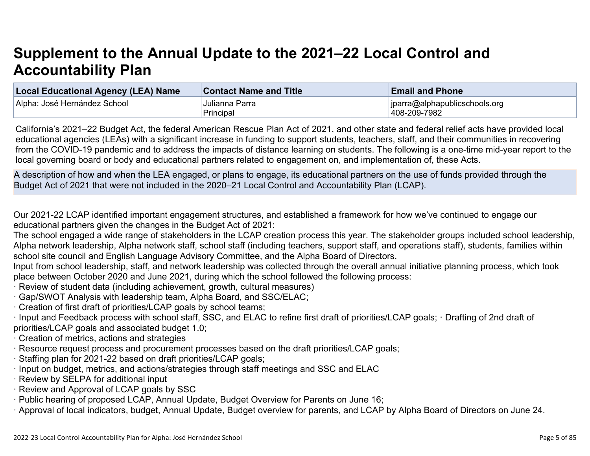# **Supplement to the Annual Update to the 2021–22 Local Control and Accountability Plan**

| <b>Local Educational Agency (LEA) Name</b> | <b>Contact Name and Title</b> | <b>Email and Phone</b>        |
|--------------------------------------------|-------------------------------|-------------------------------|
| Alpha: José Hernández School               | Julianna Parra                | jparra@alphapublicschools.org |
|                                            | Principal                     | 408-209-7982                  |

California's 2021–22 Budget Act, the federal American Rescue Plan Act of 2021, and other state and federal relief acts have provided local educational agencies (LEAs) with a significant increase in funding to support students, teachers, staff, and their communities in recovering from the COVID-19 pandemic and to address the impacts of distance learning on students. The following is a one-time mid-year report to the local governing board or body and educational partners related to engagement on, and implementation of, these Acts.

A description of how and when the LEA engaged, or plans to engage, its educational partners on the use of funds provided through the Budget Act of 2021 that were not included in the 2020–21 Local Control and Accountability Plan (LCAP).

Our 2021-22 LCAP identified important engagement structures, and established a framework for how we've continued to engage our educational partners given the changes in the Budget Act of 2021:

The school engaged a wide range of stakeholders in the LCAP creation process this year. The stakeholder groups included school leadership, Alpha network leadership, Alpha network staff, school staff (including teachers, support staff, and operations staff), students, families within school site council and English Language Advisory Committee, and the Alpha Board of Directors.

Input from school leadership, staff, and network leadership was collected through the overall annual initiative planning process, which took place between October 2020 and June 2021, during which the school followed the following process:

- · Review of student data (including achievement, growth, cultural measures)
- · Gap/SWOT Analysis with leadership team, Alpha Board, and SSC/ELAC;
- · Creation of first draft of priorities/LCAP goals by school teams;

· Input and Feedback process with school staff, SSC, and ELAC to refine first draft of priorities/LCAP goals; · Drafting of 2nd draft of priorities/LCAP goals and associated budget 1.0;

- · Creation of metrics, actions and strategies
- · Resource request process and procurement processes based on the draft priorities/LCAP goals;
- · Staffing plan for 2021-22 based on draft priorities/LCAP goals;
- · Input on budget, metrics, and actions/strategies through staff meetings and SSC and ELAC
- · Review by SELPA for additional input
- · Review and Approval of LCAP goals by SSC
- · Public hearing of proposed LCAP, Annual Update, Budget Overview for Parents on June 16;
- · Approval of local indicators, budget, Annual Update, Budget overview for parents, and LCAP by Alpha Board of Directors on June 24.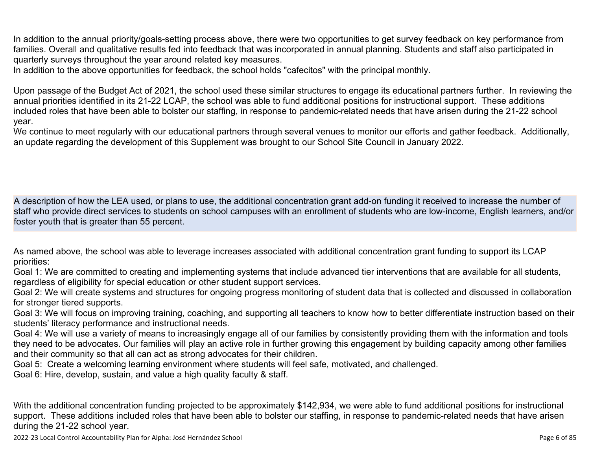In addition to the annual priority/goals-setting process above, there were two opportunities to get survey feedback on key performance from families. Overall and qualitative results fed into feedback that was incorporated in annual planning. Students and staff also participated in quarterly surveys throughout the year around related key measures.

In addition to the above opportunities for feedback, the school holds "cafecitos" with the principal monthly.

Upon passage of the Budget Act of 2021, the school used these similar structures to engage its educational partners further. In reviewing the annual priorities identified in its 21-22 LCAP, the school was able to fund additional positions for instructional support. These additions included roles that have been able to bolster our staffing, in response to pandemic-related needs that have arisen during the 21-22 school year.

We continue to meet regularly with our educational partners through several venues to monitor our efforts and gather feedback. Additionally, an update regarding the development of this Supplement was brought to our School Site Council in January 2022.

A description of how the LEA used, or plans to use, the additional concentration grant add-on funding it received to increase the number of staff who provide direct services to students on school campuses with an enrollment of students who are low-income, English learners, and/or foster youth that is greater than 55 percent.

As named above, the school was able to leverage increases associated with additional concentration grant funding to support its LCAP priorities:

Goal 1: We are committed to creating and implementing systems that include advanced tier interventions that are available for all students, regardless of eligibility for special education or other student support services.

Goal 2: We will create systems and structures for ongoing progress monitoring of student data that is collected and discussed in collaboration for stronger tiered supports.

Goal 3: We will focus on improving training, coaching, and supporting all teachers to know how to better differentiate instruction based on their students' literacy performance and instructional needs.

Goal 4: We will use a variety of means to increasingly engage all of our families by consistently providing them with the information and tools they need to be advocates. Our families will play an active role in further growing this engagement by building capacity among other families and their community so that all can act as strong advocates for their children.

Goal 5: Create a welcoming learning environment where students will feel safe, motivated, and challenged.

Goal 6: Hire, develop, sustain, and value a high quality faculty & staff.

With the additional concentration funding projected to be approximately \$142,934, we were able to fund additional positions for instructional support. These additions included roles that have been able to bolster our staffing, in response to pandemic-related needs that have arisen during the 21-22 school year.

2022-23 Local Control Accountability Plan for Alpha: José Hernández School Page 6 of 85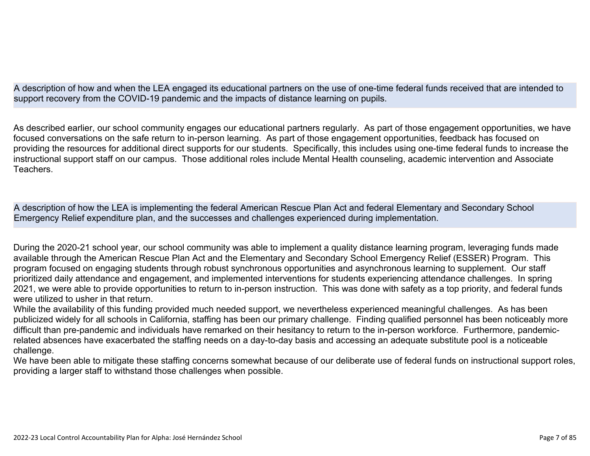A description of how and when the LEA engaged its educational partners on the use of one-time federal funds received that are intended to support recovery from the COVID-19 pandemic and the impacts of distance learning on pupils.

As described earlier, our school community engages our educational partners regularly. As part of those engagement opportunities, we have focused conversations on the safe return to in-person learning. As part of those engagement opportunities, feedback has focused on providing the resources for additional direct supports for our students. Specifically, this includes using one-time federal funds to increase the instructional support staff on our campus. Those additional roles include Mental Health counseling, academic intervention and Associate **Teachers** 

A description of how the LEA is implementing the federal American Rescue Plan Act and federal Elementary and Secondary School Emergency Relief expenditure plan, and the successes and challenges experienced during implementation.

During the 2020-21 school year, our school community was able to implement a quality distance learning program, leveraging funds made available through the American Rescue Plan Act and the Elementary and Secondary School Emergency Relief (ESSER) Program. This program focused on engaging students through robust synchronous opportunities and asynchronous learning to supplement. Our staff prioritized daily attendance and engagement, and implemented interventions for students experiencing attendance challenges. In spring 2021, we were able to provide opportunities to return to in-person instruction. This was done with safety as a top priority, and federal funds were utilized to usher in that return.

While the availability of this funding provided much needed support, we nevertheless experienced meaningful challenges. As has been publicized widely for all schools in California, staffing has been our primary challenge. Finding qualified personnel has been noticeably more difficult than pre-pandemic and individuals have remarked on their hesitancy to return to the in-person workforce. Furthermore, pandemicrelated absences have exacerbated the staffing needs on a day-to-day basis and accessing an adequate substitute pool is a noticeable challenge.

We have been able to mitigate these staffing concerns somewhat because of our deliberate use of federal funds on instructional support roles, providing a larger staff to withstand those challenges when possible.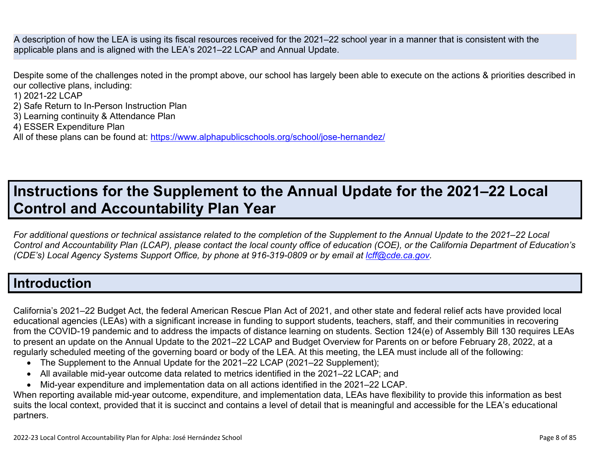A description of how the LEA is using its fiscal resources received for the 2021–22 school year in a manner that is consistent with the applicable plans and is aligned with the LEA's 2021–22 LCAP and Annual Update.

Despite some of the challenges noted in the prompt above, our school has largely been able to execute on the actions & priorities described in our collective plans, including:

1) 2021-22 LCAP

- 2) Safe Return to In-Person Instruction Plan
- 3) Learning continuity & Attendance Plan
- 4) ESSER Expenditure Plan

All of these plans can be found at:<https://www.alphapublicschools.org/school/jose-hernandez/>

# **Instructions for the Supplement to the Annual Update for the 2021–22 Local Control and Accountability Plan Year**

*For additional questions or technical assistance related to the completion of the Supplement to the Annual Update to the 2021–22 Local Control and Accountability Plan (LCAP), please contact the local county office of education (COE), or the California Department of Education's (CDE's) Local Agency Systems Support Office, by phone at 916-319-0809 or by email at <i>[lcff@cde.ca.gov](mailto:lcff@cde.ca.gov)*.

## **Introduction**

California's 2021–22 Budget Act, the federal American Rescue Plan Act of 2021, and other state and federal relief acts have provided local educational agencies (LEAs) with a significant increase in funding to support students, teachers, staff, and their communities in recovering from the COVID-19 pandemic and to address the impacts of distance learning on students. Section 124(e) of Assembly Bill 130 requires LEAs to present an update on the Annual Update to the 2021–22 LCAP and Budget Overview for Parents on or before February 28, 2022, at a regularly scheduled meeting of the governing board or body of the LEA. At this meeting, the LEA must include all of the following:

- The Supplement to the Annual Update for the 2021–22 LCAP (2021–22 Supplement);
- All available mid-year outcome data related to metrics identified in the 2021–22 LCAP; and
- Mid-year expenditure and implementation data on all actions identified in the 2021–22 LCAP.

When reporting available mid-year outcome, expenditure, and implementation data, LEAs have flexibility to provide this information as best suits the local context, provided that it is succinct and contains a level of detail that is meaningful and accessible for the LEA's educational partners.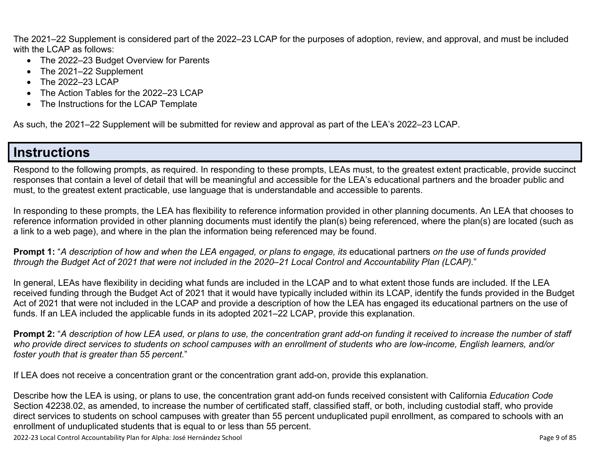The 2021–22 Supplement is considered part of the 2022–23 LCAP for the purposes of adoption, review, and approval, and must be included with the LCAP as follows:

- The 2022–23 Budget Overview for Parents
- The 2021–22 Supplement
- The 2022–23 LCAP
- The Action Tables for the 2022–23 LCAP
- The Instructions for the LCAP Template

As such, the 2021–22 Supplement will be submitted for review and approval as part of the LEA's 2022–23 LCAP.

### **Instructions**

Respond to the following prompts, as required. In responding to these prompts, LEAs must, to the greatest extent practicable, provide succinct responses that contain a level of detail that will be meaningful and accessible for the LEA's educational partners and the broader public and must, to the greatest extent practicable, use language that is understandable and accessible to parents.

In responding to these prompts, the LEA has flexibility to reference information provided in other planning documents. An LEA that chooses to reference information provided in other planning documents must identify the plan(s) being referenced, where the plan(s) are located (such as a link to a web page), and where in the plan the information being referenced may be found.

**Prompt 1:** "*A description of how and when the LEA engaged, or plans to engage, its* educational partners *on the use of funds provided through the Budget Act of 2021 that were not included in the 2020–21 Local Control and Accountability Plan (LCAP).*"

In general, LEAs have flexibility in deciding what funds are included in the LCAP and to what extent those funds are included. If the LEA received funding through the Budget Act of 2021 that it would have typically included within its LCAP, identify the funds provided in the Budget Act of 2021 that were not included in the LCAP and provide a description of how the LEA has engaged its educational partners on the use of funds. If an LEA included the applicable funds in its adopted 2021–22 LCAP, provide this explanation.

**Prompt 2:** "*A description of how LEA used, or plans to use, the concentration grant add-on funding it received to increase the number of staff who provide direct services to students on school campuses with an enrollment of students who are low-income, English learners, and/or foster youth that is greater than 55 percent.*"

If LEA does not receive a concentration grant or the concentration grant add-on, provide this explanation.

Describe how the LEA is using, or plans to use, the concentration grant add-on funds received consistent with California *Education Code* Section 42238.02, as amended, to increase the number of certificated staff, classified staff, or both, including custodial staff, who provide direct services to students on school campuses with greater than 55 percent unduplicated pupil enrollment, as compared to schools with an enrollment of unduplicated students that is equal to or less than 55 percent.

2022-23 Local Control Accountability Plan for Alpha: José Hernández School Page 9 of 85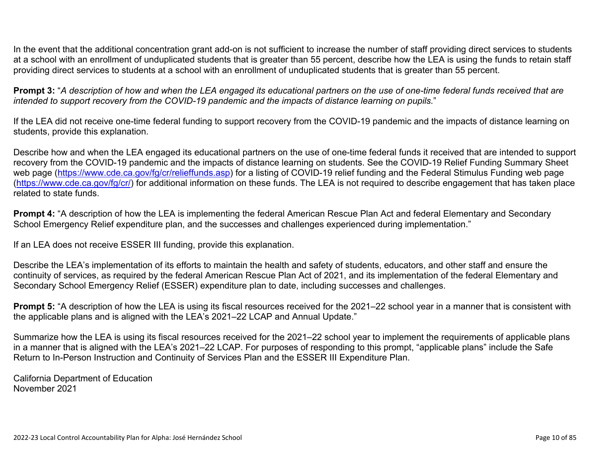In the event that the additional concentration grant add-on is not sufficient to increase the number of staff providing direct services to students at a school with an enrollment of unduplicated students that is greater than 55 percent, describe how the LEA is using the funds to retain staff providing direct services to students at a school with an enrollment of unduplicated students that is greater than 55 percent.

**Prompt 3:** "*A description of how and when the LEA engaged its educational partners on the use of one-time federal funds received that are intended to support recovery from the COVID-19 pandemic and the impacts of distance learning on pupils.*"

If the LEA did not receive one-time federal funding to support recovery from the COVID-19 pandemic and the impacts of distance learning on students, provide this explanation.

Describe how and when the LEA engaged its educational partners on the use of one-time federal funds it received that are intended to support recovery from the COVID-19 pandemic and the impacts of distance learning on students. See the COVID-19 Relief Funding Summary Sheet web page [\(https://www.cde.ca.gov/fg/cr/relieffunds.asp\)](https://www.cde.ca.gov/fg/cr/relieffunds.asp) for a listing of COVID-19 relief funding and the Federal Stimulus Funding web page (<https://www.cde.ca.gov/fg/cr/>) for additional information on these funds. The LEA is not required to describe engagement that has taken place related to state funds.

**Prompt 4:** "A description of how the LEA is implementing the federal American Rescue Plan Act and federal Elementary and Secondary School Emergency Relief expenditure plan, and the successes and challenges experienced during implementation."

If an LEA does not receive ESSER III funding, provide this explanation.

Describe the LEA's implementation of its efforts to maintain the health and safety of students, educators, and other staff and ensure the continuity of services, as required by the federal American Rescue Plan Act of 2021, and its implementation of the federal Elementary and Secondary School Emergency Relief (ESSER) expenditure plan to date, including successes and challenges.

**Prompt 5:** "A description of how the LEA is using its fiscal resources received for the 2021–22 school year in a manner that is consistent with the applicable plans and is aligned with the LEA's 2021–22 LCAP and Annual Update."

Summarize how the LEA is using its fiscal resources received for the 2021–22 school year to implement the requirements of applicable plans in a manner that is aligned with the LEA's 2021–22 LCAP. For purposes of responding to this prompt, "applicable plans" include the Safe Return to In-Person Instruction and Continuity of Services Plan and the ESSER III Expenditure Plan.

California Department of Education November 2021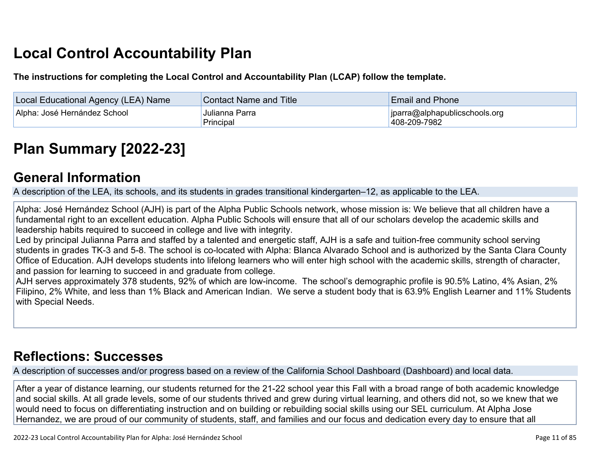# **Local Control Accountability Plan**

**The instructions for completing the Local Control and Accountability Plan (LCAP) follow the template.**

| Local Educational Agency (LEA) Name | <b>Contact Name and Title</b> | <b>Email and Phone</b>                              |  |
|-------------------------------------|-------------------------------|-----------------------------------------------------|--|
| Alpha: José Hernández School        | Julianna Parra<br>Principal   | $ i $ iparra@alphapublicschools.org<br>408-209-7982 |  |

# **[Plan Summary \[2022-23\]](http://www.doc-tracking.com/screenshots/22LCAP/Instructions/22LCAPInstructions.htm#PlanSummary)**

#### **[General Information](http://www.doc-tracking.com/screenshots/22LCAP/Instructions/22LCAPInstructions.htm#generalinformation)**

A description of the LEA, its schools, and its students in grades transitional kindergarten–12, as applicable to the LEA.

Alpha: José Hernández School (AJH) is part of the Alpha Public Schools network, whose mission is: We believe that all children have a fundamental right to an excellent education. Alpha Public Schools will ensure that all of our scholars develop the academic skills and leadership habits required to succeed in college and live with integrity.

Led by principal Julianna Parra and staffed by a talented and energetic staff, AJH is a safe and tuition-free community school serving students in grades TK-3 and 5-8. The school is co-located with Alpha: Blanca Alvarado School and is authorized by the Santa Clara County Office of Education. AJH develops students into lifelong learners who will enter high school with the academic skills, strength of character, and passion for learning to succeed in and graduate from college.

AJH serves approximately 378 students, 92% of which are low-income. The school's demographic profile is 90.5% Latino, 4% Asian, 2% Filipino, 2% White, and less than 1% Black and American Indian. We serve a student body that is 63.9% English Learner and 11% Students with Special Needs.

## **[Reflections: Successes](http://www.doc-tracking.com/screenshots/22LCAP/Instructions/22LCAPInstructions.htm#ReflectionsSuccesses)**

A description of successes and/or progress based on a review of the California School Dashboard (Dashboard) and local data.

After a year of distance learning, our students returned for the 21-22 school year this Fall with a broad range of both academic knowledge and social skills. At all grade levels, some of our students thrived and grew during virtual learning, and others did not, so we knew that we would need to focus on differentiating instruction and on building or rebuilding social skills using our SEL curriculum. At Alpha Jose Hernandez, we are proud of our community of students, staff, and families and our focus and dedication every day to ensure that all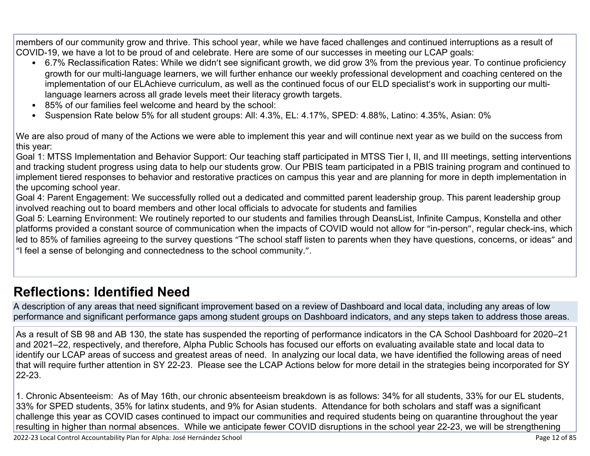members of our community grow and thrive. This school year, while we have faced challenges and continued interruptions as a result of COVID-19, we have a lot to be proud of and celebrate. Here are some of our successes in meeting our LCAP goals:

- 6.7% Reclassification Rates: While we didn't see significant growth, we did grow 3% from the previous year. To continue proficiency growth for our multi-language learners, we will further enhance our weekly professional development and coaching centered on the implementation of our ELAchieve curriculum, as well as the continued focus of our ELD specialist's work in supporting our multilanguage learners across all grade levels meet their literacy growth targets.
- 85% of our families feel welcome and heard by the school:
- Suspension Rate below 5% for all student groups: All: 4.3%, EL: 4.17%, SPED: 4.88%, Latino: 4.35%, Asian: 0%

We are also proud of many of the Actions we were able to implement this year and will continue next year as we build on the success from this year:

Goal 1: MTSS Implementation and Behavior Support: Our teaching staff participated in MTSS Tier I, II, and III meetings, setting interventions and tracking student progress using data to help our students grow. Our PBIS team participated in a PBIS training program and continued to implement tiered responses to behavior and restorative practices on campus this year and are planning for more in depth implementation in the upcoming school year.

Goal 4: Parent Engagement: We successfully rolled out a dedicated and committed parent leadership group. This parent leadership group involved reaching out to board members and other local officials to advocate for students and families

Goal 5: Learning Environment: We routinely reported to our students and families through DeansList, Infinite Campus, Konstella and other platforms provided a constant source of communication when the impacts of COVID would not allow for "in-person", regular check-ins, which led to 85% of families agreeing to the survey questions "The school staff listen to parents when they have questions, concerns, or ideas" and "I feel a sense of belonging and connectedness to the school community.".

### **[Reflections: Identified Need](http://www.doc-tracking.com/screenshots/22LCAP/Instructions/22LCAPInstructions.htm#ReflectionsIdentifiedNeed)**

A description of any areas that need significant improvement based on a review of Dashboard and local data, including any areas of low performance and significant performance gaps among student groups on Dashboard indicators, and any steps taken to address those areas.

As a result of SB 98 and AB 130, the state has suspended the reporting of performance indicators in the CA School Dashboard for 2020–21 and 2021–22, respectively, and therefore, Alpha Public Schools has focused our efforts on evaluating available state and local data to identify our LCAP areas of success and greatest areas of need. In analyzing our local data, we have identified the following areas of need that will require further attention in SY 22-23. Please see the LCAP Actions below for more detail in the strategies being incorporated for SY 22-23.

1. Chronic Absenteeism: As of May 16th, our chronic absenteeism breakdown is as follows: 34% for all students, 33% for our EL students, 33% for SPED students, 35% for latinx students, and 9% for Asian students. Attendance for both scholars and staff was a significant challenge this year as COVID cases continued to impact our communities and required students being on quarantine throughout the year resulting in higher than normal absences. While we anticipate fewer COVID disruptions in the school year 22-23, we will be strengthening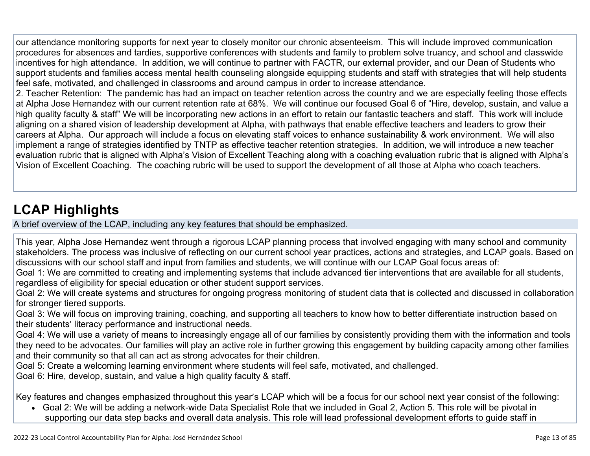our attendance monitoring supports for next year to closely monitor our chronic absenteeism. This will include improved communication procedures for absences and tardies, supportive conferences with students and family to problem solve truancy, and school and classwide incentives for high attendance. In addition, we will continue to partner with FACTR, our external provider, and our Dean of Students who support students and families access mental health counseling alongside equipping students and staff with strategies that will help students feel safe, motivated, and challenged in classrooms and around campus in order to increase attendance.

2. Teacher Retention: The pandemic has had an impact on teacher retention across the country and we are especially feeling those effects at Alpha Jose Hernandez with our current retention rate at 68%. We will continue our focused Goal 6 of "Hire, develop, sustain, and value a high quality faculty & staff" We will be incorporating new actions in an effort to retain our fantastic teachers and staff. This work will include aligning on a shared vision of leadership development at Alpha, with pathways that enable effective teachers and leaders to grow their careers at Alpha. Our approach will include a focus on elevating staff voices to enhance sustainability & work environment. We will also implement a range of strategies identified by TNTP as effective teacher retention strategies. In addition, we will introduce a new teacher evaluation rubric that is aligned with Alpha's Vision of Excellent Teaching along with a coaching evaluation rubric that is aligned with Alpha's Vision of Excellent Coaching. The coaching rubric will be used to support the development of all those at Alpha who coach teachers.

## **[LCAP Highlights](http://www.doc-tracking.com/screenshots/22LCAP/Instructions/22LCAPInstructions.htm#LCAPHighlights)**

A brief overview of the LCAP, including any key features that should be emphasized.

This year, Alpha Jose Hernandez went through a rigorous LCAP planning process that involved engaging with many school and community stakeholders. The process was inclusive of reflecting on our current school year practices, actions and strategies, and LCAP goals. Based on discussions with our school staff and input from families and students, we will continue with our LCAP Goal focus areas of:

Goal 1: We are committed to creating and implementing systems that include advanced tier interventions that are available for all students, regardless of eligibility for special education or other student support services.

Goal 2: We will create systems and structures for ongoing progress monitoring of student data that is collected and discussed in collaboration for stronger tiered supports.

Goal 3: We will focus on improving training, coaching, and supporting all teachers to know how to better differentiate instruction based on their students' literacy performance and instructional needs.

Goal 4: We will use a variety of means to increasingly engage all of our families by consistently providing them with the information and tools they need to be advocates. Our families will play an active role in further growing this engagement by building capacity among other families and their community so that all can act as strong advocates for their children.

Goal 5: Create a welcoming learning environment where students will feel safe, motivated, and challenged.

Goal 6: Hire, develop, sustain, and value a high quality faculty & staff.

Key features and changes emphasized throughout this year's LCAP which will be a focus for our school next year consist of the following:

• Goal 2: We will be adding a network-wide Data Specialist Role that we included in Goal 2, Action 5. This role will be pivotal in supporting our data step backs and overall data analysis. This role will lead professional development efforts to guide staff in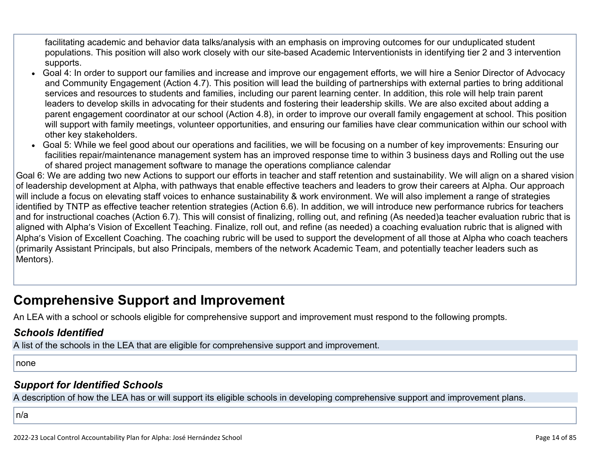facilitating academic and behavior data talks/analysis with an emphasis on improving outcomes for our unduplicated student populations. This position will also work closely with our site-based Academic Interventionists in identifying tier 2 and 3 intervention supports.

- Goal 4: In order to support our families and increase and improve our engagement efforts, we will hire a Senior Director of Advocacy and Community Engagement (Action 4.7). This position will lead the building of partnerships with external parties to bring additional services and resources to students and families, including our parent learning center. In addition, this role will help train parent leaders to develop skills in advocating for their students and fostering their leadership skills. We are also excited about adding a parent engagement coordinator at our school (Action 4.8), in order to improve our overall family engagement at school. This position will support with family meetings, volunteer opportunities, and ensuring our families have clear communication within our school with other key stakeholders.
- Goal 5: While we feel good about our operations and facilities, we will be focusing on a number of key improvements: Ensuring our facilities repair/maintenance management system has an improved response time to within 3 business days and Rolling out the use of shared project management software to manage the operations compliance calendar

Goal 6: We are adding two new Actions to support our efforts in teacher and staff retention and sustainability. We will align on a shared vision of leadership development at Alpha, with pathways that enable effective teachers and leaders to grow their careers at Alpha. Our approach will include a focus on elevating staff voices to enhance sustainability & work environment. We will also implement a range of strategies identified by TNTP as effective teacher retention strategies (Action 6.6). In addition, we will introduce new performance rubrics for teachers and for instructional coaches (Action 6.7). This will consist of finalizing, rolling out, and refining (As needed)a teacher evaluation rubric that is aligned with Alpha's Vision of Excellent Teaching. Finalize, roll out, and refine (as needed) a coaching evaluation rubric that is aligned with Alpha's Vision of Excellent Coaching. The coaching rubric will be used to support the development of all those at Alpha who coach teachers (primarily Assistant Principals, but also Principals, members of the network Academic Team, and potentially teacher leaders such as Mentors).

### **Comprehensive Support and Improvement**

An LEA with a school or schools eligible for comprehensive support and improvement must respond to the following prompts.

#### *[Schools Identified](http://www.doc-tracking.com/screenshots/22LCAP/Instructions/22LCAPInstructions.htm#SchoolsIdentified)*

A list of the schools in the LEA that are eligible for comprehensive support and improvement.

none

#### *[Support for Identified Schools](http://www.doc-tracking.com/screenshots/22LCAP/Instructions/22LCAPInstructions.htm#SupportforIdentifiedSchools)*

A description of how the LEA has or will support its eligible schools in developing comprehensive support and improvement plans.

n/a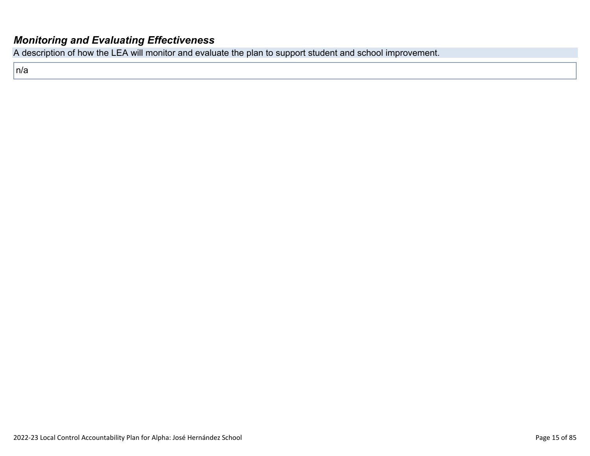#### *[Monitoring and Evaluating Effectiveness](http://www.doc-tracking.com/screenshots/22LCAP/Instructions/22LCAPInstructions.htm#MonitoringandEvaluatingEffectiveness)*

A description of how the LEA will monitor and evaluate the plan to support student and school improvement.

n/a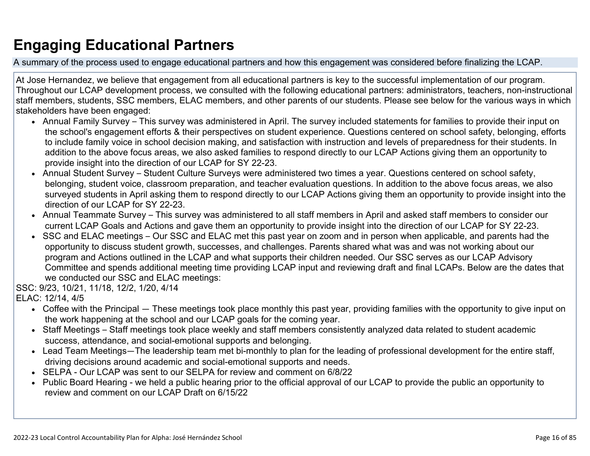## **Engaging Educational Partners**

A summary of the process used to engage educational partners and how this engagement was considered before finalizing the LCAP.

At Jose Hernandez, we believe that engagement from all educational partners is key to the successful implementation of our program. Throughout our LCAP development process, we consulted with the following educational partners: administrators, teachers, non-instructional staff members, students, SSC members, ELAC members, and other parents of our students. Please see below for the various ways in which stakeholders have been engaged:

- Annual Family Survey This survey was administered in April. The survey included statements for families to provide their input on the school's engagement efforts & their perspectives on student experience. Questions centered on school safety, belonging, efforts to include family voice in school decision making, and satisfaction with instruction and levels of preparedness for their students. In addition to the above focus areas, we also asked families to respond directly to our LCAP Actions giving them an opportunity to provide insight into the direction of our LCAP for SY 22-23.
- Annual Student Survey Student Culture Surveys were administered two times a year. Questions centered on school safety, belonging, student voice, classroom preparation, and teacher evaluation questions. In addition to the above focus areas, we also surveyed students in April asking them to respond directly to our LCAP Actions giving them an opportunity to provide insight into the direction of our LCAP for SY 22-23.
- Annual Teammate Survey This survey was administered to all staff members in April and asked staff members to consider our current LCAP Goals and Actions and gave them an opportunity to provide insight into the direction of our LCAP for SY 22-23.
- SSC and ELAC meetings Our SSC and ELAC met this past year on zoom and in person when applicable, and parents had the opportunity to discuss student growth, successes, and challenges. Parents shared what was and was not working about our program and Actions outlined in the LCAP and what supports their children needed. Our SSC serves as our LCAP Advisory Committee and spends additional meeting time providing LCAP input and reviewing draft and final LCAPs. Below are the dates that we conducted our SSC and ELAC meetings:

SSC: 9/23, 10/21, 11/18, 12/2, 1/20, 4/14

ELAC: 12/14, 4/5

- Coffee with the Principal These meetings took place monthly this past year, providing families with the opportunity to give input on the work happening at the school and our LCAP goals for the coming year.
- Staff Meetings Staff meetings took place weekly and staff members consistently analyzed data related to student academic success, attendance, and social-emotional supports and belonging.
- Lead Team Meetings—The leadership team met bi-monthly to plan for the leading of professional development for the entire staff, driving decisions around academic and social-emotional supports and needs.
- SELPA Our LCAP was sent to our SELPA for review and comment on 6/8/22
- Public Board Hearing we held a public hearing prior to the official approval of our LCAP to provide the public an opportunity to review and comment on our LCAP Draft on 6/15/22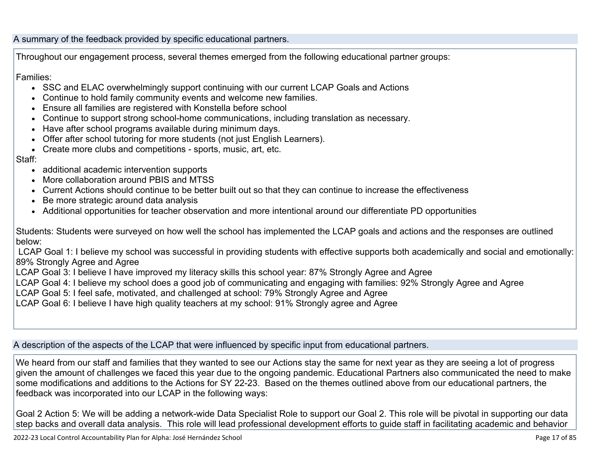#### A summary of the feedback provided by specific educational partners.

Throughout our engagement process, several themes emerged from the following educational partner groups:

#### Families:

- SSC and ELAC overwhelmingly support continuing with our current LCAP Goals and Actions
- Continue to hold family community events and welcome new families.
- Ensure all families are registered with Konstella before school
- Continue to support strong school-home communications, including translation as necessary.
- Have after school programs available during minimum days.
- Offer after school tutoring for more students (not just English Learners).
- Create more clubs and competitions sports, music, art, etc.

#### Staff:

- additional academic intervention supports
- More collaboration around PBIS and MTSS
- Current Actions should continue to be better built out so that they can continue to increase the effectiveness
- Be more strategic around data analysis
- Additional opportunities for teacher observation and more intentional around our differentiate PD opportunities

Students: Students were surveyed on how well the school has implemented the LCAP goals and actions and the responses are outlined below:

 LCAP Goal 1: I believe my school was successful in providing students with effective supports both academically and social and emotionally: 89% Strongly Agree and Agree

LCAP Goal 3: I believe I have improved my literacy skills this school year: 87% Strongly Agree and Agree

LCAP Goal 4: I believe my school does a good job of communicating and engaging with families: 92% Strongly Agree and Agree

LCAP Goal 5: I feel safe, motivated, and challenged at school: 79% Strongly Agree and Agree

LCAP Goal 6: I believe I have high quality teachers at my school: 91% Strongly agree and Agree

A description of the aspects of the LCAP that were influenced by specific input from educational partners.

We heard from our staff and families that they wanted to see our Actions stay the same for next year as they are seeing a lot of progress given the amount of challenges we faced this year due to the ongoing pandemic. Educational Partners also communicated the need to make some modifications and additions to the Actions for SY 22-23. Based on the themes outlined above from our educational partners, the feedback was incorporated into our LCAP in the following ways:

Goal 2 Action 5: We will be adding a network-wide Data Specialist Role to support our Goal 2. This role will be pivotal in supporting our data step backs and overall data analysis. This role will lead professional development efforts to guide staff in facilitating academic and behavior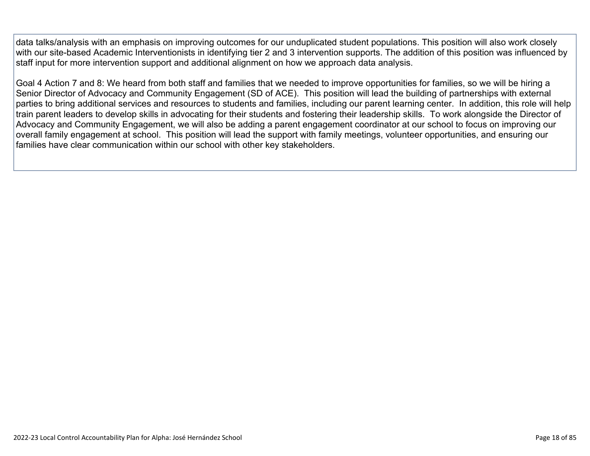data talks/analysis with an emphasis on improving outcomes for our unduplicated student populations. This position will also work closely with our site-based Academic Interventionists in identifying tier 2 and 3 intervention supports. The addition of this position was influenced by staff input for more intervention support and additional alignment on how we approach data analysis.

Goal 4 Action 7 and 8: We heard from both staff and families that we needed to improve opportunities for families, so we will be hiring a Senior Director of Advocacy and Community Engagement (SD of ACE). This position will lead the building of partnerships with external parties to bring additional services and resources to students and families, including our parent learning center. In addition, this role will help train parent leaders to develop skills in advocating for their students and fostering their leadership skills. To work alongside the Director of Advocacy and Community Engagement, we will also be adding a parent engagement coordinator at our school to focus on improving our overall family engagement at school. This position will lead the support with family meetings, volunteer opportunities, and ensuring our families have clear communication within our school with other key stakeholders.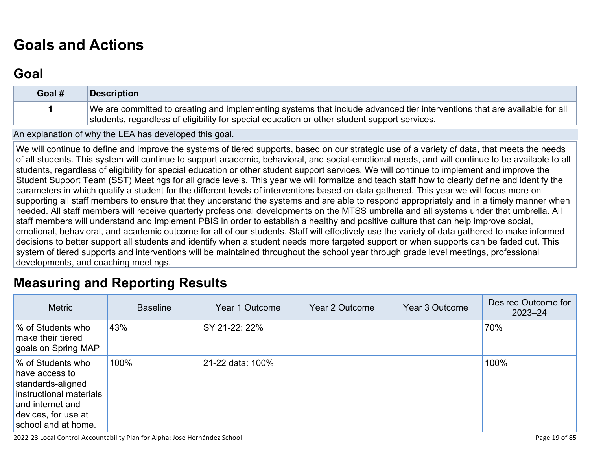# **[Goals and Actions](http://www.doc-tracking.com/screenshots/22LCAP/Instructions/22LCAPInstructions.htm#GoalsandActions)**

## **[Goal](http://www.doc-tracking.com/screenshots/22LCAP/Instructions/22LCAPInstructions.htm#goalDescription)**

| Goal # | <b>Description</b>                                                                                                                                                                                                        |
|--------|---------------------------------------------------------------------------------------------------------------------------------------------------------------------------------------------------------------------------|
|        | We are committed to creating and implementing systems that include advanced tier interventions that are available for all<br>students, regardless of eligibility for special education or other student support services. |

An explanation of why the LEA has developed this goal.

We will continue to define and improve the systems of tiered supports, based on our strategic use of a variety of data, that meets the needs of all students. This system will continue to support academic, behavioral, and social-emotional needs, and will continue to be available to all students, regardless of eligibility for special education or other student support services. We will continue to implement and improve the Student Support Team (SST) Meetings for all grade levels. This year we will formalize and teach staff how to clearly define and identify the parameters in which qualify a student for the different levels of interventions based on data gathered. This year we will focus more on supporting all staff members to ensure that they understand the systems and are able to respond appropriately and in a timely manner when needed. All staff members will receive quarterly professional developments on the MTSS umbrella and all systems under that umbrella. All staff members will understand and implement PBIS in order to establish a healthy and positive culture that can help improve social, emotional, behavioral, and academic outcome for all of our students. Staff will effectively use the variety of data gathered to make informed decisions to better support all students and identify when a student needs more targeted support or when supports can be faded out. This system of tiered supports and interventions will be maintained throughout the school year through grade level meetings, professional developments, and coaching meetings.

## **[Measuring and Reporting Results](http://www.doc-tracking.com/screenshots/22LCAP/Instructions/22LCAPInstructions.htm#MeasuringandReportingResults)**

| <b>Metric</b>                                                                                                                                         | <b>Baseline</b> | Year 1 Outcome   | Year 2 Outcome | Year 3 Outcome | Desired Outcome for<br>$2023 - 24$ |
|-------------------------------------------------------------------------------------------------------------------------------------------------------|-----------------|------------------|----------------|----------------|------------------------------------|
| % of Students who<br>make their tiered<br>goals on Spring MAP                                                                                         | 43%             | SY 21-22: 22%    |                |                | 70%                                |
| % of Students who<br>have access to<br>standards-aligned<br>instructional materials<br>and internet and<br>devices, for use at<br>school and at home. | 100%            | 21-22 data: 100% |                |                | 100%                               |

2022-23 Local Control Accountability Plan for Alpha: José Hernández School Page 19 of 85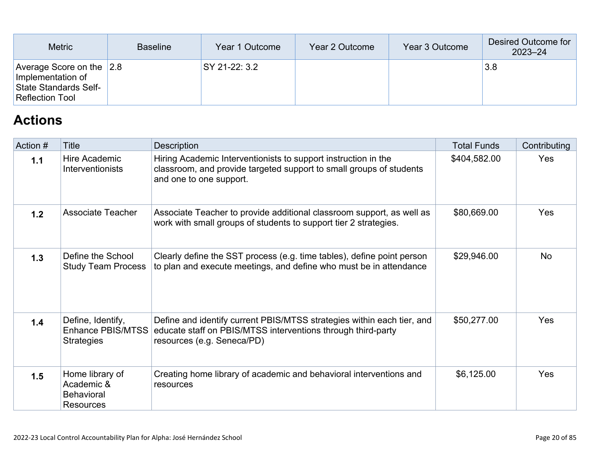| <b>Metric</b>                                                                                        | <b>Baseline</b> | Year 1 Outcome | Year 2 Outcome | Year 3 Outcome | Desired Outcome for<br>$2023 - 24$ |
|------------------------------------------------------------------------------------------------------|-----------------|----------------|----------------|----------------|------------------------------------|
| Average Score on the $ 2.8 $<br>Implementation of<br>State Standards Self-<br><b>Reflection Tool</b> |                 | SY 21-22: 3.2  |                |                | 3.8                                |

## **[Actions](http://www.doc-tracking.com/screenshots/22LCAP/Instructions/22LCAPInstructions.htm#actions)**

| Action # | Title                                                                  | <b>Description</b>                                                                                                                                                   | <b>Total Funds</b> | Contributing |
|----------|------------------------------------------------------------------------|----------------------------------------------------------------------------------------------------------------------------------------------------------------------|--------------------|--------------|
| 1.1      | Hire Academic<br>Interventionists                                      | Hiring Academic Interventionists to support instruction in the<br>classroom, and provide targeted support to small groups of students<br>and one to one support.     | \$404,582.00       | Yes          |
| 1.2      | Associate Teacher                                                      | Associate Teacher to provide additional classroom support, as well as<br>work with small groups of students to support tier 2 strategies.                            | \$80,669.00        | Yes          |
| 1.3      | Define the School<br><b>Study Team Process</b>                         | Clearly define the SST process (e.g. time tables), define point person<br>to plan and execute meetings, and define who must be in attendance                         | \$29,946.00        | <b>No</b>    |
| 1.4      | Define, Identify,<br><b>Enhance PBIS/MTSS</b><br><b>Strategies</b>     | Define and identify current PBIS/MTSS strategies within each tier, and<br>educate staff on PBIS/MTSS interventions through third-party<br>resources (e.g. Seneca/PD) | \$50,277.00        | Yes          |
| 1.5      | Home library of<br>Academic &<br><b>Behavioral</b><br><b>Resources</b> | Creating home library of academic and behavioral interventions and<br>resources                                                                                      | \$6,125.00         | Yes          |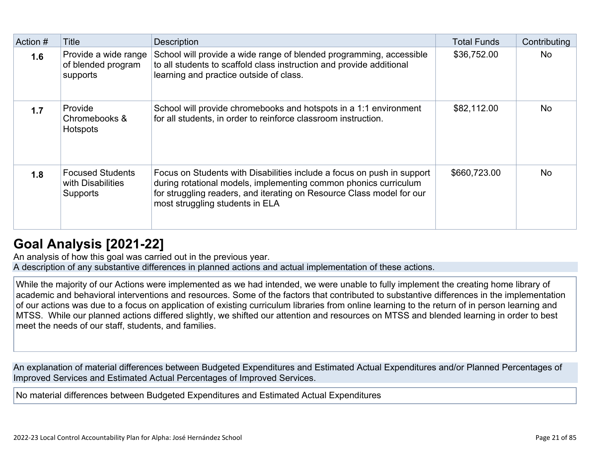| Action # | <b>Title</b>                                                    | <b>Description</b>                                                                                                                                                                                                                                     | <b>Total Funds</b> | Contributing |
|----------|-----------------------------------------------------------------|--------------------------------------------------------------------------------------------------------------------------------------------------------------------------------------------------------------------------------------------------------|--------------------|--------------|
| 1.6      | Provide a wide range<br>of blended program<br>supports          | School will provide a wide range of blended programming, accessible<br>to all students to scaffold class instruction and provide additional<br>learning and practice outside of class.                                                                 | \$36,752.00        | <b>No</b>    |
| 1.7      | Provide<br>Chromebooks &<br>Hotspots                            | School will provide chromebooks and hotspots in a 1:1 environment<br>for all students, in order to reinforce classroom instruction.                                                                                                                    | \$82,112.00        | <b>No</b>    |
| 1.8      | <b>Focused Students</b><br>with Disabilities<br><b>Supports</b> | Focus on Students with Disabilities include a focus on push in support<br>during rotational models, implementing common phonics curriculum<br>for struggling readers, and iterating on Resource Class model for our<br>most struggling students in ELA | \$660,723.00       | <b>No</b>    |

## **[Goal Analysis \[2021-22\]](http://www.doc-tracking.com/screenshots/22LCAP/Instructions/22LCAPInstructions.htm#GoalAnalysis)**

An analysis of how this goal was carried out in the previous year. A description of any substantive differences in planned actions and actual implementation of these actions.

While the majority of our Actions were implemented as we had intended, we were unable to fully implement the creating home library of academic and behavioral interventions and resources. Some of the factors that contributed to substantive differences in the implementation of our actions was due to a focus on application of existing curriculum libraries from online learning to the return of in person learning and MTSS. While our planned actions differed slightly, we shifted our attention and resources on MTSS and blended learning in order to best meet the needs of our staff, students, and families.

An explanation of material differences between Budgeted Expenditures and Estimated Actual Expenditures and/or Planned Percentages of Improved Services and Estimated Actual Percentages of Improved Services.

No material differences between Budgeted Expenditures and Estimated Actual Expenditures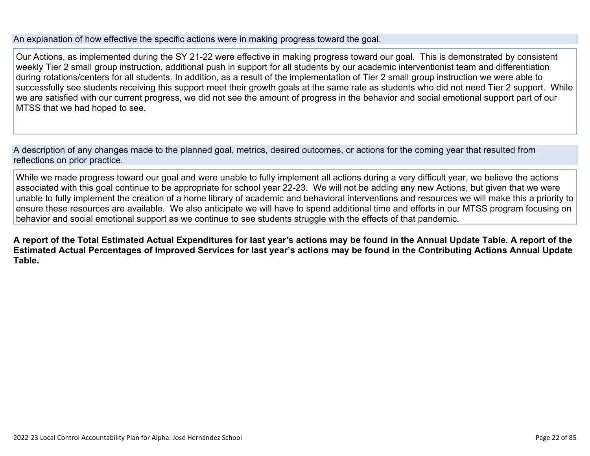#### An explanation of how effective the specific actions were in making progress toward the goal.

Our Actions, as implemented during the SY 21-22 were effective in making progress toward our goal. This is demonstrated by consistent weekly Tier 2 small group instruction, additional push in support for all students by our academic interventionist team and differentiation during rotations/centers for all students. In addition, as a result of the implementation of Tier 2 small group instruction we were able to successfully see students receiving this support meet their growth goals at the same rate as students who did not need Tier 2 support. While we are satisfied with our current progress, we did not see the amount of progress in the behavior and social emotional support part of our MTSS that we had hoped to see.

A description of any changes made to the planned goal, metrics, desired outcomes, or actions for the coming year that resulted from reflections on prior practice.

While we made progress toward our goal and were unable to fully implement all actions during a very difficult year, we believe the actions associated with this goal continue to be appropriate for school year 22-23. We will not be adding any new Actions, but given that we were unable to fully implement the creation of a home library of academic and behavioral interventions and resources we will make this a priority to ensure these resources are available. We also anticipate we will have to spend additional time and efforts in our MTSS program focusing on behavior and social emotional support as we continue to see students struggle with the effects of that pandemic.

**A report of the Total Estimated Actual Expenditures for last year's actions may be found in the Annual Update Table. A report of the Estimated Actual Percentages of Improved Services for last year's actions may be found in the Contributing Actions Annual Update Table.**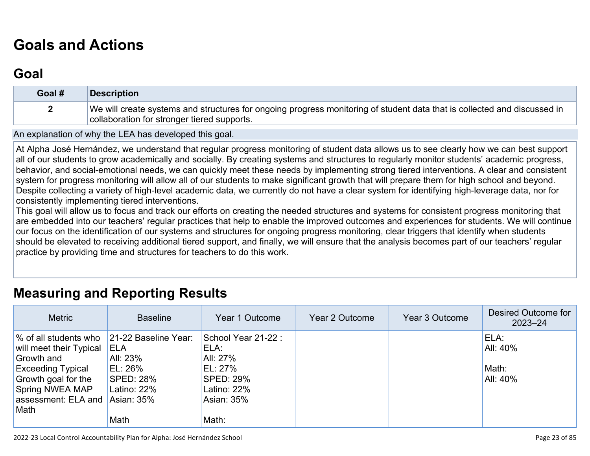## **[Goals and Actions](http://www.doc-tracking.com/screenshots/22LCAP/Instructions/22LCAPInstructions.htm#GoalsandActions)**

## **[Goal](http://www.doc-tracking.com/screenshots/22LCAP/Instructions/22LCAPInstructions.htm#goalDescription)**

| Goal # | Description                                                                                                                                                             |
|--------|-------------------------------------------------------------------------------------------------------------------------------------------------------------------------|
|        | We will create systems and structures for ongoing progress monitoring of student data that is collected and discussed in<br>collaboration for stronger tiered supports. |

An explanation of why the LEA has developed this goal.

At Alpha José Hernández, we understand that regular progress monitoring of student data allows us to see clearly how we can best support all of our students to grow academically and socially. By creating systems and structures to regularly monitor students' academic progress, behavior, and social-emotional needs, we can quickly meet these needs by implementing strong tiered interventions. A clear and consistent system for progress monitoring will allow all of our students to make significant growth that will prepare them for high school and beyond. Despite collecting a variety of high-level academic data, we currently do not have a clear system for identifying high-leverage data, nor for consistently implementing tiered interventions.

This goal will allow us to focus and track our efforts on creating the needed structures and systems for consistent progress monitoring that are embedded into our teachers' regular practices that help to enable the improved outcomes and experiences for students. We will continue our focus on the identification of our systems and structures for ongoing progress monitoring, clear triggers that identify when students should be elevated to receiving additional tiered support, and finally, we will ensure that the analysis becomes part of our teachers' regular practice by providing time and structures for teachers to do this work.

#### **[Measuring and Reporting Results](http://www.doc-tracking.com/screenshots/22LCAP/Instructions/22LCAPInstructions.htm#MeasuringandReportingResults)**

| <b>Metric</b>                                                                                                                                                              | <b>Baseline</b>                                                                                      | Year 1 Outcome                                                                                                | Year 2 Outcome | Year 3 Outcome | Desired Outcome for<br>$2023 - 24$    |
|----------------------------------------------------------------------------------------------------------------------------------------------------------------------------|------------------------------------------------------------------------------------------------------|---------------------------------------------------------------------------------------------------------------|----------------|----------------|---------------------------------------|
| % of all students who<br>will meet their Typical<br>Growth and<br><b>Exceeding Typical</b><br>Growth goal for the<br><b>Spring NWEA MAP</b><br>assessment: ELA and<br>Math | 21-22 Baseline Year:<br>ELA<br>All: 23%<br>EL: 26%<br>SPED: 28%<br>Latino: 22%<br>Asian: 35%<br>Math | School Year 21-22:<br>ELA:<br>All: 27%<br>EL: 27%<br><b>SPED: 29%</b><br>Latino: $22%$<br>Asian: 35%<br>Math: |                |                | ELA:<br>All: 40%<br>Math:<br>All: 40% |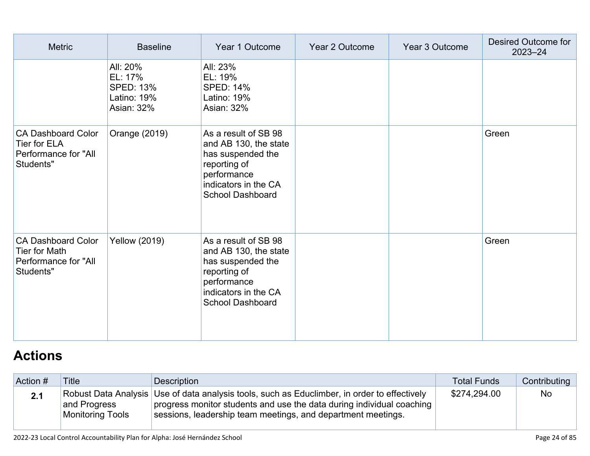| <b>Metric</b>                                                                         | <b>Baseline</b>                                                      | Year 1 Outcome                                                                                                                                       | Year 2 Outcome | Year 3 Outcome | Desired Outcome for<br>$2023 - 24$ |
|---------------------------------------------------------------------------------------|----------------------------------------------------------------------|------------------------------------------------------------------------------------------------------------------------------------------------------|----------------|----------------|------------------------------------|
|                                                                                       | All: 20%<br>EL: 17%<br><b>SPED: 13%</b><br>Latino: 19%<br>Asian: 32% | All: 23%<br>EL: 19%<br><b>SPED: 14%</b><br>Latino: 19%<br>Asian: 32%                                                                                 |                |                |                                    |
| <b>CA Dashboard Color</b><br><b>Tier for ELA</b><br>Performance for "All<br>Students" | Orange (2019)                                                        | As a result of SB 98<br>and AB 130, the state<br>has suspended the<br>reporting of<br>performance<br>indicators in the CA<br><b>School Dashboard</b> |                |                | Green                              |
| <b>CA Dashboard Color</b><br>Tier for Math<br>Performance for "All<br>Students"       | <b>Yellow (2019)</b>                                                 | As a result of SB 98<br>and AB 130, the state<br>has suspended the<br>reporting of<br>performance<br>indicators in the CA<br><b>School Dashboard</b> |                |                | Green                              |

# **[Actions](http://www.doc-tracking.com/screenshots/22LCAP/Instructions/22LCAPInstructions.htm#actions)**

| Action # | <b>Title</b>                            | Description                                                                                                                                                                                                                           | <b>Total Funds</b> | Contributing |
|----------|-----------------------------------------|---------------------------------------------------------------------------------------------------------------------------------------------------------------------------------------------------------------------------------------|--------------------|--------------|
| 2.1      | and Progress<br><b>Monitoring Tools</b> | Robust Data Analysis Use of data analysis tools, such as Educlimber, in order to effectively<br>progress monitor students and use the data during individual coaching<br>sessions, leadership team meetings, and department meetings. | \$274,294.00       | <b>No</b>    |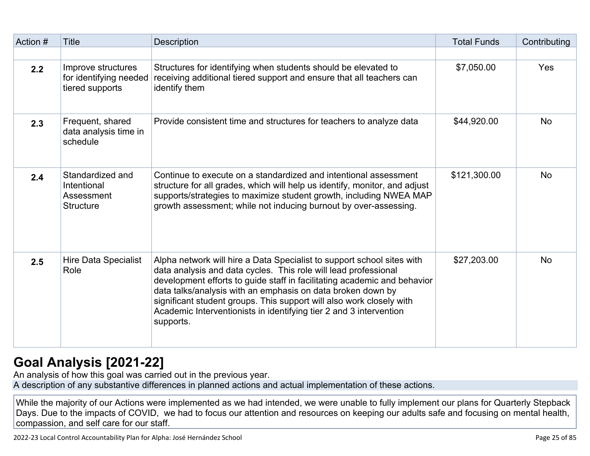| Action # | <b>Title</b>                                                      | Description                                                                                                                                                                                                                                                                                                                                                                                                                                     | <b>Total Funds</b> | Contributing |
|----------|-------------------------------------------------------------------|-------------------------------------------------------------------------------------------------------------------------------------------------------------------------------------------------------------------------------------------------------------------------------------------------------------------------------------------------------------------------------------------------------------------------------------------------|--------------------|--------------|
|          |                                                                   |                                                                                                                                                                                                                                                                                                                                                                                                                                                 |                    |              |
| 2.2      | Improve structures<br>for identifying needed<br>tiered supports   | Structures for identifying when students should be elevated to<br>receiving additional tiered support and ensure that all teachers can<br>identify them                                                                                                                                                                                                                                                                                         | \$7,050.00         | Yes          |
| 2.3      | Frequent, shared<br>data analysis time in<br>schedule             | Provide consistent time and structures for teachers to analyze data                                                                                                                                                                                                                                                                                                                                                                             | \$44,920.00        | <b>No</b>    |
| 2.4      | Standardized and<br>Intentional<br>Assessment<br><b>Structure</b> | Continue to execute on a standardized and intentional assessment<br>structure for all grades, which will help us identify, monitor, and adjust<br>supports/strategies to maximize student growth, including NWEA MAP<br>growth assessment; while not inducing burnout by over-assessing.                                                                                                                                                        | \$121,300.00       | <b>No</b>    |
| 2.5      | <b>Hire Data Specialist</b><br>Role                               | Alpha network will hire a Data Specialist to support school sites with<br>data analysis and data cycles. This role will lead professional<br>development efforts to guide staff in facilitating academic and behavior<br>data talks/analysis with an emphasis on data broken down by<br>significant student groups. This support will also work closely with<br>Academic Interventionists in identifying tier 2 and 3 intervention<br>supports. | \$27,203.00        | <b>No</b>    |

## **[Goal Analysis \[2021-22\]](http://www.doc-tracking.com/screenshots/22LCAP/Instructions/22LCAPInstructions.htm#GoalAnalysis)**

An analysis of how this goal was carried out in the previous year.

A description of any substantive differences in planned actions and actual implementation of these actions.

While the majority of our Actions were implemented as we had intended, we were unable to fully implement our plans for Quarterly Stepback Days. Due to the impacts of COVID, we had to focus our attention and resources on keeping our adults safe and focusing on mental health, compassion, and self care for our staff.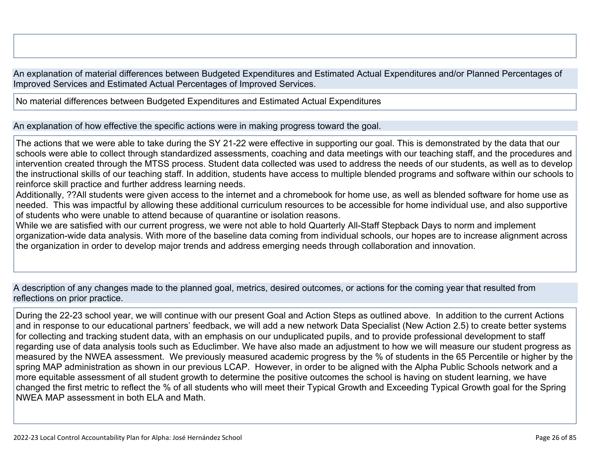An explanation of material differences between Budgeted Expenditures and Estimated Actual Expenditures and/or Planned Percentages of Improved Services and Estimated Actual Percentages of Improved Services.

No material differences between Budgeted Expenditures and Estimated Actual Expenditures

An explanation of how effective the specific actions were in making progress toward the goal.

The actions that we were able to take during the SY 21-22 were effective in supporting our goal. This is demonstrated by the data that our schools were able to collect through standardized assessments, coaching and data meetings with our teaching staff, and the procedures and intervention created through the MTSS process. Student data collected was used to address the needs of our students, as well as to develop the instructional skills of our teaching staff. In addition, students have access to multiple blended programs and software within our schools to reinforce skill practice and further address learning needs.

Additionally, ??All students were given access to the internet and a chromebook for home use, as well as blended software for home use as needed. This was impactful by allowing these additional curriculum resources to be accessible for home individual use, and also supportive of students who were unable to attend because of quarantine or isolation reasons.

While we are satisfied with our current progress, we were not able to hold Quarterly All-Staff Stepback Days to norm and implement organization-wide data analysis. With more of the baseline data coming from individual schools, our hopes are to increase alignment across the organization in order to develop major trends and address emerging needs through collaboration and innovation.

A description of any changes made to the planned goal, metrics, desired outcomes, or actions for the coming year that resulted from reflections on prior practice.

During the 22-23 school year, we will continue with our present Goal and Action Steps as outlined above. In addition to the current Actions and in response to our educational partners' feedback, we will add a new network Data Specialist (New Action 2.5) to create better systems for collecting and tracking student data, with an emphasis on our unduplicated pupils, and to provide professional development to staff regarding use of data analysis tools such as Educlimber. We have also made an adjustment to how we will measure our student progress as measured by the NWEA assessment. We previously measured academic progress by the % of students in the 65 Percentile or higher by the spring MAP administration as shown in our previous LCAP. However, in order to be aligned with the Alpha Public Schools network and a more equitable assessment of all student growth to determine the positive outcomes the school is having on student learning, we have changed the first metric to reflect the % of all students who will meet their Typical Growth and Exceeding Typical Growth goal for the Spring NWEA MAP assessment in both ELA and Math.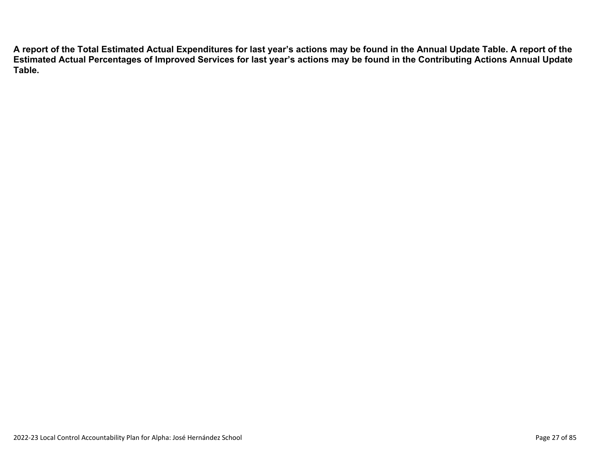**A report of the Total Estimated Actual Expenditures for last year's actions may be found in the Annual Update Table. A report of the Estimated Actual Percentages of Improved Services for last year's actions may be found in the Contributing Actions Annual Update Table.**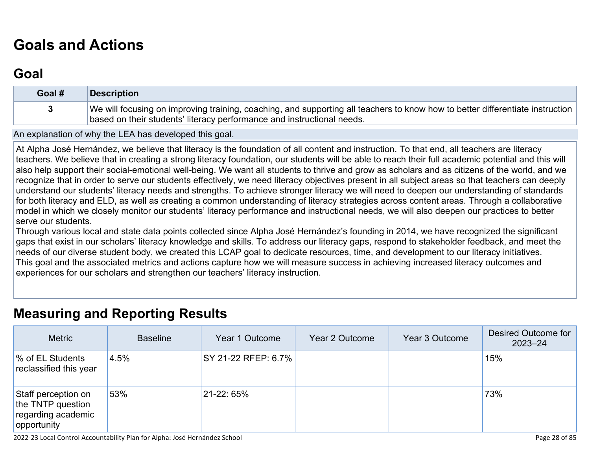# **[Goals and Actions](http://www.doc-tracking.com/screenshots/22LCAP/Instructions/22LCAPInstructions.htm#GoalsandActions)**

## **[Goal](http://www.doc-tracking.com/screenshots/22LCAP/Instructions/22LCAPInstructions.htm#goalDescription)**

| Goal # | Description                                                                                                                                                                                             |
|--------|---------------------------------------------------------------------------------------------------------------------------------------------------------------------------------------------------------|
|        | We will focusing on improving training, coaching, and supporting all teachers to know how to better differentiate instruction<br>based on their students' literacy performance and instructional needs. |

An explanation of why the LEA has developed this goal.

At Alpha José Hernández, we believe that literacy is the foundation of all content and instruction. To that end, all teachers are literacy teachers. We believe that in creating a strong literacy foundation, our students will be able to reach their full academic potential and this will also help support their social-emotional well-being. We want all students to thrive and grow as scholars and as citizens of the world, and we recognize that in order to serve our students effectively, we need literacy objectives present in all subject areas so that teachers can deeply understand our students' literacy needs and strengths. To achieve stronger literacy we will need to deepen our understanding of standards for both literacy and ELD, as well as creating a common understanding of literacy strategies across content areas. Through a collaborative model in which we closely monitor our students' literacy performance and instructional needs, we will also deepen our practices to better serve our students.

Through various local and state data points collected since Alpha José Hernández's founding in 2014, we have recognized the significant gaps that exist in our scholars' literacy knowledge and skills. To address our literacy gaps, respond to stakeholder feedback, and meet the needs of our diverse student body, we created this LCAP goal to dedicate resources, time, and development to our literacy initiatives. This goal and the associated metrics and actions capture how we will measure success in achieving increased literacy outcomes and experiences for our scholars and strengthen our teachers' literacy instruction.

#### **[Measuring and Reporting Results](http://www.doc-tracking.com/screenshots/22LCAP/Instructions/22LCAPInstructions.htm#MeasuringandReportingResults)**

| <b>Metric</b>                                                                 | <b>Baseline</b> | Year 1 Outcome      | Year 2 Outcome | Year 3 Outcome | Desired Outcome for<br>$2023 - 24$ |
|-------------------------------------------------------------------------------|-----------------|---------------------|----------------|----------------|------------------------------------|
| % of EL Students<br>reclassified this year                                    | 4.5%            | SY 21-22 RFEP: 6.7% |                |                | 15%                                |
| Staff perception on<br>the TNTP question<br>regarding academic<br>opportunity | 53%             | 21-22: 65%          |                |                | 73%                                |

2022-23 Local Control Accountability Plan for Alpha: José Hernández School Page 28 of 85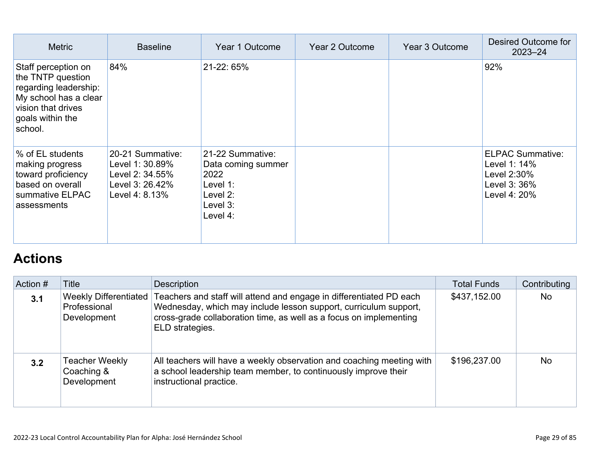| <b>Metric</b>                                                                                                                                   | <b>Baseline</b>                                                                             | Year 1 Outcome                                                                                 | Year 2 Outcome | Year 3 Outcome | Desired Outcome for<br>$2023 - 24$                                                     |
|-------------------------------------------------------------------------------------------------------------------------------------------------|---------------------------------------------------------------------------------------------|------------------------------------------------------------------------------------------------|----------------|----------------|----------------------------------------------------------------------------------------|
| Staff perception on<br>the TNTP question<br>regarding leadership:<br>My school has a clear<br>vision that drives<br>goals within the<br>school. | 84%                                                                                         | 21-22, 65%                                                                                     |                |                | 92%                                                                                    |
| % of EL students<br>making progress<br>toward proficiency<br>based on overall<br>summative ELPAC<br>assessments                                 | 20-21 Summative:<br>Level 1: 30.89%<br>Level 2: 34.55%<br>Level 3: 26.42%<br>Level 4: 8.13% | 21-22 Summative:<br>Data coming summer<br>2022<br>Level 1:<br>Level 2:<br>Level 3:<br>Level 4: |                |                | <b>ELPAC Summative:</b><br>Level 1: 14%<br>Level 2:30%<br>Level 3: 36%<br>Level 4: 20% |

## **[Actions](http://www.doc-tracking.com/screenshots/22LCAP/Instructions/22LCAPInstructions.htm#actions)**

| Action # | Title                                                       | Description                                                                                                                                                                                                                      | <b>Total Funds</b> | Contributing |
|----------|-------------------------------------------------------------|----------------------------------------------------------------------------------------------------------------------------------------------------------------------------------------------------------------------------------|--------------------|--------------|
| 3.1      | <b>Weekly Differentiated</b><br>Professional<br>Development | Teachers and staff will attend and engage in differentiated PD each<br>Wednesday, which may include lesson support, curriculum support,<br>cross-grade collaboration time, as well as a focus on implementing<br>ELD strategies. | \$437,152.00       | <b>No</b>    |
| 3.2      | <b>Teacher Weekly</b><br>Coaching &<br>Development          | All teachers will have a weekly observation and coaching meeting with<br>a school leadership team member, to continuously improve their<br>instructional practice.                                                               | \$196,237.00       | <b>No</b>    |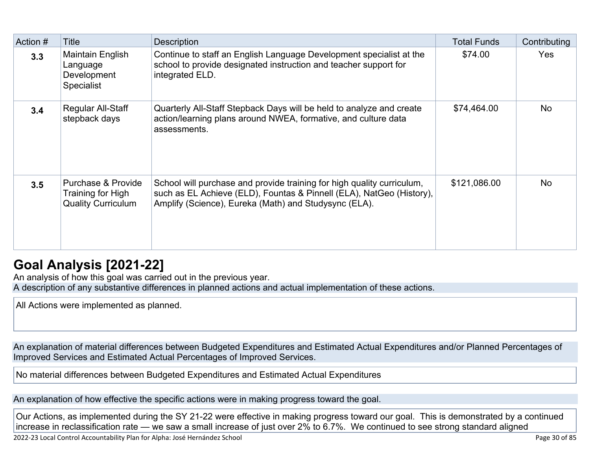| Action # | Title                                                                | <b>Description</b>                                                                                                                                                                                      | <b>Total Funds</b> | Contributing |
|----------|----------------------------------------------------------------------|---------------------------------------------------------------------------------------------------------------------------------------------------------------------------------------------------------|--------------------|--------------|
| 3.3      | Maintain English<br>Language<br>Development<br><b>Specialist</b>     | Continue to staff an English Language Development specialist at the<br>school to provide designated instruction and teacher support for<br>integrated ELD.                                              | \$74.00            | <b>Yes</b>   |
| 3.4      | Regular All-Staff<br>stepback days                                   | Quarterly All-Staff Stepback Days will be held to analyze and create<br>action/learning plans around NWEA, formative, and culture data<br>assessments.                                                  | \$74,464.00        | <b>No</b>    |
| 3.5      | Purchase & Provide<br>Training for High<br><b>Quality Curriculum</b> | School will purchase and provide training for high quality curriculum,<br>such as EL Achieve (ELD), Fountas & Pinnell (ELA), NatGeo (History),<br>Amplify (Science), Eureka (Math) and Studysync (ELA). | \$121,086.00       | <b>No</b>    |

## **[Goal Analysis \[2021-22\]](http://www.doc-tracking.com/screenshots/22LCAP/Instructions/22LCAPInstructions.htm#GoalAnalysis)**

An analysis of how this goal was carried out in the previous year. A description of any substantive differences in planned actions and actual implementation of these actions.

All Actions were implemented as planned.

An explanation of material differences between Budgeted Expenditures and Estimated Actual Expenditures and/or Planned Percentages of Improved Services and Estimated Actual Percentages of Improved Services.

No material differences between Budgeted Expenditures and Estimated Actual Expenditures

An explanation of how effective the specific actions were in making progress toward the goal.

Our Actions, as implemented during the SY 21-22 were effective in making progress toward our goal. This is demonstrated by a continued increase in reclassification rate — we saw a small increase of just over 2% to 6.7%. We continued to see strong standard aligned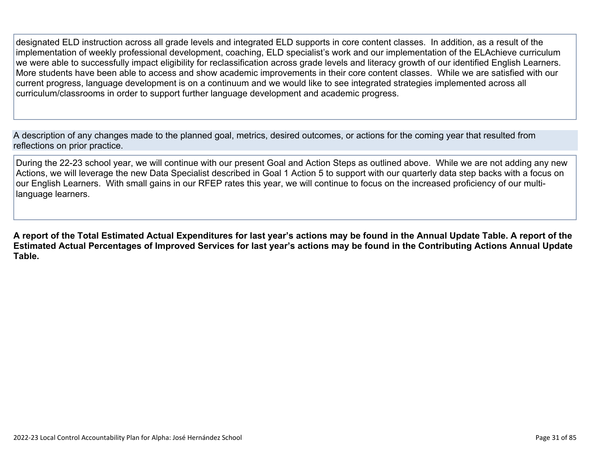designated ELD instruction across all grade levels and integrated ELD supports in core content classes. In addition, as a result of the implementation of weekly professional development, coaching, ELD specialist's work and our implementation of the ELAchieve curriculum we were able to successfully impact eligibility for reclassification across grade levels and literacy growth of our identified English Learners. More students have been able to access and show academic improvements in their core content classes. While we are satisfied with our current progress, language development is on a continuum and we would like to see integrated strategies implemented across all curriculum/classrooms in order to support further language development and academic progress.

A description of any changes made to the planned goal, metrics, desired outcomes, or actions for the coming year that resulted from reflections on prior practice.

During the 22-23 school year, we will continue with our present Goal and Action Steps as outlined above. While we are not adding any new Actions, we will leverage the new Data Specialist described in Goal 1 Action 5 to support with our quarterly data step backs with a focus on our English Learners. With small gains in our RFEP rates this year, we will continue to focus on the increased proficiency of our multilanguage learners.

**A report of the Total Estimated Actual Expenditures for last year's actions may be found in the Annual Update Table. A report of the Estimated Actual Percentages of Improved Services for last year's actions may be found in the Contributing Actions Annual Update Table.**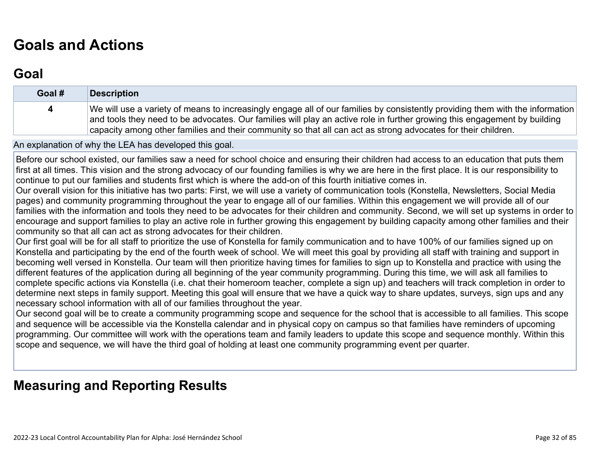## **[Goals and Actions](http://www.doc-tracking.com/screenshots/22LCAP/Instructions/22LCAPInstructions.htm#GoalsandActions)**

## **[Goal](http://www.doc-tracking.com/screenshots/22LCAP/Instructions/22LCAPInstructions.htm#goalDescription)**

| Goal # | Description                                                                                                                                                                                                                                                                                                                                                                 |
|--------|-----------------------------------------------------------------------------------------------------------------------------------------------------------------------------------------------------------------------------------------------------------------------------------------------------------------------------------------------------------------------------|
| 4      | We will use a variety of means to increasingly engage all of our families by consistently providing them with the information<br>and tools they need to be advocates. Our families will play an active role in further growing this engagement by building<br>capacity among other families and their community so that all can act as strong advocates for their children. |

An explanation of why the LEA has developed this goal.

Before our school existed, our families saw a need for school choice and ensuring their children had access to an education that puts them first at all times. This vision and the strong advocacy of our founding families is why we are here in the first place. It is our responsibility to continue to put our families and students first which is where the add-on of this fourth initiative comes in.

Our overall vision for this initiative has two parts: First, we will use a variety of communication tools (Konstella, Newsletters, Social Media pages) and community programming throughout the year to engage all of our families. Within this engagement we will provide all of our families with the information and tools they need to be advocates for their children and community. Second, we will set up systems in order to encourage and support families to play an active role in further growing this engagement by building capacity among other families and their community so that all can act as strong advocates for their children.

Our first goal will be for all staff to prioritize the use of Konstella for family communication and to have 100% of our families signed up on Konstella and participating by the end of the fourth week of school. We will meet this goal by providing all staff with training and support in becoming well versed in Konstella. Our team will then prioritize having times for families to sign up to Konstella and practice with using the different features of the application during all beginning of the year community programming. During this time, we will ask all families to complete specific actions via Konstella (i.e. chat their homeroom teacher, complete a sign up) and teachers will track completion in order to determine next steps in family support. Meeting this goal will ensure that we have a quick way to share updates, surveys, sign ups and any necessary school information with all of our families throughout the year.

Our second goal will be to create a community programming scope and sequence for the school that is accessible to all families. This scope and sequence will be accessible via the Konstella calendar and in physical copy on campus so that families have reminders of upcoming programming. Our committee will work with the operations team and family leaders to update this scope and sequence monthly. Within this scope and sequence, we will have the third goal of holding at least one community programming event per quarter.

## **[Measuring and Reporting Results](http://www.doc-tracking.com/screenshots/22LCAP/Instructions/22LCAPInstructions.htm#MeasuringandReportingResults)**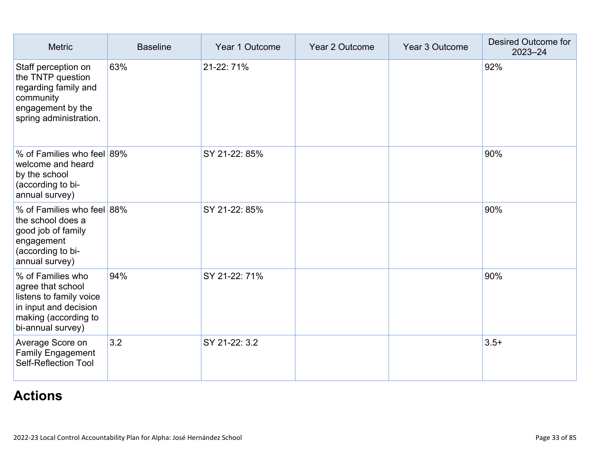| <b>Metric</b>                                                                                                                           | <b>Baseline</b> | Year 1 Outcome | Year 2 Outcome | Year 3 Outcome | Desired Outcome for<br>$2023 - 24$ |
|-----------------------------------------------------------------------------------------------------------------------------------------|-----------------|----------------|----------------|----------------|------------------------------------|
| Staff perception on<br>the TNTP question<br>regarding family and<br>community<br>engagement by the<br>spring administration.            | 63%             | 21-22: 71%     |                |                | 92%                                |
| % of Families who feel 89%<br>welcome and heard<br>by the school<br>(according to bi-<br>annual survey)                                 |                 | SY 21-22: 85%  |                |                | 90%                                |
| % of Families who feel 88%<br>the school does a<br>good job of family<br>engagement<br>(according to bi-<br>annual survey)              |                 | SY 21-22: 85%  |                |                | 90%                                |
| % of Families who<br>agree that school<br>listens to family voice<br>in input and decision<br>making (according to<br>bi-annual survey) | 94%             | SY 21-22: 71%  |                |                | 90%                                |
| Average Score on<br><b>Family Engagement</b><br><b>Self-Reflection Tool</b>                                                             | 3.2             | SY 21-22: 3.2  |                |                | $3.5+$                             |

## **[Actions](http://www.doc-tracking.com/screenshots/22LCAP/Instructions/22LCAPInstructions.htm#actions)**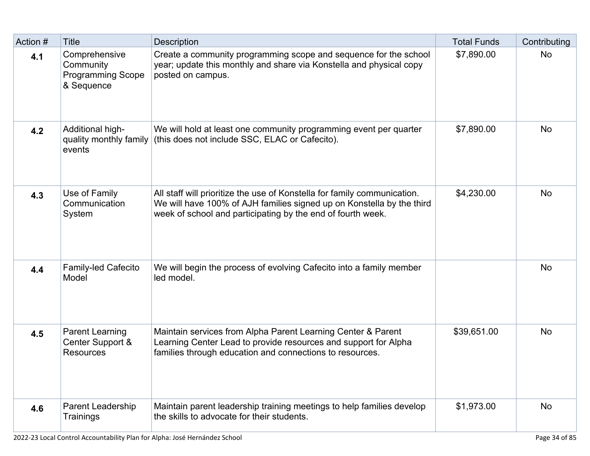| Action # | <b>Title</b>                                                         | <b>Description</b>                                                                                                                                                                                               | <b>Total Funds</b> | Contributing |
|----------|----------------------------------------------------------------------|------------------------------------------------------------------------------------------------------------------------------------------------------------------------------------------------------------------|--------------------|--------------|
| 4.1      | Comprehensive<br>Community<br><b>Programming Scope</b><br>& Sequence | Create a community programming scope and sequence for the school<br>year; update this monthly and share via Konstella and physical copy<br>posted on campus.                                                     | \$7,890.00         | <b>No</b>    |
| 4.2      | Additional high-<br>quality monthly family<br>events                 | We will hold at least one community programming event per quarter<br>(this does not include SSC, ELAC or Cafecito).                                                                                              | \$7,890.00         | <b>No</b>    |
| 4.3      | Use of Family<br>Communication<br>System                             | All staff will prioritize the use of Konstella for family communication.<br>We will have 100% of AJH families signed up on Konstella by the third<br>week of school and participating by the end of fourth week. | \$4,230.00         | <b>No</b>    |
| 4.4      | <b>Family-led Cafecito</b><br>Model                                  | We will begin the process of evolving Cafecito into a family member<br>led model.                                                                                                                                |                    | <b>No</b>    |
| 4.5      | <b>Parent Learning</b><br>Center Support &<br><b>Resources</b>       | Maintain services from Alpha Parent Learning Center & Parent<br>Learning Center Lead to provide resources and support for Alpha<br>families through education and connections to resources.                      | \$39,651.00        | <b>No</b>    |
| 4.6      | <b>Parent Leadership</b><br>Trainings                                | Maintain parent leadership training meetings to help families develop<br>the skills to advocate for their students.                                                                                              | \$1,973.00         | <b>No</b>    |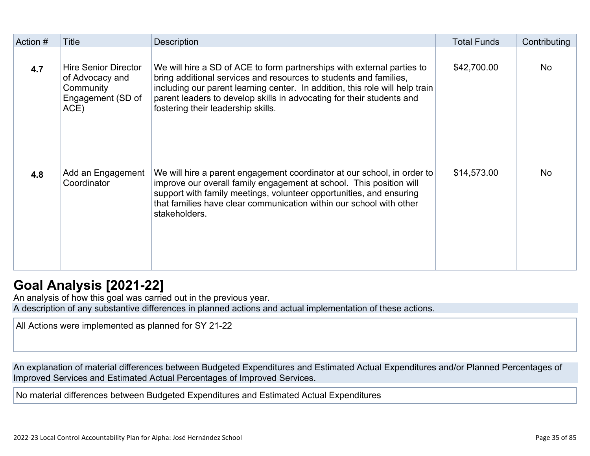| Action # | Title                                                                                    | <b>Description</b>                                                                                                                                                                                                                                                                                                                         | <b>Total Funds</b> | Contributing |
|----------|------------------------------------------------------------------------------------------|--------------------------------------------------------------------------------------------------------------------------------------------------------------------------------------------------------------------------------------------------------------------------------------------------------------------------------------------|--------------------|--------------|
|          |                                                                                          |                                                                                                                                                                                                                                                                                                                                            |                    |              |
| 4.7      | <b>Hire Senior Director</b><br>of Advocacy and<br>Community<br>Engagement (SD of<br>ACE) | We will hire a SD of ACE to form partnerships with external parties to<br>bring additional services and resources to students and families,<br>including our parent learning center. In addition, this role will help train<br>parent leaders to develop skills in advocating for their students and<br>fostering their leadership skills. | \$42,700.00        | <b>No</b>    |
| 4.8      | Add an Engagement<br>Coordinator                                                         | We will hire a parent engagement coordinator at our school, in order to<br>improve our overall family engagement at school. This position will<br>support with family meetings, volunteer opportunities, and ensuring<br>that families have clear communication within our school with other<br>stakeholders.                              | \$14,573.00        | <b>No</b>    |

## **[Goal Analysis \[2021-22\]](http://www.doc-tracking.com/screenshots/22LCAP/Instructions/22LCAPInstructions.htm#GoalAnalysis)**

An analysis of how this goal was carried out in the previous year.

A description of any substantive differences in planned actions and actual implementation of these actions.

All Actions were implemented as planned for SY 21-22

An explanation of material differences between Budgeted Expenditures and Estimated Actual Expenditures and/or Planned Percentages of Improved Services and Estimated Actual Percentages of Improved Services.

No material differences between Budgeted Expenditures and Estimated Actual Expenditures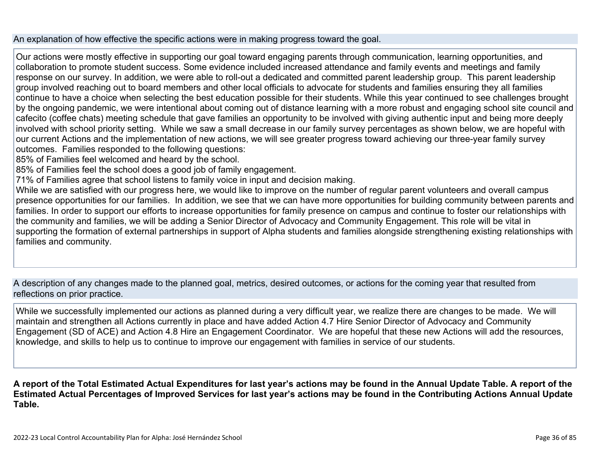#### An explanation of how effective the specific actions were in making progress toward the goal.

Our actions were mostly effective in supporting our goal toward engaging parents through communication, learning opportunities, and collaboration to promote student success. Some evidence included increased attendance and family events and meetings and family response on our survey. In addition, we were able to roll-out a dedicated and committed parent leadership group. This parent leadership group involved reaching out to board members and other local officials to advocate for students and families ensuring they all families continue to have a choice when selecting the best education possible for their students. While this year continued to see challenges brought by the ongoing pandemic, we were intentional about coming out of distance learning with a more robust and engaging school site council and cafecito (coffee chats) meeting schedule that gave families an opportunity to be involved with giving authentic input and being more deeply involved with school priority setting. While we saw a small decrease in our family survey percentages as shown below, we are hopeful with our current Actions and the implementation of new actions, we will see greater progress toward achieving our three-year family survey outcomes. Families responded to the following questions:

- 85% of Families feel welcomed and heard by the school.
- 85% of Families feel the school does a good job of family engagement.
- 71% of Families agree that school listens to family voice in input and decision making.

While we are satisfied with our progress here, we would like to improve on the number of regular parent volunteers and overall campus presence opportunities for our families. In addition, we see that we can have more opportunities for building community between parents and families. In order to support our efforts to increase opportunities for family presence on campus and continue to foster our relationships with the community and families, we will be adding a Senior Director of Advocacy and Community Engagement. This role will be vital in supporting the formation of external partnerships in support of Alpha students and families alongside strengthening existing relationships with families and community.

A description of any changes made to the planned goal, metrics, desired outcomes, or actions for the coming year that resulted from reflections on prior practice.

While we successfully implemented our actions as planned during a very difficult year, we realize there are changes to be made. We will maintain and strengthen all Actions currently in place and have added Action 4.7 Hire Senior Director of Advocacy and Community Engagement (SD of ACE) and Action 4.8 Hire an Engagement Coordinator. We are hopeful that these new Actions will add the resources, knowledge, and skills to help us to continue to improve our engagement with families in service of our students.

**A report of the Total Estimated Actual Expenditures for last year's actions may be found in the Annual Update Table. A report of the Estimated Actual Percentages of Improved Services for last year's actions may be found in the Contributing Actions Annual Update Table.**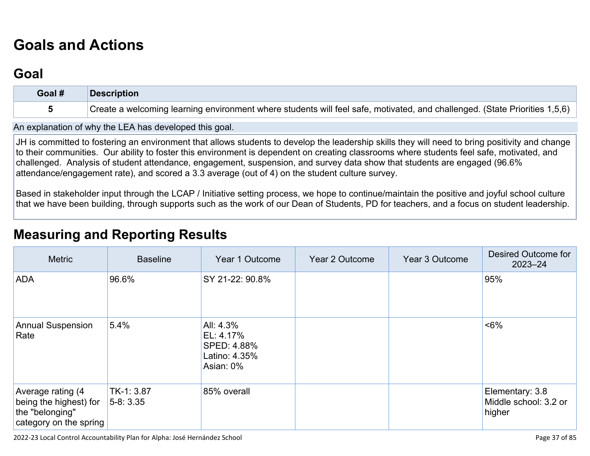# **[Goals and Actions](http://www.doc-tracking.com/screenshots/22LCAP/Instructions/22LCAPInstructions.htm#GoalsandActions)**

## **[Goal](http://www.doc-tracking.com/screenshots/22LCAP/Instructions/22LCAPInstructions.htm#goalDescription)**

| Goal # | <b>Description</b>                                                                                                         |
|--------|----------------------------------------------------------------------------------------------------------------------------|
|        | Create a welcoming learning environment where students will feel safe, motivated, and challenged. (State Priorities 1,5,6) |

An explanation of why the LEA has developed this goal.

JH is committed to fostering an environment that allows students to develop the leadership skills they will need to bring positivity and change to their communities. Our ability to foster this environment is dependent on creating classrooms where students feel safe, motivated, and challenged. Analysis of student attendance, engagement, suspension, and survey data show that students are engaged (96.6% attendance/engagement rate), and scored a 3.3 average (out of 4) on the student culture survey.

Based in stakeholder input through the LCAP / Initiative setting process, we hope to continue/maintain the positive and joyful school culture that we have been building, through supports such as the work of our Dean of Students, PD for teachers, and a focus on student leadership.

### **[Measuring and Reporting Results](http://www.doc-tracking.com/screenshots/22LCAP/Instructions/22LCAPInstructions.htm#MeasuringandReportingResults)**

| <b>Metric</b>                                                                            | <b>Baseline</b>          | Year 1 Outcome                                                      | Year 2 Outcome | Year 3 Outcome | Desired Outcome for<br>$2023 - 24$                 |
|------------------------------------------------------------------------------------------|--------------------------|---------------------------------------------------------------------|----------------|----------------|----------------------------------------------------|
| <b>ADA</b>                                                                               | 96.6%                    | SY 21-22: 90.8%                                                     |                |                | 95%                                                |
| <b>Annual Suspension</b><br>Rate                                                         | 5.4%                     | All: 4.3%<br>EL: 4.17%<br>SPED: 4.88%<br>Latino: 4.35%<br>Asian: 0% |                |                | ~5%                                                |
| Average rating (4<br>being the highest) for<br>the "belonging"<br>category on the spring | TK-1: 3.87<br>$5-8:3.35$ | 85% overall                                                         |                |                | Elementary: 3.8<br>Middle school: 3.2 or<br>higher |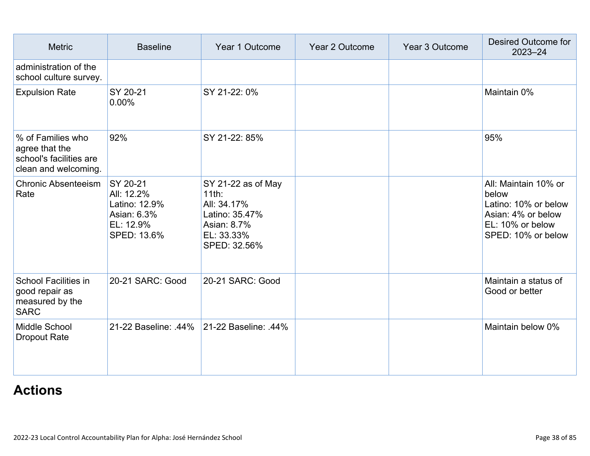| <b>Metric</b>                                                                          | <b>Baseline</b>                                                                    | Year 1 Outcome                                                                                               | Year 2 Outcome | Year 3 Outcome | Desired Outcome for<br>$2023 - 24$                                                                                    |
|----------------------------------------------------------------------------------------|------------------------------------------------------------------------------------|--------------------------------------------------------------------------------------------------------------|----------------|----------------|-----------------------------------------------------------------------------------------------------------------------|
| administration of the<br>school culture survey.                                        |                                                                                    |                                                                                                              |                |                |                                                                                                                       |
| <b>Expulsion Rate</b>                                                                  | SY 20-21<br>$0.00\%$                                                               | SY 21-22: 0%                                                                                                 |                |                | Maintain 0%                                                                                                           |
| % of Families who<br>agree that the<br>school's facilities are<br>clean and welcoming. | 92%                                                                                | SY 21-22: 85%                                                                                                |                |                | 95%                                                                                                                   |
| <b>Chronic Absenteeism</b><br>Rate                                                     | SY 20-21<br>All: 12.2%<br>Latino: 12.9%<br>Asian: 6.3%<br>EL: 12.9%<br>SPED: 13.6% | SY 21-22 as of May<br>$11$ th:<br>All: 34.17%<br>Latino: 35.47%<br>Asian: 8.7%<br>EL: 33.33%<br>SPED: 32.56% |                |                | All: Maintain 10% or<br>below<br>Latino: 10% or below<br>Asian: 4% or below<br>EL: 10% or below<br>SPED: 10% or below |
| <b>School Facilities in</b><br>good repair as<br>measured by the<br><b>SARC</b>        | 20-21 SARC: Good                                                                   | 20-21 SARC: Good                                                                                             |                |                | Maintain a status of<br>Good or better                                                                                |
| Middle School<br><b>Dropout Rate</b>                                                   | 21-22 Baseline: .44% 21-22 Baseline: .44%                                          |                                                                                                              |                |                | Maintain below 0%                                                                                                     |

## **[Actions](http://www.doc-tracking.com/screenshots/22LCAP/Instructions/22LCAPInstructions.htm#actions)**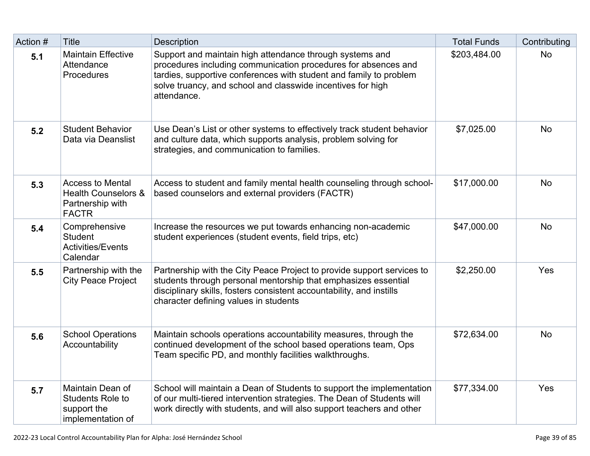| Action # | Title                                                                                         | <b>Description</b>                                                                                                                                                                                                                                                             | <b>Total Funds</b> | Contributing |
|----------|-----------------------------------------------------------------------------------------------|--------------------------------------------------------------------------------------------------------------------------------------------------------------------------------------------------------------------------------------------------------------------------------|--------------------|--------------|
| 5.1      | <b>Maintain Effective</b><br>Attendance<br><b>Procedures</b>                                  | Support and maintain high attendance through systems and<br>procedures including communication procedures for absences and<br>tardies, supportive conferences with student and family to problem<br>solve truancy, and school and classwide incentives for high<br>attendance. | \$203,484.00       | <b>No</b>    |
| 5.2      | <b>Student Behavior</b><br>Data via Deanslist                                                 | Use Dean's List or other systems to effectively track student behavior<br>and culture data, which supports analysis, problem solving for<br>strategies, and communication to families.                                                                                         | \$7,025.00         | <b>No</b>    |
| 5.3      | <b>Access to Mental</b><br><b>Health Counselors &amp;</b><br>Partnership with<br><b>FACTR</b> | Access to student and family mental health counseling through school-<br>based counselors and external providers (FACTR)                                                                                                                                                       | \$17,000.00        | <b>No</b>    |
| 5.4      | Comprehensive<br><b>Student</b><br><b>Activities/Events</b><br>Calendar                       | Increase the resources we put towards enhancing non-academic<br>student experiences (student events, field trips, etc)                                                                                                                                                         | \$47,000.00        | <b>No</b>    |
| 5.5      | Partnership with the<br><b>City Peace Project</b>                                             | Partnership with the City Peace Project to provide support services to<br>students through personal mentorship that emphasizes essential<br>disciplinary skills, fosters consistent accountability, and instills<br>character defining values in students                      | \$2,250.00         | Yes          |
| 5.6      | <b>School Operations</b><br>Accountability                                                    | Maintain schools operations accountability measures, through the<br>continued development of the school based operations team, Ops<br>Team specific PD, and monthly facilities walkthroughs.                                                                                   | \$72,634.00        | <b>No</b>    |
| 5.7      | Maintain Dean of<br><b>Students Role to</b><br>support the<br>implementation of               | School will maintain a Dean of Students to support the implementation<br>of our multi-tiered intervention strategies. The Dean of Students will<br>work directly with students, and will also support teachers and other                                                       | \$77,334.00        | Yes          |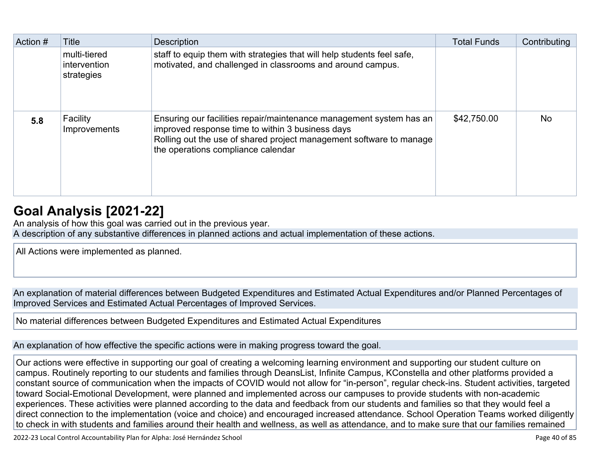| Action # | Title                                      | <b>Description</b>                                                                                                                                                                                                                   | <b>Total Funds</b> | Contributing |
|----------|--------------------------------------------|--------------------------------------------------------------------------------------------------------------------------------------------------------------------------------------------------------------------------------------|--------------------|--------------|
|          | multi-tiered<br>intervention<br>strategies | staff to equip them with strategies that will help students feel safe,<br>motivated, and challenged in classrooms and around campus.                                                                                                 |                    |              |
| 5.8      | Facility<br>Improvements                   | Ensuring our facilities repair/maintenance management system has an<br>improved response time to within 3 business days<br>Rolling out the use of shared project management software to manage<br>the operations compliance calendar | \$42,750.00        | <b>No</b>    |

## **[Goal Analysis \[2021-22\]](http://www.doc-tracking.com/screenshots/22LCAP/Instructions/22LCAPInstructions.htm#GoalAnalysis)**

An analysis of how this goal was carried out in the previous year.

A description of any substantive differences in planned actions and actual implementation of these actions.

All Actions were implemented as planned.

An explanation of material differences between Budgeted Expenditures and Estimated Actual Expenditures and/or Planned Percentages of Improved Services and Estimated Actual Percentages of Improved Services.

No material differences between Budgeted Expenditures and Estimated Actual Expenditures

An explanation of how effective the specific actions were in making progress toward the goal.

Our actions were effective in supporting our goal of creating a welcoming learning environment and supporting our student culture on campus. Routinely reporting to our students and families through DeansList, Infinite Campus, KConstella and other platforms provided a constant source of communication when the impacts of COVID would not allow for "in-person", regular check-ins. Student activities, targeted toward Social-Emotional Development, were planned and implemented across our campuses to provide students with non-academic experiences. These activities were planned according to the data and feedback from our students and families so that they would feel a direct connection to the implementation (voice and choice) and encouraged increased attendance. School Operation Teams worked diligently to check in with students and families around their health and wellness, as well as attendance, and to make sure that our families remained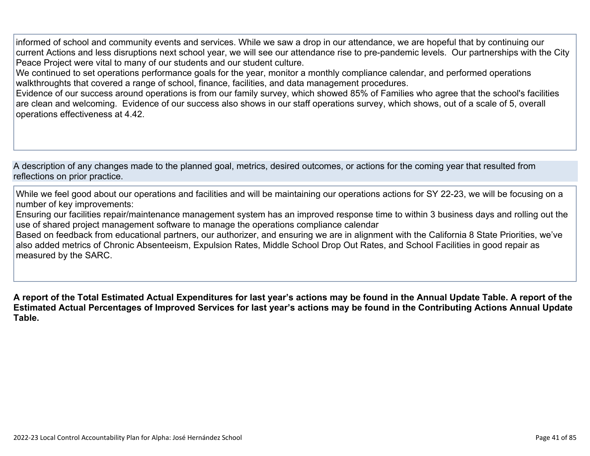informed of school and community events and services. While we saw a drop in our attendance, we are hopeful that by continuing our current Actions and less disruptions next school year, we will see our attendance rise to pre-pandemic levels. Our partnerships with the City Peace Project were vital to many of our students and our student culture.

We continued to set operations performance goals for the year, monitor a monthly compliance calendar, and performed operations walkthroughts that covered a range of school, finance, facilities, and data management procedures.

Evidence of our success around operations is from our family survey, which showed 85% of Families who agree that the school's facilities are clean and welcoming. Evidence of our success also shows in our staff operations survey, which shows, out of a scale of 5, overall operations effectiveness at 4.42.

A description of any changes made to the planned goal, metrics, desired outcomes, or actions for the coming year that resulted from reflections on prior practice.

While we feel good about our operations and facilities and will be maintaining our operations actions for SY 22-23, we will be focusing on a number of key improvements:

Ensuring our facilities repair/maintenance management system has an improved response time to within 3 business days and rolling out the use of shared project management software to manage the operations compliance calendar

Based on feedback from educational partners, our authorizer, and ensuring we are in alignment with the California 8 State Priorities, we've also added metrics of Chronic Absenteeism, Expulsion Rates, Middle School Drop Out Rates, and School Facilities in good repair as measured by the SARC.

**A report of the Total Estimated Actual Expenditures for last year's actions may be found in the Annual Update Table. A report of the Estimated Actual Percentages of Improved Services for last year's actions may be found in the Contributing Actions Annual Update Table.**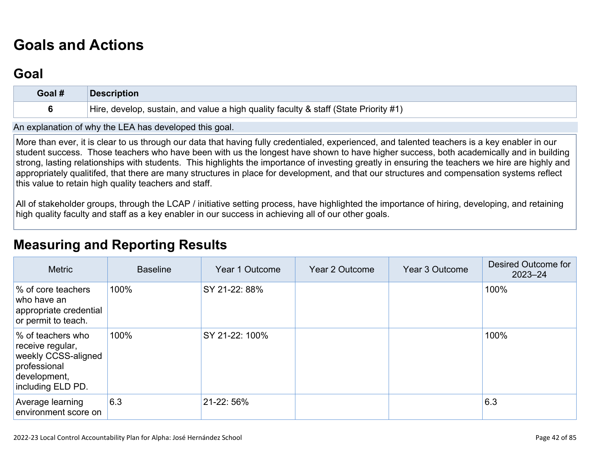# **[Goals and Actions](http://www.doc-tracking.com/screenshots/22LCAP/Instructions/22LCAPInstructions.htm#GoalsandActions)**

## **[Goal](http://www.doc-tracking.com/screenshots/22LCAP/Instructions/22LCAPInstructions.htm#goalDescription)**

| Goal # | <b>Description</b>                                                                   |
|--------|--------------------------------------------------------------------------------------|
|        | Hire, develop, sustain, and value a high quality faculty & staff (State Priority #1) |

An explanation of why the LEA has developed this goal.

More than ever, it is clear to us through our data that having fully credentialed, experienced, and talented teachers is a key enabler in our student success. Those teachers who have been with us the longest have shown to have higher success, both academically and in building strong, lasting relationships with students. This highlights the importance of investing greatly in ensuring the teachers we hire are highly and appropriately qualitifed, that there are many structures in place for development, and that our structures and compensation systems reflect this value to retain high quality teachers and staff.

All of stakeholder groups, through the LCAP / initiative setting process, have highlighted the importance of hiring, developing, and retaining high quality faculty and staff as a key enabler in our success in achieving all of our other goals.

## **[Measuring and Reporting Results](http://www.doc-tracking.com/screenshots/22LCAP/Instructions/22LCAPInstructions.htm#MeasuringandReportingResults)**

| <b>Metric</b>                                                                                                     | <b>Baseline</b> | Year 1 Outcome | Year 2 Outcome | Year 3 Outcome | Desired Outcome for<br>$2023 - 24$ |
|-------------------------------------------------------------------------------------------------------------------|-----------------|----------------|----------------|----------------|------------------------------------|
| % of core teachers<br>who have an<br>appropriate credential<br>or permit to teach.                                | 100%            | SY 21-22: 88%  |                |                | 100%                               |
| % of teachers who<br>receive regular,<br>weekly CCSS-aligned<br>professional<br>development,<br>including ELD PD. | 100%            | SY 21-22: 100% |                |                | 100%                               |
| Average learning<br>environment score on                                                                          | 6.3             | 21-22: 56%     |                |                | 6.3                                |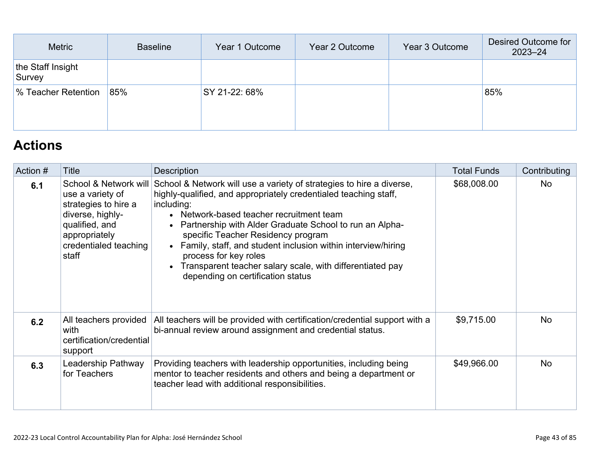| Metric                      | <b>Baseline</b> | Year 1 Outcome | Year 2 Outcome | Year 3 Outcome | Desired Outcome for<br>$2023 - 24$ |
|-----------------------------|-----------------|----------------|----------------|----------------|------------------------------------|
| the Staff Insight<br>Survey |                 |                |                |                |                                    |
| % Teacher Retention         | 85%             | SY 21-22: 68%  |                |                | 85%                                |
|                             |                 |                |                |                |                                    |

## **[Actions](http://www.doc-tracking.com/screenshots/22LCAP/Instructions/22LCAPInstructions.htm#actions)**

| Action # | Title                                                                                                                                                      | <b>Description</b>                                                                                                                                                                                                                                                                                                                                                                                                                                                                                   | <b>Total Funds</b> | Contributing |
|----------|------------------------------------------------------------------------------------------------------------------------------------------------------------|------------------------------------------------------------------------------------------------------------------------------------------------------------------------------------------------------------------------------------------------------------------------------------------------------------------------------------------------------------------------------------------------------------------------------------------------------------------------------------------------------|--------------------|--------------|
| 6.1      | School & Network will<br>use a variety of<br>strategies to hire a<br>diverse, highly-<br>qualified, and<br>appropriately<br>credentialed teaching<br>staff | School & Network will use a variety of strategies to hire a diverse,<br>highly-qualified, and appropriately credentialed teaching staff,<br>including:<br>• Network-based teacher recruitment team<br>• Partnership with Alder Graduate School to run an Alpha-<br>specific Teacher Residency program<br>• Family, staff, and student inclusion within interview/hiring<br>process for key roles<br>• Transparent teacher salary scale, with differentiated pay<br>depending on certification status | \$68,008.00        | <b>No</b>    |
| 6.2      | All teachers provided<br>with<br>certification/credential<br>support                                                                                       | All teachers will be provided with certification/credential support with a<br>bi-annual review around assignment and credential status.                                                                                                                                                                                                                                                                                                                                                              | \$9,715.00         | <b>No</b>    |
| 6.3      | Leadership Pathway<br>for Teachers                                                                                                                         | Providing teachers with leadership opportunities, including being<br>mentor to teacher residents and others and being a department or<br>teacher lead with additional responsibilities.                                                                                                                                                                                                                                                                                                              | \$49,966.00        | <b>No</b>    |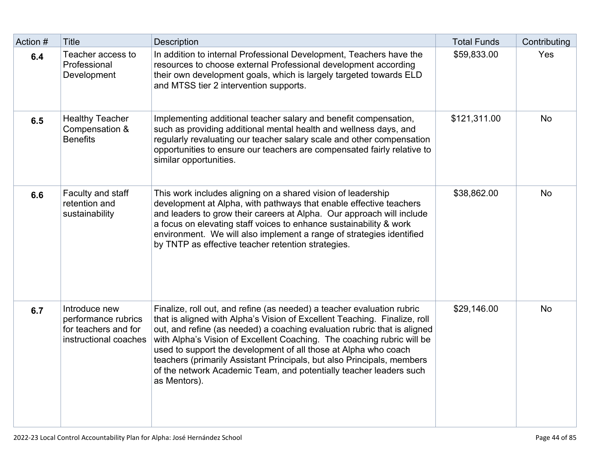| Action # | <b>Title</b>                                                                          | <b>Description</b>                                                                                                                                                                                                                                                                                                                                                                                                                                                                                                                           | <b>Total Funds</b> | Contributing |
|----------|---------------------------------------------------------------------------------------|----------------------------------------------------------------------------------------------------------------------------------------------------------------------------------------------------------------------------------------------------------------------------------------------------------------------------------------------------------------------------------------------------------------------------------------------------------------------------------------------------------------------------------------------|--------------------|--------------|
| 6.4      | Teacher access to<br>Professional<br>Development                                      | In addition to internal Professional Development, Teachers have the<br>resources to choose external Professional development according<br>their own development goals, which is largely targeted towards ELD<br>and MTSS tier 2 intervention supports.                                                                                                                                                                                                                                                                                       | \$59,833.00        | Yes          |
| 6.5      | <b>Healthy Teacher</b><br>Compensation &<br><b>Benefits</b>                           | Implementing additional teacher salary and benefit compensation,<br>such as providing additional mental health and wellness days, and<br>regularly revaluating our teacher salary scale and other compensation<br>opportunities to ensure our teachers are compensated fairly relative to<br>similar opportunities.                                                                                                                                                                                                                          | \$121,311.00       | <b>No</b>    |
| 6.6      | Faculty and staff<br>retention and<br>sustainability                                  | This work includes aligning on a shared vision of leadership<br>development at Alpha, with pathways that enable effective teachers<br>and leaders to grow their careers at Alpha. Our approach will include<br>a focus on elevating staff voices to enhance sustainability & work<br>environment. We will also implement a range of strategies identified<br>by TNTP as effective teacher retention strategies.                                                                                                                              | \$38,862.00        | <b>No</b>    |
| 6.7      | Introduce new<br>performance rubrics<br>for teachers and for<br>instructional coaches | Finalize, roll out, and refine (as needed) a teacher evaluation rubric<br>that is aligned with Alpha's Vision of Excellent Teaching. Finalize, roll<br>out, and refine (as needed) a coaching evaluation rubric that is aligned<br>with Alpha's Vision of Excellent Coaching. The coaching rubric will be<br>used to support the development of all those at Alpha who coach<br>teachers (primarily Assistant Principals, but also Principals, members<br>of the network Academic Team, and potentially teacher leaders such<br>as Mentors). | \$29,146.00        | <b>No</b>    |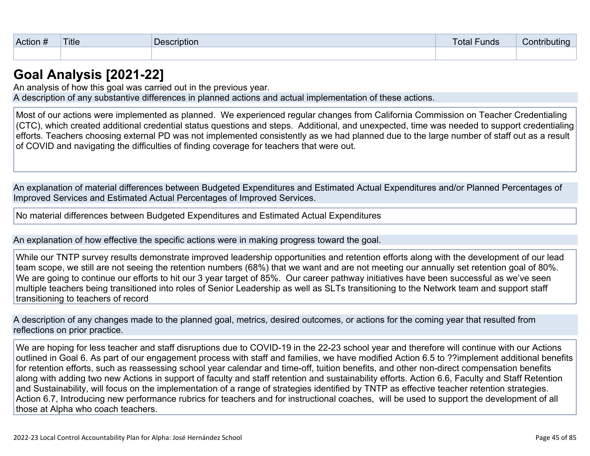| $\sim$<br>Action | <b>Title</b> | scription<br>De | ∙unds<br>otal | .<br>UTII<br>''u |
|------------------|--------------|-----------------|---------------|------------------|
|                  |              |                 |               |                  |

### **[Goal Analysis \[2021-22\]](http://www.doc-tracking.com/screenshots/22LCAP/Instructions/22LCAPInstructions.htm#GoalAnalysis)**

An analysis of how this goal was carried out in the previous year. A description of any substantive differences in planned actions and actual implementation of these actions.

Most of our actions were implemented as planned. We experienced regular changes from California Commission on Teacher Credentialing (CTC), which created additional credential status questions and steps. Additional, and unexpected, time was needed to support credentialing efforts. Teachers choosing external PD was not implemented consistently as we had planned due to the large number of staff out as a result of COVID and navigating the difficulties of finding coverage for teachers that were out.

An explanation of material differences between Budgeted Expenditures and Estimated Actual Expenditures and/or Planned Percentages of Improved Services and Estimated Actual Percentages of Improved Services.

No material differences between Budgeted Expenditures and Estimated Actual Expenditures

An explanation of how effective the specific actions were in making progress toward the goal.

While our TNTP survey results demonstrate improved leadership opportunities and retention efforts along with the development of our lead team scope, we still are not seeing the retention numbers (68%) that we want and are not meeting our annually set retention goal of 80%. We are going to continue our efforts to hit our 3 year target of 85%. Our career pathway initiatives have been successful as we've seen multiple teachers being transitioned into roles of Senior Leadership as well as SLTs transitioning to the Network team and support staff transitioning to teachers of record

A description of any changes made to the planned goal, metrics, desired outcomes, or actions for the coming year that resulted from reflections on prior practice.

We are hoping for less teacher and staff disruptions due to COVID-19 in the 22-23 school year and therefore will continue with our Actions outlined in Goal 6. As part of our engagement process with staff and families, we have modified Action 6.5 to ??implement additional benefits for retention efforts, such as reassessing school year calendar and time-off, tuition benefits, and other non-direct compensation benefits along with adding two new Actions in support of faculty and staff retention and sustainability efforts. Action 6.6, Faculty and Staff Retention and Sustainability, will focus on the implementation of a range of strategies identified by TNTP as effective teacher retention strategies. Action 6.7, Introducing new performance rubrics for teachers and for instructional coaches, will be used to support the development of all those at Alpha who coach teachers.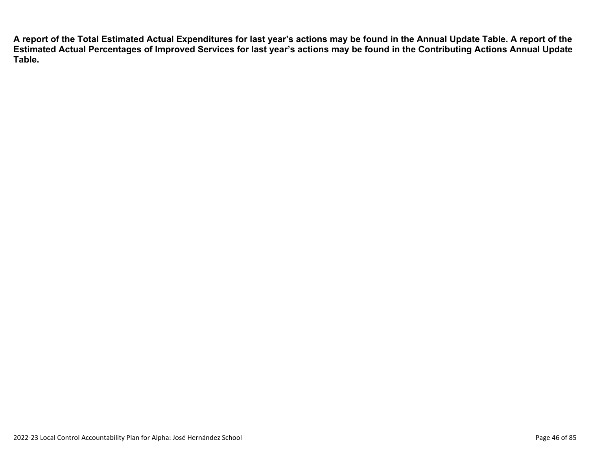**A report of the Total Estimated Actual Expenditures for last year's actions may be found in the Annual Update Table. A report of the Estimated Actual Percentages of Improved Services for last year's actions may be found in the Contributing Actions Annual Update Table.**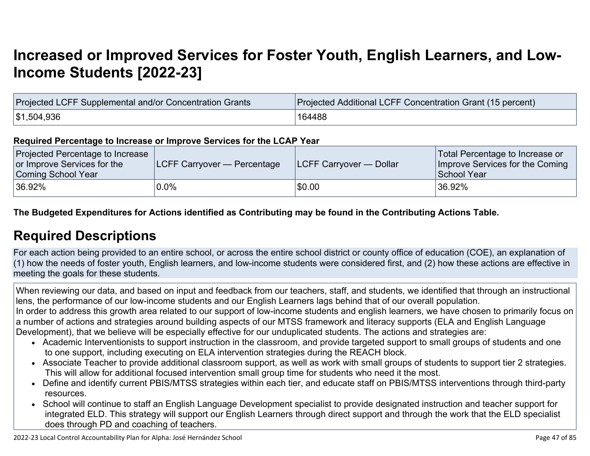# **[Increased or Improved Services for Foster Youth, English Learners, and Low-](http://www.doc-tracking.com/screenshots/22LCAP/Instructions/22LCAPInstructions.htm#IncreasedImprovedServices)[Income Students \[2022-23\]](http://www.doc-tracking.com/screenshots/22LCAP/Instructions/22LCAPInstructions.htm#IncreasedImprovedServices)**

| Projected LCFF Supplemental and/or Concentration Grants | Projected Additional LCFF Concentration Grant (15 percent) |
|---------------------------------------------------------|------------------------------------------------------------|
| \$1,504,936                                             | 164488                                                     |

#### **Required Percentage to Increase or Improve Services for the LCAP Year**

| Projected Percentage to Increase<br>or Improve Services for the<br>Coming School Year | <b>LCFF Carryover — Percentage</b> | <b>LCFF Carryover — Dollar</b> | Total Percentage to Increase or<br>Improve Services for the Coming<br>School Year |
|---------------------------------------------------------------------------------------|------------------------------------|--------------------------------|-----------------------------------------------------------------------------------|
| 36.92%                                                                                | 0.0%                               | \$0.00                         | 36.92%                                                                            |

**The Budgeted Expenditures for Actions identified as Contributing may be found in the Contributing Actions Table.**

## **[Required Descriptions](http://www.doc-tracking.com/screenshots/22LCAP/Instructions/22LCAPInstructions.htm#RequiredDescriptions)**

For each action being provided to an entire school, or across the entire school district or county office of education (COE), an explanation of (1) how the needs of foster youth, English learners, and low-income students were considered first, and (2) how these actions are effective in meeting the goals for these students.

When reviewing our data, and based on input and feedback from our teachers, staff, and students, we identified that through an instructional lens, the performance of our low-income students and our English Learners lags behind that of our overall population. In order to address this growth area related to our support of low-income students and english learners, we have chosen to primarily focus on a number of actions and strategies around building aspects of our MTSS framework and literacy supports (ELA and English Language

Development), that we believe will be especially effective for our unduplicated students. The actions and strategies are:

- Academic Interventionists to support instruction in the classroom, and provide targeted support to small groups of students and one to one support, including executing on ELA intervention strategies during the REACH block.
- Associate Teacher to provide additional classroom support, as well as work with small groups of students to support tier 2 strategies. This will allow for additional focused intervention small group time for students who need it the most.
- Define and identify current PBIS/MTSS strategies within each tier, and educate staff on PBIS/MTSS interventions through third-party resources.
- School will continue to staff an English Language Development specialist to provide designated instruction and teacher support for integrated ELD. This strategy will support our English Learners through direct support and through the work that the ELD specialist does through PD and coaching of teachers.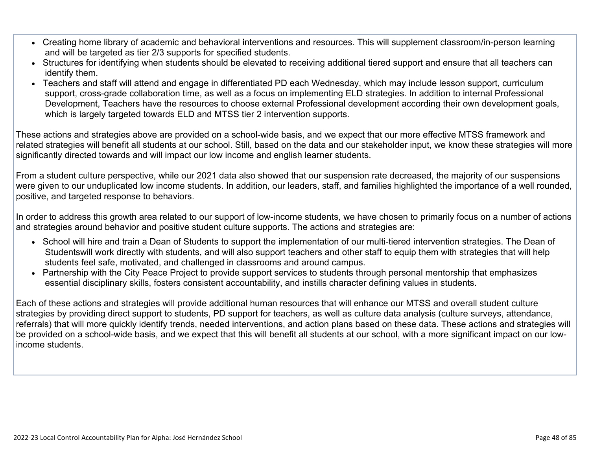- Creating home library of academic and behavioral interventions and resources. This will supplement classroom/in-person learning and will be targeted as tier 2/3 supports for specified students.
- Structures for identifying when students should be elevated to receiving additional tiered support and ensure that all teachers can identify them.
- Teachers and staff will attend and engage in differentiated PD each Wednesday, which may include lesson support, curriculum support, cross-grade collaboration time, as well as a focus on implementing ELD strategies. In addition to internal Professional Development, Teachers have the resources to choose external Professional development according their own development goals, which is largely targeted towards ELD and MTSS tier 2 intervention supports.

These actions and strategies above are provided on a school-wide basis, and we expect that our more effective MTSS framework and related strategies will benefit all students at our school. Still, based on the data and our stakeholder input, we know these strategies will more significantly directed towards and will impact our low income and english learner students.

From a student culture perspective, while our 2021 data also showed that our suspension rate decreased, the majority of our suspensions were given to our unduplicated low income students. In addition, our leaders, staff, and families highlighted the importance of a well rounded, positive, and targeted response to behaviors.

In order to address this growth area related to our support of low-income students, we have chosen to primarily focus on a number of actions and strategies around behavior and positive student culture supports. The actions and strategies are:

- School will hire and train a Dean of Students to support the implementation of our multi-tiered intervention strategies. The Dean of Studentswill work directly with students, and will also support teachers and other staff to equip them with strategies that will help students feel safe, motivated, and challenged in classrooms and around campus.
- Partnership with the City Peace Project to provide support services to students through personal mentorship that emphasizes essential disciplinary skills, fosters consistent accountability, and instills character defining values in students.

Each of these actions and strategies will provide additional human resources that will enhance our MTSS and overall student culture strategies by providing direct support to students, PD support for teachers, as well as culture data analysis (culture surveys, attendance, referrals) that will more quickly identify trends, needed interventions, and action plans based on these data. These actions and strategies will be provided on a school-wide basis, and we expect that this will benefit all students at our school, with a more significant impact on our lowincome students.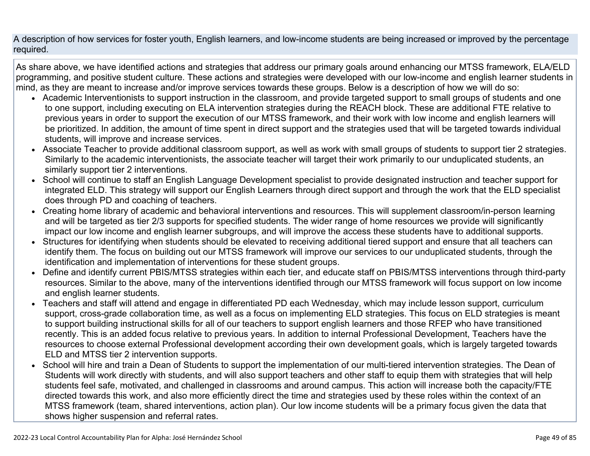A description of how services for foster youth, English learners, and low-income students are being increased or improved by the percentage required.

As share above, we have identified actions and strategies that address our primary goals around enhancing our MTSS framework, ELA/ELD programming, and positive student culture. These actions and strategies were developed with our low-income and english learner students in mind, as they are meant to increase and/or improve services towards these groups. Below is a description of how we will do so:

- Academic Interventionists to support instruction in the classroom, and provide targeted support to small groups of students and one to one support, including executing on ELA intervention strategies during the REACH block. These are additional FTE relative to previous years in order to support the execution of our MTSS framework, and their work with low income and english learners will be prioritized. In addition, the amount of time spent in direct support and the strategies used that will be targeted towards individual students, will improve and increase services.
- Associate Teacher to provide additional classroom support, as well as work with small groups of students to support tier 2 strategies. Similarly to the academic interventionists, the associate teacher will target their work primarily to our unduplicated students, an similarly support tier 2 interventions.
- School will continue to staff an English Language Development specialist to provide designated instruction and teacher support for integrated ELD. This strategy will support our English Learners through direct support and through the work that the ELD specialist does through PD and coaching of teachers.
- Creating home library of academic and behavioral interventions and resources. This will supplement classroom/in-person learning and will be targeted as tier 2/3 supports for specified students. The wider range of home resources we provide will significantly impact our low income and english learner subgroups, and will improve the access these students have to additional supports.
- Structures for identifying when students should be elevated to receiving additional tiered support and ensure that all teachers can identify them. The focus on building out our MTSS framework will improve our services to our unduplicated students, through the identification and implementation of interventions for these student groups.
- Define and identify current PBIS/MTSS strategies within each tier, and educate staff on PBIS/MTSS interventions through third-party resources. Similar to the above, many of the interventions identified through our MTSS framework will focus support on low income and english learner students.
- Teachers and staff will attend and engage in differentiated PD each Wednesday, which may include lesson support, curriculum support, cross-grade collaboration time, as well as a focus on implementing ELD strategies. This focus on ELD strategies is meant to support building instructional skills for all of our teachers to support english learners and those RFEP who have transitioned recently. This is an added focus relative to previous years. In addition to internal Professional Development, Teachers have the resources to choose external Professional development according their own development goals, which is largely targeted towards ELD and MTSS tier 2 intervention supports.
- School will hire and train a Dean of Students to support the implementation of our multi-tiered intervention strategies. The Dean of Students will work directly with students, and will also support teachers and other staff to equip them with strategies that will help students feel safe, motivated, and challenged in classrooms and around campus. This action will increase both the capacity/FTE directed towards this work, and also more efficiently direct the time and strategies used by these roles within the context of an MTSS framework (team, shared interventions, action plan). Our low income students will be a primary focus given the data that shows higher suspension and referral rates.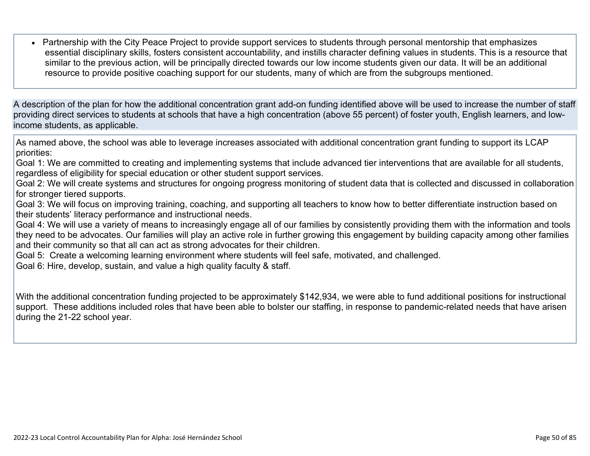• Partnership with the City Peace Project to provide support services to students through personal mentorship that emphasizes essential disciplinary skills, fosters consistent accountability, and instills character defining values in students. This is a resource that similar to the previous action, will be principally directed towards our low income students given our data. It will be an additional resource to provide positive coaching support for our students, many of which are from the subgroups mentioned.

A description of the plan for how the additional concentration grant add-on funding identified above will be used to increase the number of staff providing direct services to students at schools that have a high concentration (above 55 percent) of foster youth, English learners, and lowincome students, as applicable.

As named above, the school was able to leverage increases associated with additional concentration grant funding to support its LCAP priorities:

Goal 1: We are committed to creating and implementing systems that include advanced tier interventions that are available for all students, regardless of eligibility for special education or other student support services.

Goal 2: We will create systems and structures for ongoing progress monitoring of student data that is collected and discussed in collaboration for stronger tiered supports.

Goal 3: We will focus on improving training, coaching, and supporting all teachers to know how to better differentiate instruction based on their students' literacy performance and instructional needs.

Goal 4: We will use a variety of means to increasingly engage all of our families by consistently providing them with the information and tools they need to be advocates. Our families will play an active role in further growing this engagement by building capacity among other families and their community so that all can act as strong advocates for their children.

Goal 5: Create a welcoming learning environment where students will feel safe, motivated, and challenged.

Goal 6: Hire, develop, sustain, and value a high quality faculty & staff.

With the additional concentration funding projected to be approximately \$142,934, we were able to fund additional positions for instructional support. These additions included roles that have been able to bolster our staffing, in response to pandemic-related needs that have arisen during the 21-22 school year.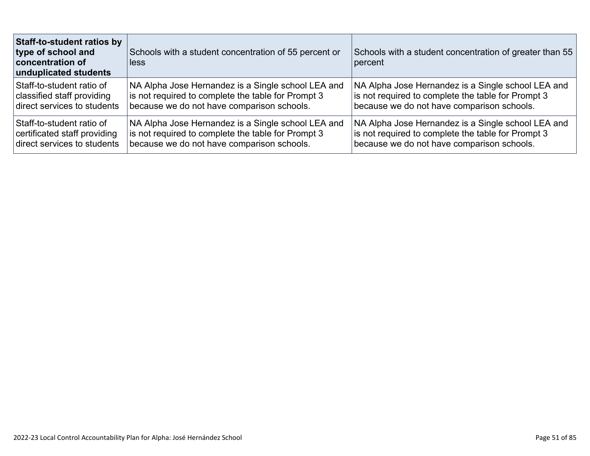| Staff-to-student ratios by<br>type of school and<br>concentration of<br>unduplicated students | Schools with a student concentration of 55 percent or<br>less | Schools with a student concentration of greater than 55<br>percent |
|-----------------------------------------------------------------------------------------------|---------------------------------------------------------------|--------------------------------------------------------------------|
| Staff-to-student ratio of                                                                     | NA Alpha Jose Hernandez is a Single school LEA and            | NA Alpha Jose Hernandez is a Single school LEA and                 |
| classified staff providing                                                                    | is not required to complete the table for Prompt 3            | is not required to complete the table for Prompt 3                 |
| direct services to students                                                                   | because we do not have comparison schools.                    | because we do not have comparison schools.                         |
| Staff-to-student ratio of                                                                     | NA Alpha Jose Hernandez is a Single school LEA and            | NA Alpha Jose Hernandez is a Single school LEA and                 |
| certificated staff providing                                                                  | is not required to complete the table for Prompt 3            | is not required to complete the table for Prompt 3                 |
| direct services to students                                                                   | because we do not have comparison schools.                    | because we do not have comparison schools.                         |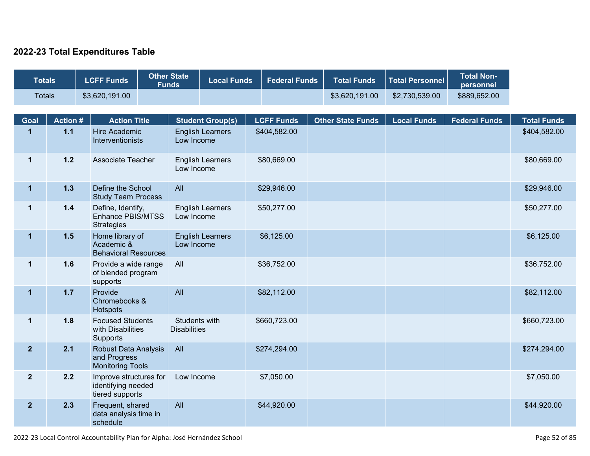#### **2022-23 Total Expenditures Table**

| <b>Totals</b>  |                 | <b>LCFF Funds</b>                                               | <b>Other State</b><br><b>Funds</b> |                                      | <b>Local Funds</b>      | <b>Federal Funds</b> | <b>Total Funds</b>       | <b>Total Personnel</b> | <b>Total Non-</b><br>personnel |                    |
|----------------|-----------------|-----------------------------------------------------------------|------------------------------------|--------------------------------------|-------------------------|----------------------|--------------------------|------------------------|--------------------------------|--------------------|
| <b>Totals</b>  |                 | \$3,620,191.00                                                  |                                    |                                      |                         |                      | \$3,620,191.00           | \$2,730,539.00         | \$889,652.00                   |                    |
|                |                 |                                                                 |                                    |                                      |                         |                      |                          |                        |                                |                    |
| Goal           | <b>Action #</b> | <b>Action Title</b>                                             |                                    |                                      | <b>Student Group(s)</b> | <b>LCFF Funds</b>    | <b>Other State Funds</b> | <b>Local Funds</b>     | <b>Federal Funds</b>           | <b>Total Funds</b> |
| $\mathbf{1}$   | $1.1$           | <b>Hire Academic</b><br>Interventionists                        |                                    | Low Income                           | <b>English Learners</b> | \$404,582.00         |                          |                        |                                | \$404,582.00       |
| $\mathbf 1$    | $1.2$           | Associate Teacher                                               |                                    | Low Income                           | <b>English Learners</b> | \$80,669.00          |                          |                        |                                | \$80,669.00        |
| $\mathbf 1$    | $1.3$           | Define the School<br><b>Study Team Process</b>                  |                                    | All                                  |                         | \$29,946.00          |                          |                        |                                | \$29,946.00        |
| $\mathbf 1$    | $1.4$           | Define, Identify,<br>Enhance PBIS/MTSS<br><b>Strategies</b>     |                                    | Low Income                           | <b>English Learners</b> | \$50,277.00          |                          |                        |                                | \$50,277.00        |
| $\mathbf 1$    | $1.5$           | Home library of<br>Academic &<br><b>Behavioral Resources</b>    |                                    | Low Income                           | <b>English Learners</b> | \$6,125.00           |                          |                        |                                | \$6,125.00         |
| $\mathbf 1$    | 1.6             | Provide a wide range<br>of blended program<br>supports          |                                    | All                                  |                         | \$36,752.00          |                          |                        |                                | \$36,752.00        |
| $\mathbf 1$    | $1.7$           | Provide<br>Chromebooks &<br>Hotspots                            |                                    | All                                  |                         | \$82,112.00          |                          |                        |                                | \$82,112.00        |
| $\mathbf 1$    | 1.8             | <b>Focused Students</b><br>with Disabilities<br>Supports        |                                    | Students with<br><b>Disabilities</b> |                         | \$660,723.00         |                          |                        |                                | \$660,723.00       |
| $\overline{2}$ | 2.1             | Robust Data Analysis<br>and Progress<br><b>Monitoring Tools</b> |                                    | All                                  |                         | \$274,294.00         |                          |                        |                                | \$274,294.00       |
| $\mathbf{2}$   | 2.2             | Improve structures for<br>identifying needed<br>tiered supports |                                    | Low Income                           |                         | \$7,050.00           |                          |                        |                                | \$7,050.00         |
| 2 <sub>2</sub> | 2.3             | Frequent, shared<br>data analysis time in<br>schedule           |                                    | All                                  |                         | \$44,920.00          |                          |                        |                                | \$44,920.00        |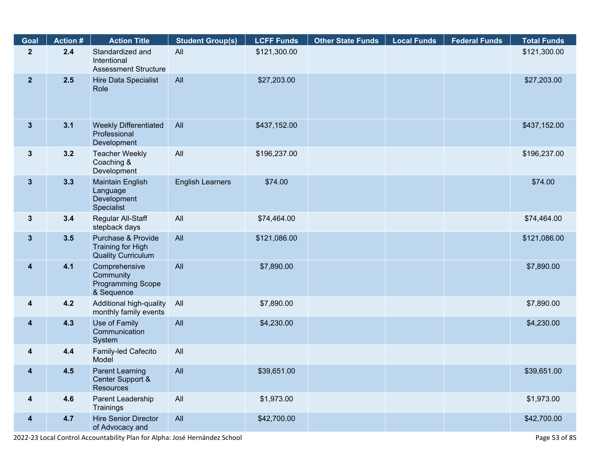| Goal                    | <b>Action #</b> | <b>Action Title</b>                                                  | <b>Student Group(s)</b> | <b>LCFF Funds</b> | <b>Other State Funds</b> | <b>Local Funds</b> | <b>Federal Funds</b> | <b>Total Funds</b> |
|-------------------------|-----------------|----------------------------------------------------------------------|-------------------------|-------------------|--------------------------|--------------------|----------------------|--------------------|
| $\mathbf{2}$            | 2.4             | Standardized and<br>Intentional<br><b>Assessment Structure</b>       | All                     | \$121,300.00      |                          |                    |                      | \$121,300.00       |
| 2 <sub>2</sub>          | 2.5             | Hire Data Specialist<br>Role                                         | All                     | \$27,203.00       |                          |                    |                      | \$27,203.00        |
| 3 <sup>5</sup>          | 3.1             | <b>Weekly Differentiated</b><br>Professional<br>Development          | All                     | \$437,152.00      |                          |                    |                      | \$437,152.00       |
| $3\phantom{a}$          | 3.2             | <b>Teacher Weekly</b><br>Coaching &<br>Development                   | All                     | \$196,237.00      |                          |                    |                      | \$196,237.00       |
| 3 <sup>5</sup>          | 3.3             | Maintain English<br>Language<br>Development<br>Specialist            | <b>English Learners</b> | \$74.00           |                          |                    |                      | \$74.00            |
| $3\phantom{a}$          | 3.4             | Regular All-Staff<br>stepback days                                   | All                     | \$74,464.00       |                          |                    |                      | \$74,464.00        |
| 3 <sup>5</sup>          | 3.5             | Purchase & Provide<br>Training for High<br><b>Quality Curriculum</b> | All                     | \$121,086.00      |                          |                    |                      | \$121,086.00       |
| $\overline{\mathbf{4}}$ | 4.1             | Comprehensive<br>Community<br><b>Programming Scope</b><br>& Sequence | All                     | \$7,890.00        |                          |                    |                      | \$7,890.00         |
| $\overline{\mathbf{4}}$ | 4.2             | Additional high-quality<br>monthly family events                     | All                     | \$7,890.00        |                          |                    |                      | \$7,890.00         |
| $\overline{\mathbf{4}}$ | 4.3             | Use of Family<br>Communication<br>System                             | All                     | \$4,230.00        |                          |                    |                      | \$4,230.00         |
| $\overline{\mathbf{4}}$ | 4.4             | Family-led Cafecito<br>Model                                         | All                     |                   |                          |                    |                      |                    |
| $\overline{\mathbf{4}}$ | 4.5             | <b>Parent Learning</b><br>Center Support &<br><b>Resources</b>       | All                     | \$39,651.00       |                          |                    |                      | \$39,651.00        |
| $\overline{\mathbf{4}}$ | 4.6             | Parent Leadership<br>Trainings                                       | All                     | \$1,973.00        |                          |                    |                      | \$1,973.00         |
| $\overline{\mathbf{4}}$ | 4.7             | <b>Hire Senior Director</b><br>of Advocacy and                       | All                     | \$42,700.00       |                          |                    |                      | \$42,700.00        |

2022-23 Local Control Accountability Plan for Alpha: José Hernández School Page 53 of 85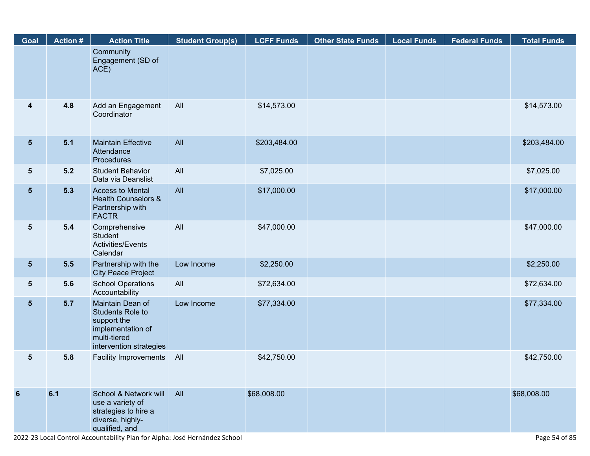| Goal            | <b>Action#</b> | <b>Action Title</b>                                                                                                        | <b>Student Group(s)</b> | <b>LCFF Funds</b> | <b>Other State Funds</b> | <b>Local Funds</b> | <b>Federal Funds</b> | <b>Total Funds</b> |
|-----------------|----------------|----------------------------------------------------------------------------------------------------------------------------|-------------------------|-------------------|--------------------------|--------------------|----------------------|--------------------|
|                 |                | Community<br>Engagement (SD of<br>ACE)                                                                                     |                         |                   |                          |                    |                      |                    |
| 4               | 4.8            | Add an Engagement<br>Coordinator                                                                                           | All                     | \$14,573.00       |                          |                    |                      | \$14,573.00        |
| $5\phantom{.0}$ | 5.1            | <b>Maintain Effective</b><br>Attendance<br>Procedures                                                                      | All                     | \$203,484.00      |                          |                    |                      | \$203,484.00       |
| 5               | $5.2$          | <b>Student Behavior</b><br>Data via Deanslist                                                                              | All                     | \$7,025.00        |                          |                    |                      | \$7,025.00         |
| $5\phantom{.}$  | 5.3            | <b>Access to Mental</b><br><b>Health Counselors &amp;</b><br>Partnership with<br><b>FACTR</b>                              | All                     | \$17,000.00       |                          |                    |                      | \$17,000.00        |
| 5               | 5.4            | Comprehensive<br><b>Student</b><br>Activities/Events<br>Calendar                                                           | All                     | \$47,000.00       |                          |                    |                      | \$47,000.00        |
| $5\phantom{.0}$ | 5.5            | Partnership with the<br><b>City Peace Project</b>                                                                          | Low Income              | \$2,250.00        |                          |                    |                      | \$2,250.00         |
| 5               | 5.6            | <b>School Operations</b><br>Accountability                                                                                 | All                     | \$72,634.00       |                          |                    |                      | \$72,634.00        |
| $5\phantom{.0}$ | 5.7            | Maintain Dean of<br><b>Students Role to</b><br>support the<br>implementation of<br>multi-tiered<br>intervention strategies | Low Income              | \$77,334.00       |                          |                    |                      | \$77,334.00        |
| 5               | 5.8            | <b>Facility Improvements</b>                                                                                               | All                     | \$42,750.00       |                          |                    |                      | \$42,750.00        |
| $6\phantom{1}6$ | 6.1            | School & Network will<br>use a variety of<br>strategies to hire a<br>diverse, highly-<br>qualified, and                    | All                     | \$68,008.00       |                          |                    |                      | \$68,008.00        |

2022-23 Local Control Accountability Plan for Alpha: José Hernández School Page 54 of 85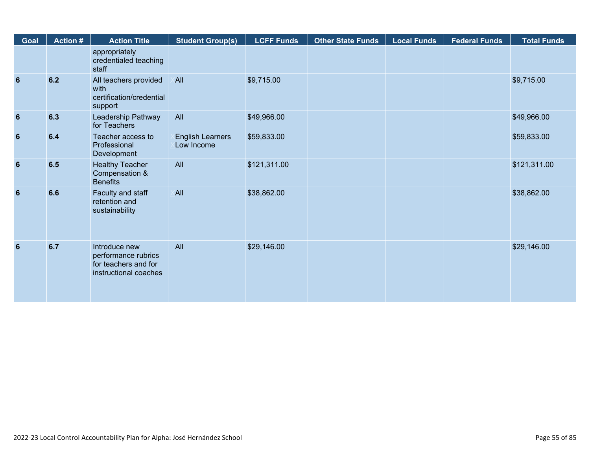| Goal            | <b>Action #</b> | <b>Action Title</b>                                                                   | <b>Student Group(s)</b>               | <b>LCFF Funds</b> | <b>Other State Funds</b> | <b>Local Funds</b> | <b>Federal Funds</b> | <b>Total Funds</b> |
|-----------------|-----------------|---------------------------------------------------------------------------------------|---------------------------------------|-------------------|--------------------------|--------------------|----------------------|--------------------|
|                 |                 | appropriately<br>credentialed teaching<br>staff                                       |                                       |                   |                          |                    |                      |                    |
| $6\phantom{1}6$ | 6.2             | All teachers provided<br>with<br>certification/credential<br>support                  | <b>All</b>                            | \$9,715.00        |                          |                    |                      | \$9,715.00         |
| $6\phantom{1}6$ | 6.3             | Leadership Pathway<br>for Teachers                                                    | All                                   | \$49,966.00       |                          |                    |                      | \$49,966.00        |
| $6\phantom{1}6$ | 6.4             | Teacher access to<br>Professional<br>Development                                      | <b>English Learners</b><br>Low Income | \$59,833.00       |                          |                    |                      | \$59,833.00        |
| $6\phantom{1}6$ | 6.5             | <b>Healthy Teacher</b><br>Compensation &<br><b>Benefits</b>                           | All                                   | \$121,311.00      |                          |                    |                      | \$121,311.00       |
| 6               | 6.6             | Faculty and staff<br>retention and<br>sustainability                                  | <b>All</b>                            | \$38,862.00       |                          |                    |                      | \$38,862.00        |
| 6               | 6.7             | Introduce new<br>performance rubrics<br>for teachers and for<br>instructional coaches | All                                   | \$29,146.00       |                          |                    |                      | \$29,146.00        |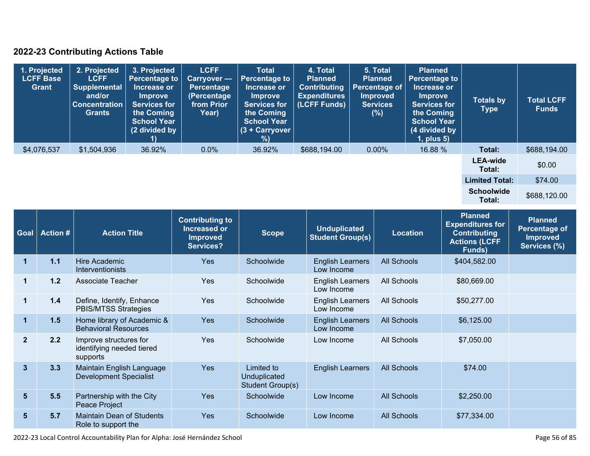### **2022-23 Contributing Actions Table**

| 1. Projected<br><b>LCFF Base</b><br><b>Grant</b> | 2. Projected<br><b>LCFF</b><br><b>Supplemental</b><br>and/or<br><b>Concentration</b><br>Grants | 3. Projected<br><b>Percentage to</b><br>Increase or<br><b>Improve</b><br><b>Services for</b><br>the Coming<br><b>School Year</b><br>(2 divided by | <b>LCFF</b><br>Carryover -<br><b>Percentage</b><br>(Percentage<br>from Prior<br>Year) | <b>Total</b><br><b>Percentage to</b><br>Increase or<br><b>Improve</b><br><b>Services for</b><br>the Coming<br><b>School Year</b><br>(3 + Carryover<br>%) | 4. Total<br><b>Planned</b><br><b>Contributing</b><br><b>Expenditures</b><br>(LCFF Funds) | 5. Total<br><b>Planned</b><br><b>Percentage of</b><br><b>Improved</b><br><b>Services</b><br>(%) | <b>Planned</b><br><b>Percentage to</b><br>Increase or<br><b>Improve</b><br><b>Services for</b><br>the Coming<br><b>School Year</b><br>(4 divided by<br>$1$ , plus $5$ ) | <b>Totals by</b><br><b>Type</b> | <b>Total LCFF</b><br><b>Funds</b> |
|--------------------------------------------------|------------------------------------------------------------------------------------------------|---------------------------------------------------------------------------------------------------------------------------------------------------|---------------------------------------------------------------------------------------|----------------------------------------------------------------------------------------------------------------------------------------------------------|------------------------------------------------------------------------------------------|-------------------------------------------------------------------------------------------------|-------------------------------------------------------------------------------------------------------------------------------------------------------------------------|---------------------------------|-----------------------------------|
| \$4,076,537                                      | \$1,504,936                                                                                    | 36.92%                                                                                                                                            | 0.0%                                                                                  | 36.92%                                                                                                                                                   | \$688,194.00                                                                             | $0.00\%$                                                                                        | 16.88 %                                                                                                                                                                 | Total:                          | \$688,194.00                      |
|                                                  |                                                                                                |                                                                                                                                                   |                                                                                       |                                                                                                                                                          |                                                                                          |                                                                                                 |                                                                                                                                                                         | <b>LEA-wide</b><br>Total:       | \$0.00                            |
|                                                  |                                                                                                |                                                                                                                                                   |                                                                                       |                                                                                                                                                          |                                                                                          |                                                                                                 |                                                                                                                                                                         | <b>Limited Total:</b>           | \$74.00                           |
|                                                  |                                                                                                |                                                                                                                                                   |                                                                                       |                                                                                                                                                          |                                                                                          |                                                                                                 |                                                                                                                                                                         | <b>Schoolwide</b><br>Total:     | \$688,120.00                      |

| Goal           | <b>Action #</b> | <b>Action Title</b>                                             | <b>Contributing to</b><br>Increased or<br><b>Improved</b><br>Services? | <b>Scope</b>                                   | <b>Unduplicated</b><br><b>Student Group(s)</b> | <b>Location</b>    | <b>Planned</b><br><b>Expenditures for</b><br><b>Contributing</b><br><b>Actions (LCFF</b><br>Funds) | <b>Planned</b><br>Percentage of<br><b>Improved</b><br>Services (%) |
|----------------|-----------------|-----------------------------------------------------------------|------------------------------------------------------------------------|------------------------------------------------|------------------------------------------------|--------------------|----------------------------------------------------------------------------------------------------|--------------------------------------------------------------------|
| 1              | 1.1             | Hire Academic<br>Interventionists                               | <b>Yes</b>                                                             | Schoolwide                                     | <b>English Learners</b><br>Low Income          | <b>All Schools</b> | \$404,582.00                                                                                       |                                                                    |
|                | 1.2             | <b>Associate Teacher</b>                                        | <b>Yes</b>                                                             | Schoolwide                                     | <b>English Learners</b><br>Low Income          | All Schools        | \$80,669.00                                                                                        |                                                                    |
| 1              | 1.4             | Define, Identify, Enhance<br><b>PBIS/MTSS Strategies</b>        | Yes                                                                    | Schoolwide                                     | <b>English Learners</b><br>Low Income          | All Schools        | \$50,277.00                                                                                        |                                                                    |
| 1              | 1.5             | Home library of Academic &<br><b>Behavioral Resources</b>       | <b>Yes</b>                                                             | Schoolwide                                     | <b>English Learners</b><br>Low Income          | <b>All Schools</b> | \$6,125.00                                                                                         |                                                                    |
| $\overline{2}$ | 2.2             | Improve structures for<br>identifying needed tiered<br>supports | Yes                                                                    | Schoolwide                                     | Low Income                                     | <b>All Schools</b> | \$7,050.00                                                                                         |                                                                    |
| $\mathbf{3}$   | 3.3             | Maintain English Language<br><b>Development Specialist</b>      | Yes                                                                    | Limited to<br>Unduplicated<br>Student Group(s) | <b>English Learners</b>                        | <b>All Schools</b> | \$74.00                                                                                            |                                                                    |
| 5 <sub>5</sub> | 5.5             | Partnership with the City<br>Peace Project                      | <b>Yes</b>                                                             | Schoolwide                                     | Low Income                                     | <b>All Schools</b> | \$2,250.00                                                                                         |                                                                    |
| 5 <sup>5</sup> | 5.7             | <b>Maintain Dean of Students</b><br>Role to support the         | <b>Yes</b>                                                             | Schoolwide                                     | Low Income                                     | <b>All Schools</b> | \$77,334.00                                                                                        |                                                                    |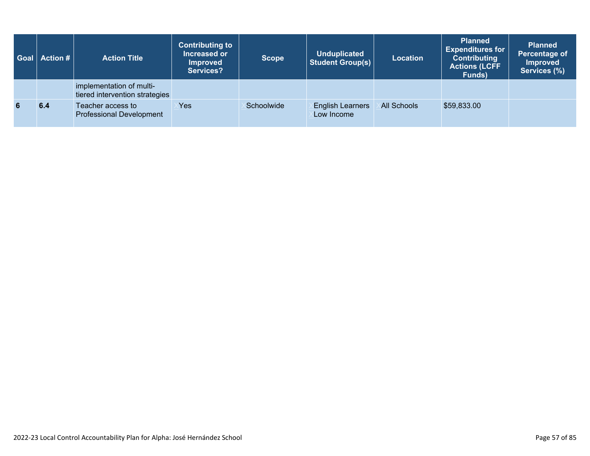| Goal | $\blacksquare$ Action # $\blacksquare$ | <b>Action Title</b>                                        | <b>Contributing to</b><br>Increased or<br><b>Improved</b><br>Services? | <b>Scope</b> | <b>Unduplicated</b><br><b>Student Group(s)</b> | <b>Location</b>    | <b>Planned</b><br><b>Expenditures for</b><br><b>Contributing</b><br><b>Actions (LCFF</b><br>Funds) | <b>Planned</b><br>Percentage of<br><b>Improved</b><br>Services (%) |
|------|----------------------------------------|------------------------------------------------------------|------------------------------------------------------------------------|--------------|------------------------------------------------|--------------------|----------------------------------------------------------------------------------------------------|--------------------------------------------------------------------|
|      |                                        | implementation of multi-<br>tiered intervention strategies |                                                                        |              |                                                |                    |                                                                                                    |                                                                    |
|      | 6.4                                    | Teacher access to<br><b>Professional Development</b>       | Yes                                                                    | Schoolwide   | <b>English Learners</b><br>Low Income          | <b>All Schools</b> | \$59,833.00                                                                                        |                                                                    |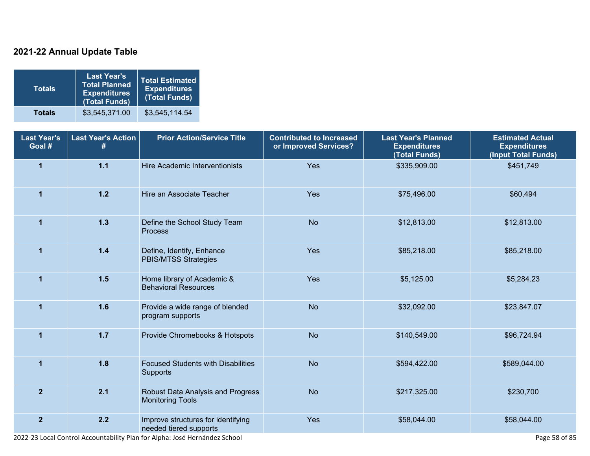### **2021-22 Annual Update Table**

| <b>Totals</b> | <b>Last Year's</b><br><b>Total Planned</b><br><b>Expenditures</b><br>(Total Funds) | <b>Total Estimated</b><br><b>Expenditures</b><br>(Total Funds) |
|---------------|------------------------------------------------------------------------------------|----------------------------------------------------------------|
| <b>Totals</b> | \$3,545,371.00                                                                     | \$3,545,114.54                                                 |

| <b>Last Year's</b><br>Goal # | <b>Last Year's Action</b><br># | <b>Prior Action/Service Title</b>                            | <b>Contributed to Increased</b><br>or Improved Services? | <b>Last Year's Planned</b><br><b>Expenditures</b><br>(Total Funds) | <b>Estimated Actual</b><br><b>Expenditures</b><br>(Input Total Funds) |
|------------------------------|--------------------------------|--------------------------------------------------------------|----------------------------------------------------------|--------------------------------------------------------------------|-----------------------------------------------------------------------|
| $\mathbf{1}$                 | $1.1$                          | Hire Academic Interventionists                               | Yes                                                      | \$335,909.00                                                       | \$451,749                                                             |
| 1                            | $1.2$                          | Hire an Associate Teacher                                    | Yes                                                      | \$75,496.00                                                        | \$60,494                                                              |
| $\mathbf{1}$                 | $1.3$                          | Define the School Study Team<br><b>Process</b>               | <b>No</b>                                                | \$12,813.00                                                        | \$12,813.00                                                           |
| $\blacktriangleleft$         | $1.4$                          | Define, Identify, Enhance<br><b>PBIS/MTSS Strategies</b>     | Yes                                                      | \$85,218.00                                                        | \$85,218.00                                                           |
| $\mathbf{1}$                 | 1.5                            | Home library of Academic &<br><b>Behavioral Resources</b>    | Yes                                                      | \$5,125.00                                                         | \$5,284.23                                                            |
| $\blacktriangleleft$         | 1.6                            | Provide a wide range of blended<br>program supports          | <b>No</b>                                                | \$32,092.00                                                        | \$23,847.07                                                           |
| $\mathbf{1}$                 | $1.7$                          | Provide Chromebooks & Hotspots                               | <b>No</b>                                                | \$140,549.00                                                       | \$96,724.94                                                           |
| $\blacktriangleleft$         | 1.8                            | <b>Focused Students with Disabilities</b><br>Supports        | <b>No</b>                                                | \$594,422.00                                                       | \$589,044.00                                                          |
| $\overline{2}$               | 2.1                            | Robust Data Analysis and Progress<br><b>Monitoring Tools</b> | <b>No</b>                                                | \$217,325.00                                                       | \$230,700                                                             |
| $\overline{2}$               | 2.2                            | Improve structures for identifying<br>needed tiered supports | Yes                                                      | \$58,044.00                                                        | \$58,044.00                                                           |

2022-23 Local Control Accountability Plan for Alpha: José Hernández School Page 58 of 85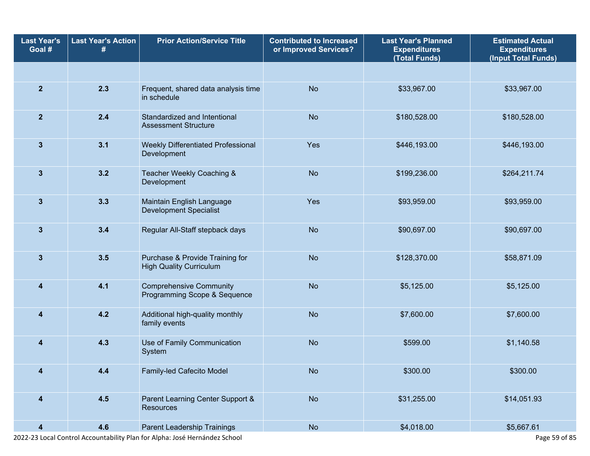| <b>Last Year's</b><br>Goal # | <b>Last Year's Action</b> | <b>Prior Action/Service Title</b>                                 | <b>Contributed to Increased</b><br>or Improved Services? | <b>Last Year's Planned</b><br><b>Expenditures</b><br>(Total Funds) | <b>Estimated Actual</b><br><b>Expenditures</b><br>(Input Total Funds) |
|------------------------------|---------------------------|-------------------------------------------------------------------|----------------------------------------------------------|--------------------------------------------------------------------|-----------------------------------------------------------------------|
|                              |                           |                                                                   |                                                          |                                                                    |                                                                       |
| $\overline{2}$               | 2.3                       | Frequent, shared data analysis time<br>in schedule                | <b>No</b>                                                | \$33,967.00                                                        | \$33,967.00                                                           |
| $\overline{2}$               | 2.4                       | Standardized and Intentional<br><b>Assessment Structure</b>       | <b>No</b>                                                | \$180,528.00                                                       | \$180,528.00                                                          |
| $\mathbf{3}$                 | 3.1                       | Weekly Differentiated Professional<br>Development                 | Yes                                                      | \$446,193.00                                                       | \$446,193.00                                                          |
| $\mathbf{3}$                 | 3.2                       | Teacher Weekly Coaching &<br>Development                          | <b>No</b>                                                | \$199,236.00                                                       | \$264,211.74                                                          |
| $\mathbf{3}$                 | 3.3                       | Maintain English Language<br><b>Development Specialist</b>        | Yes                                                      | \$93,959.00                                                        | \$93,959.00                                                           |
| $\mathbf{3}$                 | 3.4                       | Regular All-Staff stepback days                                   | <b>No</b>                                                | \$90,697.00                                                        | \$90,697.00                                                           |
| $\mathbf{3}$                 | 3.5                       | Purchase & Provide Training for<br><b>High Quality Curriculum</b> | <b>No</b>                                                | \$128,370.00                                                       | \$58,871.09                                                           |
| $\overline{\mathbf{4}}$      | 4.1                       | <b>Comprehensive Community</b><br>Programming Scope & Sequence    | <b>No</b>                                                | \$5,125.00                                                         | \$5,125.00                                                            |
| $\overline{\bf{4}}$          | 4.2                       | Additional high-quality monthly<br>family events                  | <b>No</b>                                                | \$7,600.00                                                         | \$7,600.00                                                            |
| 4                            | 4.3                       | Use of Family Communication<br>System                             | <b>No</b>                                                | \$599.00                                                           | \$1,140.58                                                            |
| 4                            | 4.4                       | Family-led Cafecito Model                                         | <b>No</b>                                                | \$300.00                                                           | \$300.00                                                              |
| 4                            | 4.5                       | Parent Learning Center Support &<br><b>Resources</b>              | <b>No</b>                                                | \$31,255.00                                                        | \$14,051.93                                                           |
| $\overline{\mathbf{4}}$      | 4.6                       | Parent Leadership Trainings                                       | No                                                       | \$4,018.00                                                         | \$5,667.61                                                            |

2022-23 Local Control Accountability Plan for Alpha: José Hernández School Page 59 of 85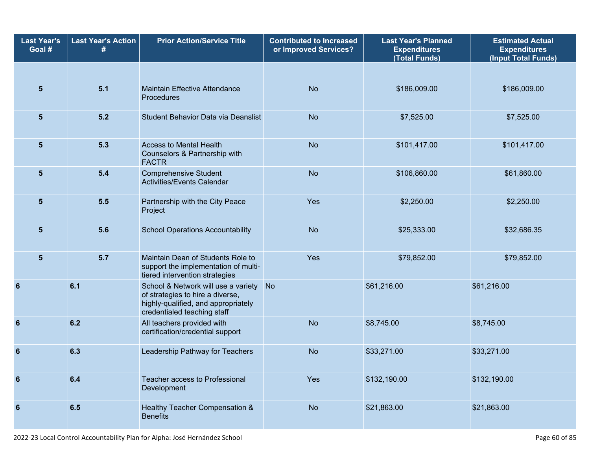| <b>Last Year's</b><br>Goal # | <b>Last Year's Action</b> | <b>Prior Action/Service Title</b>                                                                                                             | <b>Contributed to Increased</b><br>or Improved Services? | <b>Last Year's Planned</b><br><b>Expenditures</b><br>(Total Funds) | <b>Estimated Actual</b><br><b>Expenditures</b><br>(Input Total Funds) |  |
|------------------------------|---------------------------|-----------------------------------------------------------------------------------------------------------------------------------------------|----------------------------------------------------------|--------------------------------------------------------------------|-----------------------------------------------------------------------|--|
|                              |                           |                                                                                                                                               |                                                          |                                                                    |                                                                       |  |
| $5\phantom{1}$               | 5.1                       | <b>Maintain Effective Attendance</b><br>Procedures                                                                                            | <b>No</b>                                                | \$186,009.00                                                       | \$186,009.00                                                          |  |
| 5                            | 5.2                       | Student Behavior Data via Deanslist                                                                                                           | <b>No</b>                                                | \$7,525.00                                                         | \$7,525.00                                                            |  |
| $5\phantom{1}$               | 5.3                       | <b>Access to Mental Health</b><br>Counselors & Partnership with<br><b>FACTR</b>                                                               | <b>No</b>                                                | \$101,417.00                                                       | \$101,417.00                                                          |  |
| $5\phantom{.0}$              | 5.4                       | <b>Comprehensive Student</b><br>Activities/Events Calendar                                                                                    | <b>No</b>                                                | \$106,860.00                                                       | \$61,860.00                                                           |  |
| 5                            | 5.5                       | Partnership with the City Peace<br>Project                                                                                                    | Yes<br>\$2,250.00                                        |                                                                    | \$2,250.00                                                            |  |
| $5\phantom{1}$               | 5.6                       | <b>School Operations Accountability</b>                                                                                                       | <b>No</b>                                                | \$25,333.00                                                        | \$32,686.35                                                           |  |
| $5\phantom{1}$               | 5.7                       | Maintain Dean of Students Role to<br>support the implementation of multi-<br>tiered intervention strategies                                   | Yes                                                      | \$79,852.00                                                        | \$79,852.00                                                           |  |
| 6                            | 6.1                       | School & Network will use a variety<br>of strategies to hire a diverse,<br>highly-qualified, and appropriately<br>credentialed teaching staff | <b>No</b>                                                | \$61,216.00                                                        | \$61,216.00                                                           |  |
| 6                            | 6.2                       | All teachers provided with<br>certification/credential support                                                                                | <b>No</b>                                                | \$8,745.00                                                         | \$8,745.00                                                            |  |
| $6\phantom{1}6$              | 6.3                       | Leadership Pathway for Teachers                                                                                                               | <b>No</b>                                                | \$33,271.00                                                        | \$33,271.00                                                           |  |
| $6\phantom{1}6$              | 6.4                       | Teacher access to Professional<br>Development                                                                                                 | Yes                                                      | \$132,190.00                                                       | \$132,190.00                                                          |  |
| $6\phantom{1}6$              | 6.5                       | Healthy Teacher Compensation &<br><b>Benefits</b>                                                                                             | <b>No</b>                                                | \$21,863.00                                                        | \$21,863.00                                                           |  |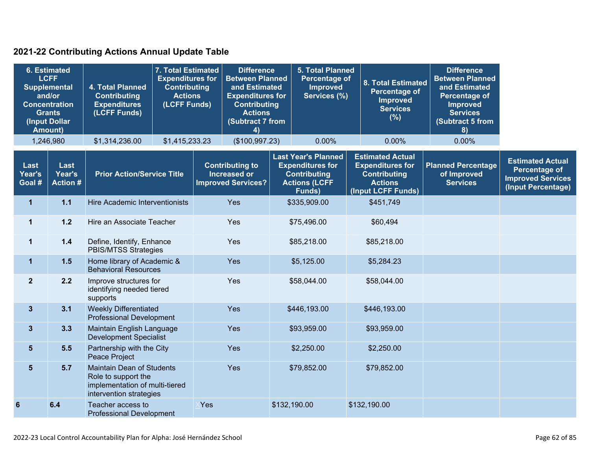### **2021-22 Contributing Actions Annual Update Table**

| <b>6. Estimated</b><br><b>LCFF</b><br><b>Supplemental</b><br>and/or<br><b>Concentration</b><br><b>Grants</b><br>(Input Dollar<br>Amount) |                                  | 4. Total Planned<br><b>Contributing</b><br><b>Expenditures</b><br>(LCFF Funds)                                       | 7. Total Estimated<br><b>Expenditures for</b><br><b>Contributing</b><br><b>Actions</b><br>(LCFF Funds) |     | <b>Difference</b><br><b>Between Planned</b><br>and Estimated<br><b>Expenditures for</b><br><b>Contributing</b><br><b>Actions</b><br>(Subtract 7 from<br>4) |                                                                                                                | <b>5. Total Planned</b><br>Percentage of<br><b>Improved</b><br>Services (%) |                                                                                                                   | 8. Total Estimated<br><b>Percentage of</b><br><b>Improved</b><br><b>Services</b><br>(%) | <b>Difference</b><br><b>Between Planned</b><br>and Estimated<br>Percentage of<br><b>Improved</b><br><b>Services</b><br>(Subtract 5 from<br>8) |                                                                                                   |
|------------------------------------------------------------------------------------------------------------------------------------------|----------------------------------|----------------------------------------------------------------------------------------------------------------------|--------------------------------------------------------------------------------------------------------|-----|------------------------------------------------------------------------------------------------------------------------------------------------------------|----------------------------------------------------------------------------------------------------------------|-----------------------------------------------------------------------------|-------------------------------------------------------------------------------------------------------------------|-----------------------------------------------------------------------------------------|-----------------------------------------------------------------------------------------------------------------------------------------------|---------------------------------------------------------------------------------------------------|
| 1,246,980<br>\$1,314,236.00                                                                                                              |                                  | \$1,415,233.23                                                                                                       | (\$100,997.23)                                                                                         |     |                                                                                                                                                            | 0.00%                                                                                                          |                                                                             | 0.00%                                                                                                             | 0.00%                                                                                   |                                                                                                                                               |                                                                                                   |
| Last<br>Year's<br>Goal #                                                                                                                 | Last<br>Year's<br><b>Action#</b> | <b>Prior Action/Service Title</b>                                                                                    |                                                                                                        |     | <b>Contributing to</b><br><b>Increased or</b><br><b>Improved Services?</b>                                                                                 | <b>Last Year's Planned</b><br><b>Expenditures for</b><br><b>Contributing</b><br><b>Actions (LCFF</b><br>Funds) |                                                                             | <b>Estimated Actual</b><br><b>Expenditures for</b><br><b>Contributing</b><br><b>Actions</b><br>(Input LCFF Funds) |                                                                                         | <b>Planned Percentage</b><br>of Improved<br><b>Services</b>                                                                                   | <b>Estimated Actual</b><br><b>Percentage of</b><br><b>Improved Services</b><br>(Input Percentage) |
| $\mathbf{1}$                                                                                                                             | $1.1$                            | <b>Hire Academic Interventionists</b>                                                                                |                                                                                                        |     | Yes                                                                                                                                                        |                                                                                                                | \$335,909.00                                                                |                                                                                                                   | \$451,749                                                                               |                                                                                                                                               |                                                                                                   |
| $\mathbf{1}$                                                                                                                             | $1.2$                            | Hire an Associate Teacher                                                                                            |                                                                                                        | Yes |                                                                                                                                                            | \$75,496.00                                                                                                    |                                                                             |                                                                                                                   | \$60,494                                                                                |                                                                                                                                               |                                                                                                   |
| $\mathbf{1}$                                                                                                                             | $1.4$                            | Define, Identify, Enhance<br>PBIS/MTSS Strategies                                                                    |                                                                                                        |     | Yes                                                                                                                                                        |                                                                                                                | \$85,218.00                                                                 |                                                                                                                   | \$85,218.00                                                                             |                                                                                                                                               |                                                                                                   |
| $\mathbf{1}$                                                                                                                             | 1.5                              | Home library of Academic &<br><b>Behavioral Resources</b>                                                            |                                                                                                        |     | Yes                                                                                                                                                        |                                                                                                                | \$5,125.00                                                                  |                                                                                                                   | \$5,284.23                                                                              |                                                                                                                                               |                                                                                                   |
| $\mathbf{2}$                                                                                                                             | 2.2                              | Improve structures for<br>identifying needed tiered<br>supports                                                      |                                                                                                        |     | Yes                                                                                                                                                        |                                                                                                                | \$58,044.00                                                                 |                                                                                                                   | \$58,044.00                                                                             |                                                                                                                                               |                                                                                                   |
| $\mathbf{3}$                                                                                                                             | 3.1                              | <b>Weekly Differentiated</b><br><b>Professional Development</b>                                                      |                                                                                                        |     | Yes                                                                                                                                                        |                                                                                                                | \$446,193.00                                                                |                                                                                                                   | \$446,193.00                                                                            |                                                                                                                                               |                                                                                                   |
| $\mathbf{3}$                                                                                                                             | 3.3                              | Maintain English Language<br><b>Development Specialist</b>                                                           |                                                                                                        |     | Yes                                                                                                                                                        |                                                                                                                | \$93,959.00                                                                 |                                                                                                                   | \$93,959.00                                                                             |                                                                                                                                               |                                                                                                   |
| $5\phantom{1}$                                                                                                                           | 5.5                              | Partnership with the City<br>Peace Project                                                                           |                                                                                                        |     | Yes                                                                                                                                                        |                                                                                                                | \$2,250.00                                                                  |                                                                                                                   | \$2,250.00                                                                              |                                                                                                                                               |                                                                                                   |
| $5\phantom{1}$                                                                                                                           | 5.7                              | <b>Maintain Dean of Students</b><br>Role to support the<br>implementation of multi-tiered<br>intervention strategies |                                                                                                        |     | Yes                                                                                                                                                        |                                                                                                                | \$79,852.00                                                                 |                                                                                                                   | \$79,852.00                                                                             |                                                                                                                                               |                                                                                                   |
| 6                                                                                                                                        | 6.4                              | Teacher access to<br><b>Professional Development</b>                                                                 |                                                                                                        | Yes |                                                                                                                                                            | \$132,190.00                                                                                                   |                                                                             |                                                                                                                   | \$132,190.00                                                                            |                                                                                                                                               |                                                                                                   |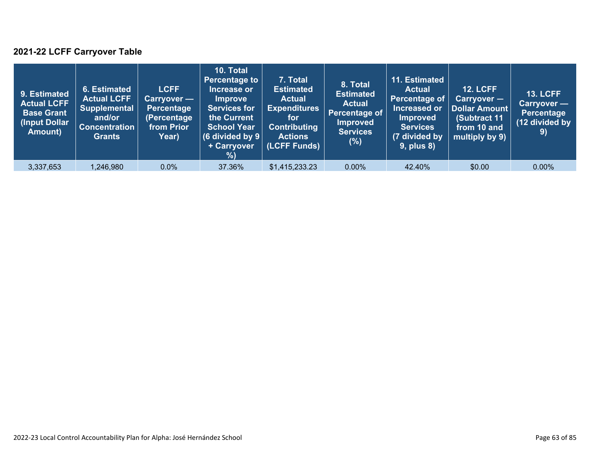### **2021-22 LCFF Carryover Table**

| 9. Estimated<br><b>Actual LCFF</b><br><b>Base Grant</b><br>(Input Dollar<br>Amount) | 6. Estimated<br><b>Actual LCFF</b><br><b>Supplemental</b><br>and/or<br><b>Concentration</b><br><b>Grants</b> | <b>LCFF</b><br><b>Carryover</b> —<br>Percentage<br>(Percentage<br>from Prior<br>Year) | 10. Total<br><b>Percentage to</b><br>Increase or<br><b>Improve</b><br><b>Services for</b><br>the Current<br><b>School Year</b><br>(6 divided by $9$ $ $<br>+ Carryover<br>%) | 7. Total<br><b>Estimated</b><br><b>Actual</b><br><b>Expenditures</b><br>for<br><b>Contributing</b><br><b>Actions</b><br>(LCFF Funds) | 8. Total<br><b>Estimated</b><br><b>Actual</b><br>Percentage of<br><b>Improved</b><br><b>Services</b><br>$(\%)$ | 11. Estimated<br><b>Actual</b><br>Percentage of<br>Increased or<br><b>Improved</b><br><b>Services</b><br>(7 divided by<br><b>9, plus 8)</b> | <b>12. LCFF</b><br>$Carryover -$<br>Dollar Amount<br>(Subtract 11<br>from 10 and<br>multiply by 9) | <b>13. LCFF</b><br>Carryover —<br>Percentage<br>(12 divided by<br>9) |
|-------------------------------------------------------------------------------------|--------------------------------------------------------------------------------------------------------------|---------------------------------------------------------------------------------------|------------------------------------------------------------------------------------------------------------------------------------------------------------------------------|--------------------------------------------------------------------------------------------------------------------------------------|----------------------------------------------------------------------------------------------------------------|---------------------------------------------------------------------------------------------------------------------------------------------|----------------------------------------------------------------------------------------------------|----------------------------------------------------------------------|
| 3,337,653                                                                           | 1,246,980                                                                                                    | 0.0%                                                                                  | 37.36%                                                                                                                                                                       | \$1,415,233.23                                                                                                                       | $0.00\%$                                                                                                       | 42.40%                                                                                                                                      | \$0.00                                                                                             | 0.00%                                                                |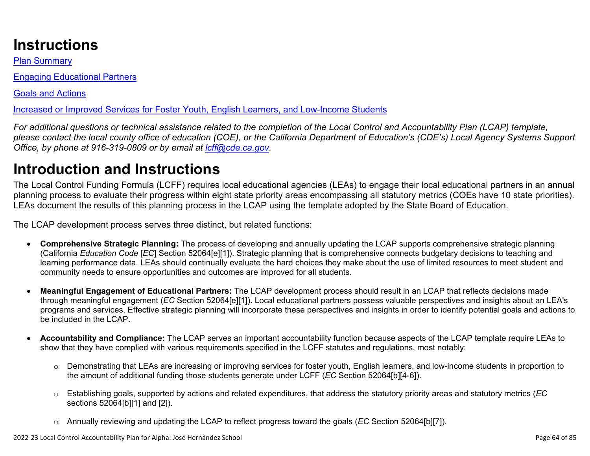# **Instructions**

Plan Summary

Engaging Educational Partners

Goals and Actions

Increased or Improved Services for Foster Youth, English Learners, and Low-Income Students

*For additional questions or technical assistance related to the completion of the Local Control and Accountability Plan (LCAP) template, please contact the local county office of education (COE), or the California Department of Education's (CDE's) Local Agency Systems Support Office, by phone at 916-319-0809 or by email at [lcff@cde.ca.gov](mailto:lcff@cde.ca.gov).*

# **Introduction and Instructions**

The Local Control Funding Formula (LCFF) requires local educational agencies (LEAs) to engage their local educational partners in an annual planning process to evaluate their progress within eight state priority areas encompassing all statutory metrics (COEs have 10 state priorities). LEAs document the results of this planning process in the LCAP using the template adopted by the State Board of Education.

The LCAP development process serves three distinct, but related functions:

- **Comprehensive Strategic Planning:** The process of developing and annually updating the LCAP supports comprehensive strategic planning (California *Education Code* [*EC*] Section 52064[e][1]). Strategic planning that is comprehensive connects budgetary decisions to teaching and learning performance data. LEAs should continually evaluate the hard choices they make about the use of limited resources to meet student and community needs to ensure opportunities and outcomes are improved for all students.
- **Meaningful Engagement of Educational Partners:** The LCAP development process should result in an LCAP that reflects decisions made through meaningful engagement (*EC* Section 52064[e][1]). Local educational partners possess valuable perspectives and insights about an LEA's programs and services. Effective strategic planning will incorporate these perspectives and insights in order to identify potential goals and actions to be included in the LCAP.
- **Accountability and Compliance:** The LCAP serves an important accountability function because aspects of the LCAP template require LEAs to show that they have complied with various requirements specified in the LCFF statutes and regulations, most notably:
	- o Demonstrating that LEAs are increasing or improving services for foster youth, English learners, and low-income students in proportion to the amount of additional funding those students generate under LCFF (*EC* Section 52064[b][4-6]).
	- o Establishing goals, supported by actions and related expenditures, that address the statutory priority areas and statutory metrics (*EC* sections 52064[b][1] and [2]).
	- o Annually reviewing and updating the LCAP to reflect progress toward the goals (*EC* Section 52064[b][7]).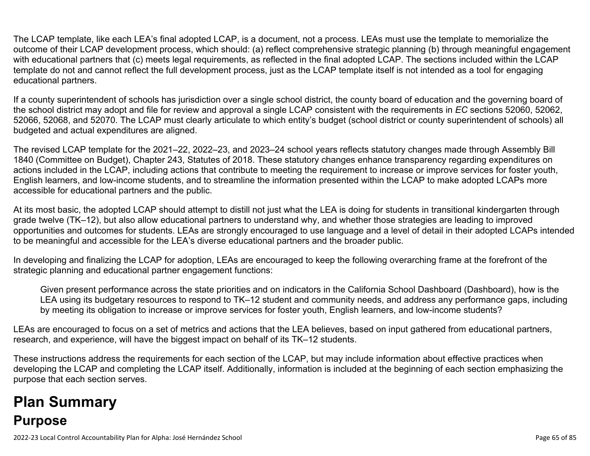The LCAP template, like each LEA's final adopted LCAP, is a document, not a process. LEAs must use the template to memorialize the outcome of their LCAP development process, which should: (a) reflect comprehensive strategic planning (b) through meaningful engagement with educational partners that (c) meets legal requirements, as reflected in the final adopted LCAP. The sections included within the LCAP template do not and cannot reflect the full development process, just as the LCAP template itself is not intended as a tool for engaging educational partners.

If a county superintendent of schools has jurisdiction over a single school district, the county board of education and the governing board of the school district may adopt and file for review and approval a single LCAP consistent with the requirements in *EC* sections 52060, 52062, 52066, 52068, and 52070. The LCAP must clearly articulate to which entity's budget (school district or county superintendent of schools) all budgeted and actual expenditures are aligned.

The revised LCAP template for the 2021–22, 2022–23, and 2023–24 school years reflects statutory changes made through Assembly Bill 1840 (Committee on Budget), Chapter 243, Statutes of 2018. These statutory changes enhance transparency regarding expenditures on actions included in the LCAP, including actions that contribute to meeting the requirement to increase or improve services for foster youth, English learners, and low-income students, and to streamline the information presented within the LCAP to make adopted LCAPs more accessible for educational partners and the public.

At its most basic, the adopted LCAP should attempt to distill not just what the LEA is doing for students in transitional kindergarten through grade twelve (TK–12), but also allow educational partners to understand why, and whether those strategies are leading to improved opportunities and outcomes for students. LEAs are strongly encouraged to use language and a level of detail in their adopted LCAPs intended to be meaningful and accessible for the LEA's diverse educational partners and the broader public.

In developing and finalizing the LCAP for adoption, LEAs are encouraged to keep the following overarching frame at the forefront of the strategic planning and educational partner engagement functions:

Given present performance across the state priorities and on indicators in the California School Dashboard (Dashboard), how is the LEA using its budgetary resources to respond to TK–12 student and community needs, and address any performance gaps, including by meeting its obligation to increase or improve services for foster youth, English learners, and low-income students?

LEAs are encouraged to focus on a set of metrics and actions that the LEA believes, based on input gathered from educational partners, research, and experience, will have the biggest impact on behalf of its TK–12 students.

These instructions address the requirements for each section of the LCAP, but may include information about effective practices when developing the LCAP and completing the LCAP itself. Additionally, information is included at the beginning of each section emphasizing the purpose that each section serves.

# **Plan Summary Purpose**

2022-23 Local Control Accountability Plan for Alpha: José Hernández School Page 65 of 85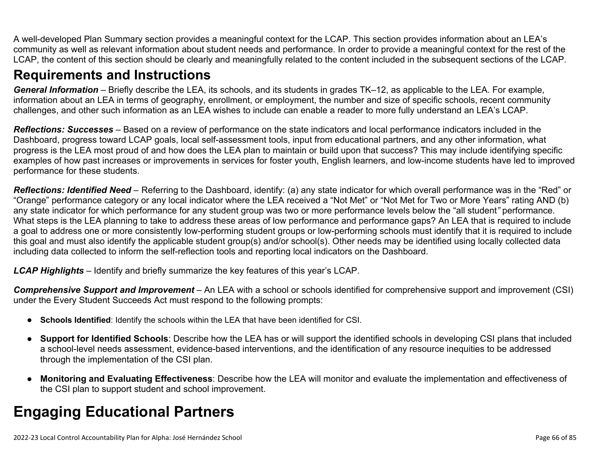A well-developed Plan Summary section provides a meaningful context for the LCAP. This section provides information about an LEA's community as well as relevant information about student needs and performance. In order to provide a meaningful context for the rest of the LCAP, the content of this section should be clearly and meaningfully related to the content included in the subsequent sections of the LCAP.

## **Requirements and Instructions**

*General Information* – Briefly describe the LEA, its schools, and its students in grades TK–12, as applicable to the LEA. For example, information about an LEA in terms of geography, enrollment, or employment, the number and size of specific schools, recent community challenges, and other such information as an LEA wishes to include can enable a reader to more fully understand an LEA's LCAP.

*Reflections: Successes* – Based on a review of performance on the state indicators and local performance indicators included in the Dashboard, progress toward LCAP goals, local self-assessment tools, input from educational partners, and any other information, what progress is the LEA most proud of and how does the LEA plan to maintain or build upon that success? This may include identifying specific examples of how past increases or improvements in services for foster youth, English learners, and low-income students have led to improved performance for these students.

*Reflections: Identified Need* – Referring to the Dashboard, identify: (a) any state indicator for which overall performance was in the "Red" or "Orange" performance category or any local indicator where the LEA received a "Not Met" or "Not Met for Two or More Years" rating AND (b) any state indicator for which performance for any student group was two or more performance levels below the "all student*"* performance. What steps is the LEA planning to take to address these areas of low performance and performance gaps? An LEA that is required to include a goal to address one or more consistently low-performing student groups or low-performing schools must identify that it is required to include this goal and must also identify the applicable student group(s) and/or school(s). Other needs may be identified using locally collected data including data collected to inform the self-reflection tools and reporting local indicators on the Dashboard.

*LCAP Highlights* – Identify and briefly summarize the key features of this year's LCAP.

*Comprehensive Support and Improvement* – An LEA with a school or schools identified for comprehensive support and improvement (CSI) under the Every Student Succeeds Act must respond to the following prompts:

- **Schools Identified**: Identify the schools within the LEA that have been identified for CSI.
- **Support for Identified Schools**: Describe how the LEA has or will support the identified schools in developing CSI plans that included a school-level needs assessment, evidence-based interventions, and the identification of any resource inequities to be addressed through the implementation of the CSI plan.
- **Monitoring and Evaluating Effectiveness**: Describe how the LEA will monitor and evaluate the implementation and effectiveness of the CSI plan to support student and school improvement.

# **Engaging Educational Partners**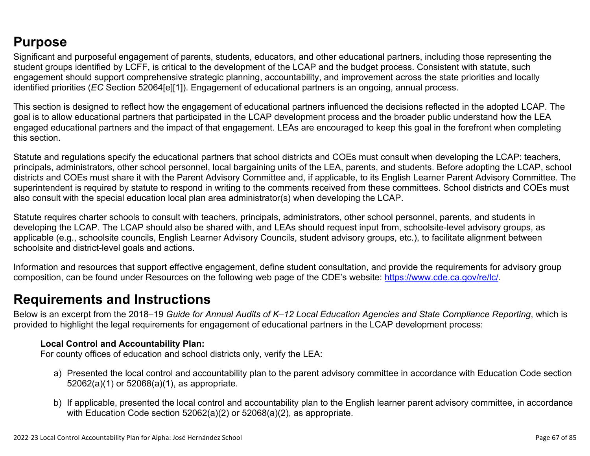## **Purpose**

Significant and purposeful engagement of parents, students, educators, and other educational partners, including those representing the student groups identified by LCFF, is critical to the development of the LCAP and the budget process. Consistent with statute, such engagement should support comprehensive strategic planning, accountability, and improvement across the state priorities and locally identified priorities (*EC* Section 52064[e][1]). Engagement of educational partners is an ongoing, annual process.

This section is designed to reflect how the engagement of educational partners influenced the decisions reflected in the adopted LCAP. The goal is to allow educational partners that participated in the LCAP development process and the broader public understand how the LEA engaged educational partners and the impact of that engagement. LEAs are encouraged to keep this goal in the forefront when completing this section.

Statute and regulations specify the educational partners that school districts and COEs must consult when developing the LCAP: teachers, principals, administrators, other school personnel, local bargaining units of the LEA, parents, and students. Before adopting the LCAP, school districts and COEs must share it with the Parent Advisory Committee and, if applicable, to its English Learner Parent Advisory Committee. The superintendent is required by statute to respond in writing to the comments received from these committees. School districts and COEs must also consult with the special education local plan area administrator(s) when developing the LCAP.

Statute requires charter schools to consult with teachers, principals, administrators, other school personnel, parents, and students in developing the LCAP. The LCAP should also be shared with, and LEAs should request input from, schoolsite-level advisory groups, as applicable (e.g., schoolsite councils, English Learner Advisory Councils, student advisory groups, etc.), to facilitate alignment between schoolsite and district-level goals and actions.

Information and resources that support effective engagement, define student consultation, and provide the requirements for advisory group composition, can be found under Resources on the following web page of the CDE's website: <https://www.cde.ca.gov/re/lc/>.

### **Requirements and Instructions**

Below is an excerpt from the 2018–19 *Guide for Annual Audits of K–12 Local Education Agencies and State Compliance Reporting*, which is provided to highlight the legal requirements for engagement of educational partners in the LCAP development process:

#### **Local Control and Accountability Plan:**

For county offices of education and school districts only, verify the LEA:

- a) Presented the local control and accountability plan to the parent advisory committee in accordance with Education Code section 52062(a)(1) or 52068(a)(1), as appropriate.
- b) If applicable, presented the local control and accountability plan to the English learner parent advisory committee, in accordance with Education Code section 52062(a)(2) or 52068(a)(2), as appropriate.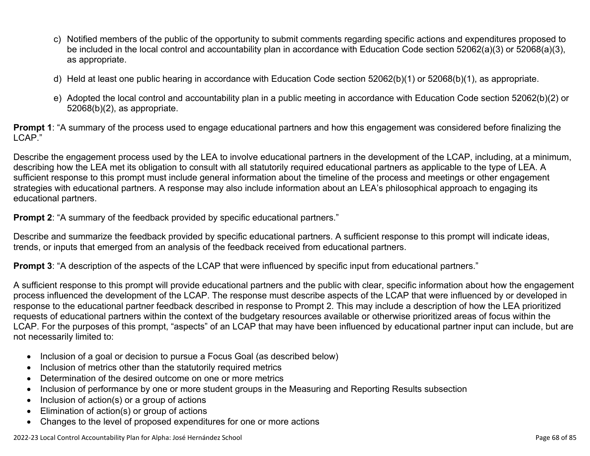- c) Notified members of the public of the opportunity to submit comments regarding specific actions and expenditures proposed to be included in the local control and accountability plan in accordance with Education Code section 52062(a)(3) or 52068(a)(3), as appropriate.
- d) Held at least one public hearing in accordance with Education Code section 52062(b)(1) or 52068(b)(1), as appropriate.
- e) Adopted the local control and accountability plan in a public meeting in accordance with Education Code section 52062(b)(2) or 52068(b)(2), as appropriate.

**Prompt 1**: "A summary of the process used to engage educational partners and how this engagement was considered before finalizing the LCAP."

Describe the engagement process used by the LEA to involve educational partners in the development of the LCAP, including, at a minimum, describing how the LEA met its obligation to consult with all statutorily required educational partners as applicable to the type of LEA. A sufficient response to this prompt must include general information about the timeline of the process and meetings or other engagement strategies with educational partners. A response may also include information about an LEA's philosophical approach to engaging its educational partners.

**Prompt 2:** "A summary of the feedback provided by specific educational partners."

Describe and summarize the feedback provided by specific educational partners. A sufficient response to this prompt will indicate ideas, trends, or inputs that emerged from an analysis of the feedback received from educational partners.

**Prompt 3**: "A description of the aspects of the LCAP that were influenced by specific input from educational partners."

A sufficient response to this prompt will provide educational partners and the public with clear, specific information about how the engagement process influenced the development of the LCAP. The response must describe aspects of the LCAP that were influenced by or developed in response to the educational partner feedback described in response to Prompt 2. This may include a description of how the LEA prioritized requests of educational partners within the context of the budgetary resources available or otherwise prioritized areas of focus within the LCAP. For the purposes of this prompt, "aspects" of an LCAP that may have been influenced by educational partner input can include, but are not necessarily limited to:

- Inclusion of a goal or decision to pursue a Focus Goal (as described below)
- Inclusion of metrics other than the statutorily required metrics
- Determination of the desired outcome on one or more metrics
- Inclusion of performance by one or more student groups in the Measuring and Reporting Results subsection
- Inclusion of action(s) or a group of actions
- Elimination of action(s) or group of actions
- Changes to the level of proposed expenditures for one or more actions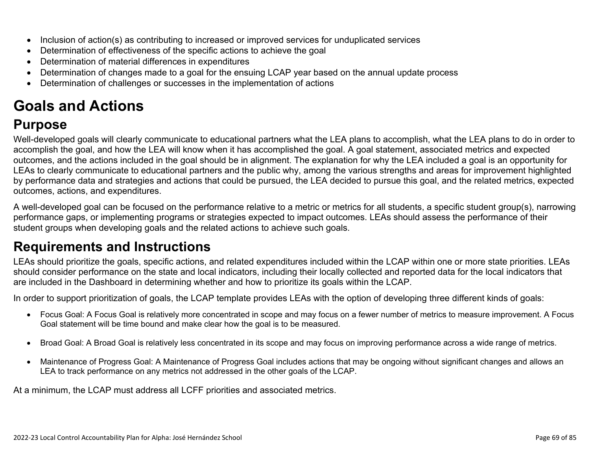- Inclusion of action(s) as contributing to increased or improved services for unduplicated services
- Determination of effectiveness of the specific actions to achieve the goal
- Determination of material differences in expenditures
- Determination of changes made to a goal for the ensuing LCAP year based on the annual update process
- Determination of challenges or successes in the implementation of actions

# **Goals and Actions**

## **Purpose**

Well-developed goals will clearly communicate to educational partners what the LEA plans to accomplish, what the LEA plans to do in order to accomplish the goal, and how the LEA will know when it has accomplished the goal. A goal statement, associated metrics and expected outcomes, and the actions included in the goal should be in alignment. The explanation for why the LEA included a goal is an opportunity for LEAs to clearly communicate to educational partners and the public why, among the various strengths and areas for improvement highlighted by performance data and strategies and actions that could be pursued, the LEA decided to pursue this goal, and the related metrics, expected outcomes, actions, and expenditures.

A well-developed goal can be focused on the performance relative to a metric or metrics for all students, a specific student group(s), narrowing performance gaps, or implementing programs or strategies expected to impact outcomes. LEAs should assess the performance of their student groups when developing goals and the related actions to achieve such goals.

## **Requirements and Instructions**

LEAs should prioritize the goals, specific actions, and related expenditures included within the LCAP within one or more state priorities. LEAs should consider performance on the state and local indicators, including their locally collected and reported data for the local indicators that are included in the Dashboard in determining whether and how to prioritize its goals within the LCAP.

In order to support prioritization of goals, the LCAP template provides LEAs with the option of developing three different kinds of goals:

- Focus Goal: A Focus Goal is relatively more concentrated in scope and may focus on a fewer number of metrics to measure improvement. A Focus Goal statement will be time bound and make clear how the goal is to be measured.
- Broad Goal: A Broad Goal is relatively less concentrated in its scope and may focus on improving performance across a wide range of metrics.
- Maintenance of Progress Goal: A Maintenance of Progress Goal includes actions that may be ongoing without significant changes and allows an LEA to track performance on any metrics not addressed in the other goals of the LCAP.

At a minimum, the LCAP must address all LCFF priorities and associated metrics.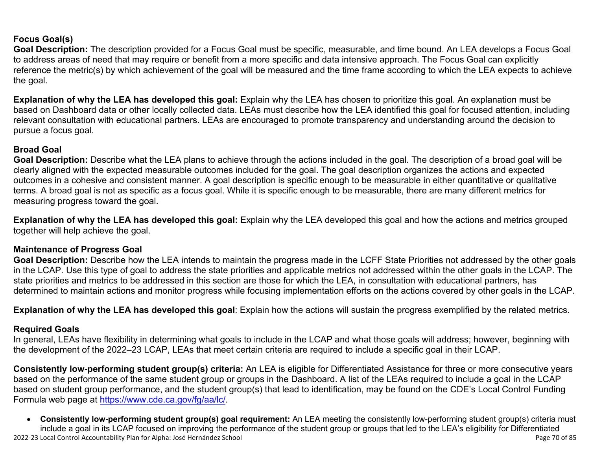#### **Focus Goal(s)**

**Goal Description:** The description provided for a Focus Goal must be specific, measurable, and time bound. An LEA develops a Focus Goal to address areas of need that may require or benefit from a more specific and data intensive approach. The Focus Goal can explicitly reference the metric(s) by which achievement of the goal will be measured and the time frame according to which the LEA expects to achieve the goal.

**Explanation of why the LEA has developed this goal:** Explain why the LEA has chosen to prioritize this goal. An explanation must be based on Dashboard data or other locally collected data. LEAs must describe how the LEA identified this goal for focused attention, including relevant consultation with educational partners. LEAs are encouraged to promote transparency and understanding around the decision to pursue a focus goal.

#### **Broad Goal**

Goal Description: Describe what the LEA plans to achieve through the actions included in the goal. The description of a broad goal will be clearly aligned with the expected measurable outcomes included for the goal. The goal description organizes the actions and expected outcomes in a cohesive and consistent manner. A goal description is specific enough to be measurable in either quantitative or qualitative terms. A broad goal is not as specific as a focus goal. While it is specific enough to be measurable, there are many different metrics for measuring progress toward the goal.

**Explanation of why the LEA has developed this goal:** Explain why the LEA developed this goal and how the actions and metrics grouped together will help achieve the goal.

#### **Maintenance of Progress Goal**

**Goal Description:** Describe how the LEA intends to maintain the progress made in the LCFF State Priorities not addressed by the other goals in the LCAP. Use this type of goal to address the state priorities and applicable metrics not addressed within the other goals in the LCAP. The state priorities and metrics to be addressed in this section are those for which the LEA, in consultation with educational partners, has determined to maintain actions and monitor progress while focusing implementation efforts on the actions covered by other goals in the LCAP.

**Explanation of why the LEA has developed this goal**: Explain how the actions will sustain the progress exemplified by the related metrics.

#### **Required Goals**

In general, LEAs have flexibility in determining what goals to include in the LCAP and what those goals will address; however, beginning with the development of the 2022–23 LCAP, LEAs that meet certain criteria are required to include a specific goal in their LCAP.

**Consistently low-performing student group(s) criteria:** An LEA is eligible for Differentiated Assistance for three or more consecutive years based on the performance of the same student group or groups in the Dashboard. A list of the LEAs required to include a goal in the LCAP based on student group performance, and the student group(s) that lead to identification, may be found on the CDE's Local Control Funding Formula web page at [https://www.cde.ca.gov/fg/aa/lc/.](https://www.cde.ca.gov/fg/aa/lc/)

2022-23 Local Control Accountability Plan for Alpha: José Hernández School Page 70 of 85 • **Consistently low-performing student group(s) goal requirement:** An LEA meeting the consistently low-performing student group(s) criteria must include a goal in its LCAP focused on improving the performance of the student group or groups that led to the LEA's eligibility for Differentiated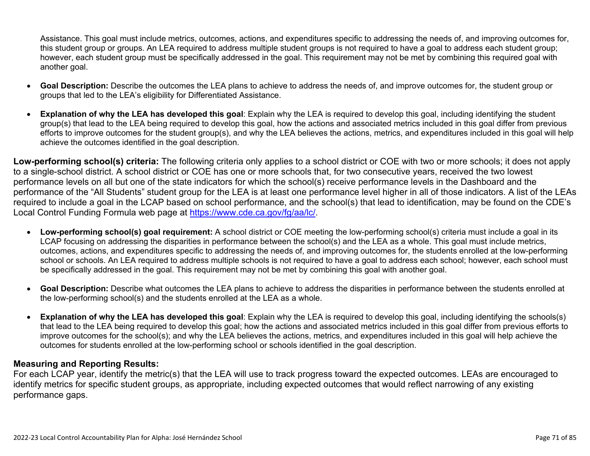Assistance. This goal must include metrics, outcomes, actions, and expenditures specific to addressing the needs of, and improving outcomes for, this student group or groups. An LEA required to address multiple student groups is not required to have a goal to address each student group; however, each student group must be specifically addressed in the goal. This requirement may not be met by combining this required goal with another goal.

- **Goal Description:** Describe the outcomes the LEA plans to achieve to address the needs of, and improve outcomes for, the student group or groups that led to the LEA's eligibility for Differentiated Assistance.
- **Explanation of why the LEA has developed this goal**: Explain why the LEA is required to develop this goal, including identifying the student group(s) that lead to the LEA being required to develop this goal, how the actions and associated metrics included in this goal differ from previous efforts to improve outcomes for the student group(s), and why the LEA believes the actions, metrics, and expenditures included in this goal will help achieve the outcomes identified in the goal description.

**Low-performing school(s) criteria:** The following criteria only applies to a school district or COE with two or more schools; it does not apply to a single-school district. A school district or COE has one or more schools that, for two consecutive years, received the two lowest performance levels on all but one of the state indicators for which the school(s) receive performance levels in the Dashboard and the performance of the "All Students" student group for the LEA is at least one performance level higher in all of those indicators. A list of the LEAs required to include a goal in the LCAP based on school performance, and the school(s) that lead to identification, may be found on the CDE's Local Control Funding Formula web page at [https://www.cde.ca.gov/fg/aa/lc/.](https://www.cde.ca.gov/fg/aa/lc/)

- **Low-performing school(s) goal requirement:** A school district or COE meeting the low-performing school(s) criteria must include a goal in its LCAP focusing on addressing the disparities in performance between the school(s) and the LEA as a whole. This goal must include metrics, outcomes, actions, and expenditures specific to addressing the needs of, and improving outcomes for, the students enrolled at the low-performing school or schools. An LEA required to address multiple schools is not required to have a goal to address each school; however, each school must be specifically addressed in the goal. This requirement may not be met by combining this goal with another goal.
- **Goal Description:** Describe what outcomes the LEA plans to achieve to address the disparities in performance between the students enrolled at the low-performing school(s) and the students enrolled at the LEA as a whole.
- **Explanation of why the LEA has developed this goal**: Explain why the LEA is required to develop this goal, including identifying the schools(s) that lead to the LEA being required to develop this goal; how the actions and associated metrics included in this goal differ from previous efforts to improve outcomes for the school(s); and why the LEA believes the actions, metrics, and expenditures included in this goal will help achieve the outcomes for students enrolled at the low-performing school or schools identified in the goal description.

#### **Measuring and Reporting Results:**

For each LCAP year, identify the metric(s) that the LEA will use to track progress toward the expected outcomes. LEAs are encouraged to identify metrics for specific student groups, as appropriate, including expected outcomes that would reflect narrowing of any existing performance gaps.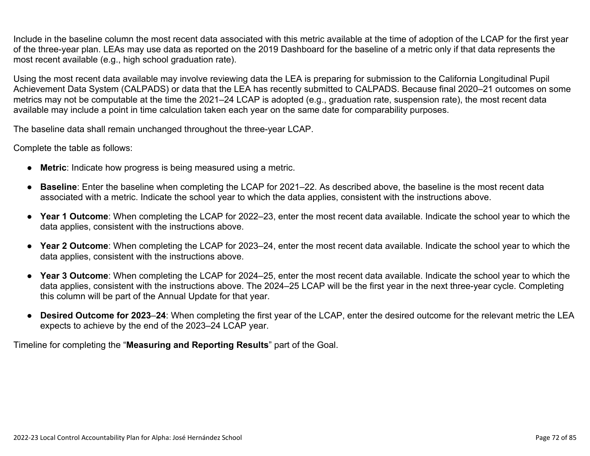Include in the baseline column the most recent data associated with this metric available at the time of adoption of the LCAP for the first year of the three-year plan. LEAs may use data as reported on the 2019 Dashboard for the baseline of a metric only if that data represents the most recent available (e.g., high school graduation rate).

Using the most recent data available may involve reviewing data the LEA is preparing for submission to the California Longitudinal Pupil Achievement Data System (CALPADS) or data that the LEA has recently submitted to CALPADS. Because final 2020–21 outcomes on some metrics may not be computable at the time the 2021–24 LCAP is adopted (e.g., graduation rate, suspension rate), the most recent data available may include a point in time calculation taken each year on the same date for comparability purposes.

The baseline data shall remain unchanged throughout the three-year LCAP.

Complete the table as follows:

- **Metric**: Indicate how progress is being measured using a metric.
- **Baseline**: Enter the baseline when completing the LCAP for 2021–22. As described above, the baseline is the most recent data associated with a metric. Indicate the school year to which the data applies, consistent with the instructions above.
- **Year 1 Outcome**: When completing the LCAP for 2022–23, enter the most recent data available. Indicate the school year to which the data applies, consistent with the instructions above.
- **Year 2 Outcome**: When completing the LCAP for 2023–24, enter the most recent data available. Indicate the school year to which the data applies, consistent with the instructions above.
- **Year 3 Outcome**: When completing the LCAP for 2024–25, enter the most recent data available. Indicate the school year to which the data applies, consistent with the instructions above. The 2024–25 LCAP will be the first year in the next three-year cycle. Completing this column will be part of the Annual Update for that year.
- **Desired Outcome for 2023**–**24**: When completing the first year of the LCAP, enter the desired outcome for the relevant metric the LEA expects to achieve by the end of the 2023–24 LCAP year.

Timeline for completing the "**Measuring and Reporting Results**" part of the Goal.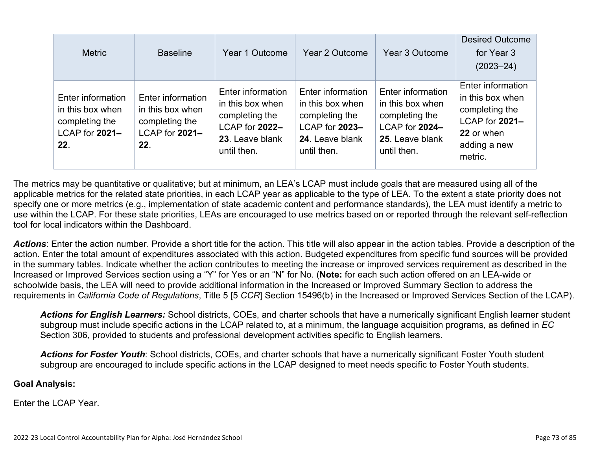| <b>Metric</b>                                                                    | <b>Baseline</b>                                                                  | Year 1 Outcome                                                                                              | Year 2 Outcome                                                                                              | Year 3 Outcome                                                                                              | <b>Desired Outcome</b><br>for Year 3<br>$(2023 - 24)$                                                              |
|----------------------------------------------------------------------------------|----------------------------------------------------------------------------------|-------------------------------------------------------------------------------------------------------------|-------------------------------------------------------------------------------------------------------------|-------------------------------------------------------------------------------------------------------------|--------------------------------------------------------------------------------------------------------------------|
| Enter information<br>in this box when<br>completing the<br>LCAP for 2021-<br>22. | Enter information<br>in this box when<br>completing the<br>LCAP for 2021-<br>22. | Enter information<br>in this box when<br>completing the<br>LCAP for 2022-<br>23. Leave blank<br>until then. | Enter information<br>in this box when<br>completing the<br>LCAP for 2023-<br>24. Leave blank<br>until then. | Enter information<br>in this box when<br>completing the<br>LCAP for 2024-<br>25. Leave blank<br>until then. | Enter information<br>in this box when<br>completing the<br>LCAP for 2021-<br>22 or when<br>adding a new<br>metric. |

The metrics may be quantitative or qualitative; but at minimum, an LEA's LCAP must include goals that are measured using all of the applicable metrics for the related state priorities, in each LCAP year as applicable to the type of LEA. To the extent a state priority does not specify one or more metrics (e.g., implementation of state academic content and performance standards), the LEA must identify a metric to use within the LCAP. For these state priorities, LEAs are encouraged to use metrics based on or reported through the relevant self-reflection tool for local indicators within the Dashboard.

*Actions*: Enter the action number. Provide a short title for the action. This title will also appear in the action tables. Provide a description of the action. Enter the total amount of expenditures associated with this action. Budgeted expenditures from specific fund sources will be provided in the summary tables. Indicate whether the action contributes to meeting the increase or improved services requirement as described in the Increased or Improved Services section using a "Y" for Yes or an "N" for No. (**Note:** for each such action offered on an LEA-wide or schoolwide basis, the LEA will need to provide additional information in the Increased or Improved Summary Section to address the requirements in *California Code of Regulations*, Title 5 [5 *CCR*] Section 15496(b) in the Increased or Improved Services Section of the LCAP).

*Actions for English Learners:* School districts, COEs, and charter schools that have a numerically significant English learner student subgroup must include specific actions in the LCAP related to, at a minimum, the language acquisition programs, as defined in *EC* Section 306, provided to students and professional development activities specific to English learners.

*Actions for Foster Youth*: School districts, COEs, and charter schools that have a numerically significant Foster Youth student subgroup are encouraged to include specific actions in the LCAP designed to meet needs specific to Foster Youth students.

#### **Goal Analysis:**

Enter the LCAP Year.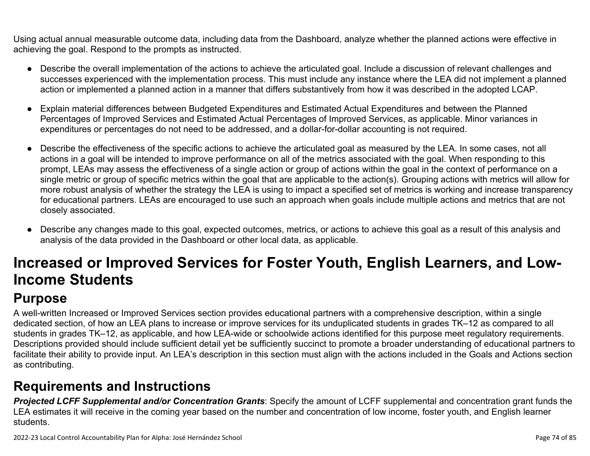Using actual annual measurable outcome data, including data from the Dashboard, analyze whether the planned actions were effective in achieving the goal. Respond to the prompts as instructed.

- Describe the overall implementation of the actions to achieve the articulated goal. Include a discussion of relevant challenges and successes experienced with the implementation process. This must include any instance where the LEA did not implement a planned action or implemented a planned action in a manner that differs substantively from how it was described in the adopted LCAP.
- Explain material differences between Budgeted Expenditures and Estimated Actual Expenditures and between the Planned Percentages of Improved Services and Estimated Actual Percentages of Improved Services, as applicable. Minor variances in expenditures or percentages do not need to be addressed, and a dollar-for-dollar accounting is not required.
- Describe the effectiveness of the specific actions to achieve the articulated goal as measured by the LEA. In some cases, not all actions in a goal will be intended to improve performance on all of the metrics associated with the goal. When responding to this prompt, LEAs may assess the effectiveness of a single action or group of actions within the goal in the context of performance on a single metric or group of specific metrics within the goal that are applicable to the action(s). Grouping actions with metrics will allow for more robust analysis of whether the strategy the LEA is using to impact a specified set of metrics is working and increase transparency for educational partners. LEAs are encouraged to use such an approach when goals include multiple actions and metrics that are not closely associated.
- Describe any changes made to this goal, expected outcomes, metrics, or actions to achieve this goal as a result of this analysis and analysis of the data provided in the Dashboard or other local data, as applicable.

# **Increased or Improved Services for Foster Youth, English Learners, and Low-Income Students**

## **Purpose**

A well-written Increased or Improved Services section provides educational partners with a comprehensive description, within a single dedicated section, of how an LEA plans to increase or improve services for its unduplicated students in grades TK–12 as compared to all students in grades TK–12, as applicable, and how LEA-wide or schoolwide actions identified for this purpose meet regulatory requirements. Descriptions provided should include sufficient detail yet be sufficiently succinct to promote a broader understanding of educational partners to facilitate their ability to provide input. An LEA's description in this section must align with the actions included in the Goals and Actions section as contributing.

### **Requirements and Instructions**

*Projected LCFF Supplemental and/or Concentration Grants*: Specify the amount of LCFF supplemental and concentration grant funds the LEA estimates it will receive in the coming year based on the number and concentration of low income, foster youth, and English learner students.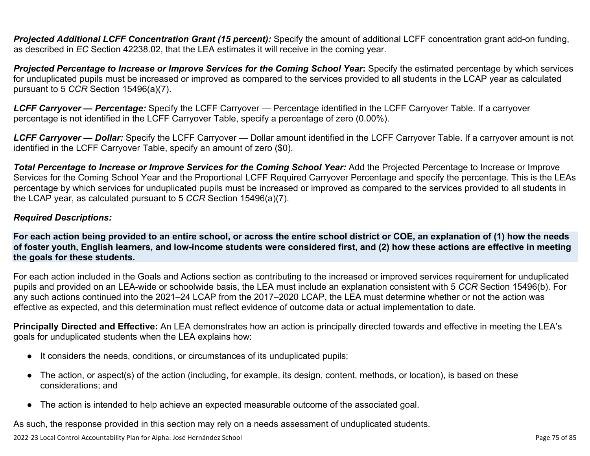**Projected Additional LCFF Concentration Grant (15 percent):** Specify the amount of additional LCFF concentration grant add-on funding, as described in *EC* Section 42238.02, that the LEA estimates it will receive in the coming year.

*Projected Percentage to Increase or Improve Services for the Coming School Year***:** Specify the estimated percentage by which services for unduplicated pupils must be increased or improved as compared to the services provided to all students in the LCAP year as calculated pursuant to 5 *CCR* Section 15496(a)(7).

*LCFF Carryover — Percentage:* Specify the LCFF Carryover — Percentage identified in the LCFF Carryover Table. If a carryover percentage is not identified in the LCFF Carryover Table, specify a percentage of zero (0.00%).

*LCFF Carryover — Dollar:* Specify the LCFF Carryover — Dollar amount identified in the LCFF Carryover Table. If a carryover amount is not identified in the LCFF Carryover Table, specify an amount of zero (\$0).

**Total Percentage to Increase or Improve Services for the Coming School Year:** Add the Projected Percentage to Increase or Improve Services for the Coming School Year and the Proportional LCFF Required Carryover Percentage and specify the percentage. This is the LEAs percentage by which services for unduplicated pupils must be increased or improved as compared to the services provided to all students in the LCAP year, as calculated pursuant to 5 *CCR* Section 15496(a)(7).

### *Required Descriptions:*

**For each action being provided to an entire school, or across the entire school district or COE, an explanation of (1) how the needs of foster youth, English learners, and low-income students were considered first, and (2) how these actions are effective in meeting the goals for these students.**

For each action included in the Goals and Actions section as contributing to the increased or improved services requirement for unduplicated pupils and provided on an LEA-wide or schoolwide basis, the LEA must include an explanation consistent with 5 *CCR* Section 15496(b). For any such actions continued into the 2021–24 LCAP from the 2017–2020 LCAP, the LEA must determine whether or not the action was effective as expected, and this determination must reflect evidence of outcome data or actual implementation to date.

**Principally Directed and Effective:** An LEA demonstrates how an action is principally directed towards and effective in meeting the LEA's goals for unduplicated students when the LEA explains how:

- It considers the needs, conditions, or circumstances of its unduplicated pupils;
- The action, or aspect(s) of the action (including, for example, its design, content, methods, or location), is based on these considerations; and
- The action is intended to help achieve an expected measurable outcome of the associated goal.

As such, the response provided in this section may rely on a needs assessment of unduplicated students.

2022-23 Local Control Accountability Plan for Alpha: José Hernández School Page 75 of 85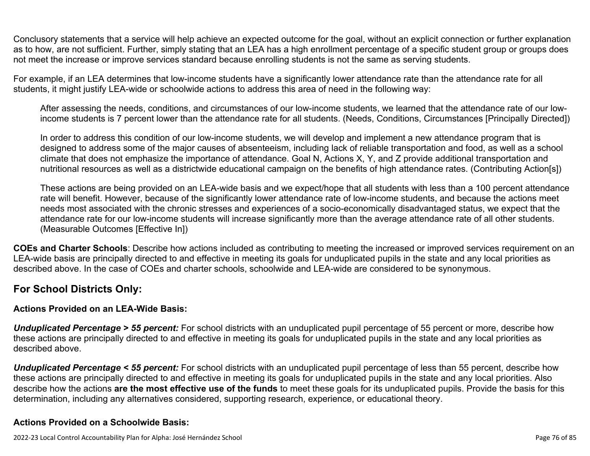Conclusory statements that a service will help achieve an expected outcome for the goal, without an explicit connection or further explanation as to how, are not sufficient. Further, simply stating that an LEA has a high enrollment percentage of a specific student group or groups does not meet the increase or improve services standard because enrolling students is not the same as serving students.

For example, if an LEA determines that low-income students have a significantly lower attendance rate than the attendance rate for all students, it might justify LEA-wide or schoolwide actions to address this area of need in the following way:

After assessing the needs, conditions, and circumstances of our low-income students, we learned that the attendance rate of our lowincome students is 7 percent lower than the attendance rate for all students. (Needs, Conditions, Circumstances [Principally Directed])

In order to address this condition of our low-income students, we will develop and implement a new attendance program that is designed to address some of the major causes of absenteeism, including lack of reliable transportation and food, as well as a school climate that does not emphasize the importance of attendance. Goal N, Actions X, Y, and Z provide additional transportation and nutritional resources as well as a districtwide educational campaign on the benefits of high attendance rates. (Contributing Action[s])

These actions are being provided on an LEA-wide basis and we expect/hope that all students with less than a 100 percent attendance rate will benefit. However, because of the significantly lower attendance rate of low-income students, and because the actions meet needs most associated with the chronic stresses and experiences of a socio-economically disadvantaged status, we expect that the attendance rate for our low-income students will increase significantly more than the average attendance rate of all other students. (Measurable Outcomes [Effective In])

**COEs and Charter Schools**: Describe how actions included as contributing to meeting the increased or improved services requirement on an LEA-wide basis are principally directed to and effective in meeting its goals for unduplicated pupils in the state and any local priorities as described above. In the case of COEs and charter schools, schoolwide and LEA-wide are considered to be synonymous.

### **For School Districts Only:**

### **Actions Provided on an LEA-Wide Basis:**

*Unduplicated Percentage > 55 percent:* For school districts with an unduplicated pupil percentage of 55 percent or more, describe how these actions are principally directed to and effective in meeting its goals for unduplicated pupils in the state and any local priorities as described above.

*Unduplicated Percentage < 55 percent:* For school districts with an unduplicated pupil percentage of less than 55 percent, describe how these actions are principally directed to and effective in meeting its goals for unduplicated pupils in the state and any local priorities. Also describe how the actions **are the most effective use of the funds** to meet these goals for its unduplicated pupils. Provide the basis for this determination, including any alternatives considered, supporting research, experience, or educational theory.

### **Actions Provided on a Schoolwide Basis:**

2022-23 Local Control Accountability Plan for Alpha: José Hernández School Page 76 of 85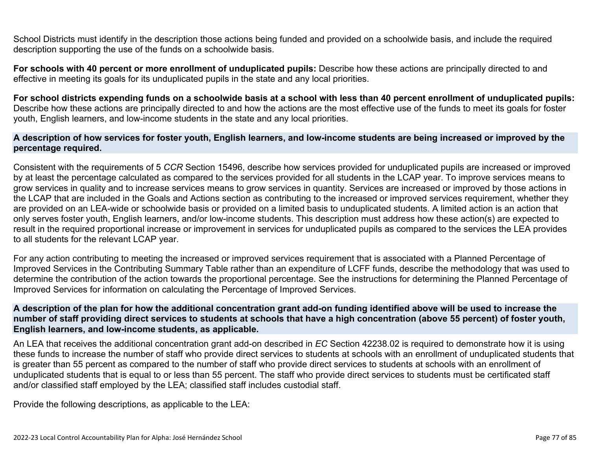School Districts must identify in the description those actions being funded and provided on a schoolwide basis, and include the required description supporting the use of the funds on a schoolwide basis.

**For schools with 40 percent or more enrollment of unduplicated pupils:** Describe how these actions are principally directed to and effective in meeting its goals for its unduplicated pupils in the state and any local priorities.

**For school districts expending funds on a schoolwide basis at a school with less than 40 percent enrollment of unduplicated pupils:** Describe how these actions are principally directed to and how the actions are the most effective use of the funds to meet its goals for foster youth, English learners, and low-income students in the state and any local priorities.

#### **A description of how services for foster youth, English learners, and low-income students are being increased or improved by the percentage required.**

Consistent with the requirements of 5 *CCR* Section 15496, describe how services provided for unduplicated pupils are increased or improved by at least the percentage calculated as compared to the services provided for all students in the LCAP year. To improve services means to grow services in quality and to increase services means to grow services in quantity. Services are increased or improved by those actions in the LCAP that are included in the Goals and Actions section as contributing to the increased or improved services requirement, whether they are provided on an LEA-wide or schoolwide basis or provided on a limited basis to unduplicated students. A limited action is an action that only serves foster youth, English learners, and/or low-income students. This description must address how these action(s) are expected to result in the required proportional increase or improvement in services for unduplicated pupils as compared to the services the LEA provides to all students for the relevant LCAP year.

For any action contributing to meeting the increased or improved services requirement that is associated with a Planned Percentage of Improved Services in the Contributing Summary Table rather than an expenditure of LCFF funds, describe the methodology that was used to determine the contribution of the action towards the proportional percentage. See the instructions for determining the Planned Percentage of Improved Services for information on calculating the Percentage of Improved Services.

#### **A description of the plan for how the additional concentration grant add-on funding identified above will be used to increase the number of staff providing direct services to students at schools that have a high concentration (above 55 percent) of foster youth, English learners, and low-income students, as applicable.**

An LEA that receives the additional concentration grant add-on described in *EC* Section 42238.02 is required to demonstrate how it is using these funds to increase the number of staff who provide direct services to students at schools with an enrollment of unduplicated students that is greater than 55 percent as compared to the number of staff who provide direct services to students at schools with an enrollment of unduplicated students that is equal to or less than 55 percent. The staff who provide direct services to students must be certificated staff and/or classified staff employed by the LEA; classified staff includes custodial staff.

Provide the following descriptions, as applicable to the LEA: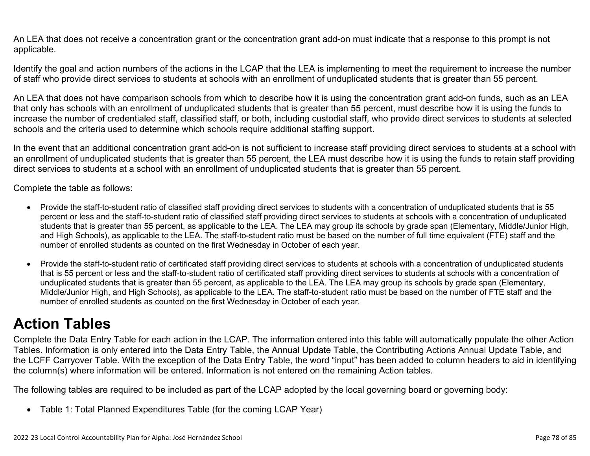An LEA that does not receive a concentration grant or the concentration grant add-on must indicate that a response to this prompt is not applicable.

Identify the goal and action numbers of the actions in the LCAP that the LEA is implementing to meet the requirement to increase the number of staff who provide direct services to students at schools with an enrollment of unduplicated students that is greater than 55 percent.

An LEA that does not have comparison schools from which to describe how it is using the concentration grant add-on funds, such as an LEA that only has schools with an enrollment of unduplicated students that is greater than 55 percent, must describe how it is using the funds to increase the number of credentialed staff, classified staff, or both, including custodial staff, who provide direct services to students at selected schools and the criteria used to determine which schools require additional staffing support.

In the event that an additional concentration grant add-on is not sufficient to increase staff providing direct services to students at a school with an enrollment of unduplicated students that is greater than 55 percent, the LEA must describe how it is using the funds to retain staff providing direct services to students at a school with an enrollment of unduplicated students that is greater than 55 percent.

Complete the table as follows:

- Provide the staff-to-student ratio of classified staff providing direct services to students with a concentration of unduplicated students that is 55 percent or less and the staff-to-student ratio of classified staff providing direct services to students at schools with a concentration of unduplicated students that is greater than 55 percent, as applicable to the LEA. The LEA may group its schools by grade span (Elementary, Middle/Junior High, and High Schools), as applicable to the LEA. The staff-to-student ratio must be based on the number of full time equivalent (FTE) staff and the number of enrolled students as counted on the first Wednesday in October of each year.
- Provide the staff-to-student ratio of certificated staff providing direct services to students at schools with a concentration of unduplicated students that is 55 percent or less and the staff-to-student ratio of certificated staff providing direct services to students at schools with a concentration of unduplicated students that is greater than 55 percent, as applicable to the LEA. The LEA may group its schools by grade span (Elementary, Middle/Junior High, and High Schools), as applicable to the LEA. The staff-to-student ratio must be based on the number of FTE staff and the number of enrolled students as counted on the first Wednesday in October of each year.

## **Action Tables**

Complete the Data Entry Table for each action in the LCAP. The information entered into this table will automatically populate the other Action Tables. Information is only entered into the Data Entry Table, the Annual Update Table, the Contributing Actions Annual Update Table, and the LCFF Carryover Table. With the exception of the Data Entry Table, the word "input" has been added to column headers to aid in identifying the column(s) where information will be entered. Information is not entered on the remaining Action tables.

The following tables are required to be included as part of the LCAP adopted by the local governing board or governing body:

• Table 1: Total Planned Expenditures Table (for the coming LCAP Year)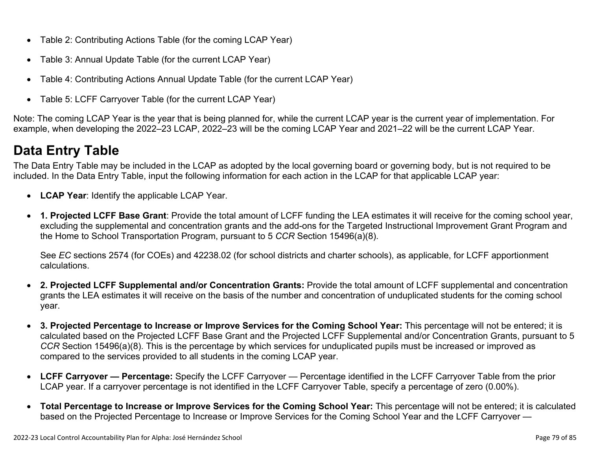- Table 2: Contributing Actions Table (for the coming LCAP Year)
- Table 3: Annual Update Table (for the current LCAP Year)
- Table 4: Contributing Actions Annual Update Table (for the current LCAP Year)
- Table 5: LCFF Carryover Table (for the current LCAP Year)

Note: The coming LCAP Year is the year that is being planned for, while the current LCAP year is the current year of implementation. For example, when developing the 2022–23 LCAP, 2022–23 will be the coming LCAP Year and 2021–22 will be the current LCAP Year.

## **Data Entry Table**

The Data Entry Table may be included in the LCAP as adopted by the local governing board or governing body, but is not required to be included. In the Data Entry Table, input the following information for each action in the LCAP for that applicable LCAP year:

- **LCAP Year**: Identify the applicable LCAP Year.
- **1. Projected LCFF Base Grant**: Provide the total amount of LCFF funding the LEA estimates it will receive for the coming school year, excluding the supplemental and concentration grants and the add-ons for the Targeted Instructional Improvement Grant Program and the Home to School Transportation Program, pursuant to 5 *CCR* Section 15496(a)(8).

See *EC* sections 2574 (for COEs) and 42238.02 (for school districts and charter schools), as applicable, for LCFF apportionment calculations.

- **2. Projected LCFF Supplemental and/or Concentration Grants:** Provide the total amount of LCFF supplemental and concentration grants the LEA estimates it will receive on the basis of the number and concentration of unduplicated students for the coming school year.
- **3. Projected Percentage to Increase or Improve Services for the Coming School Year:** This percentage will not be entered; it is calculated based on the Projected LCFF Base Grant and the Projected LCFF Supplemental and/or Concentration Grants, pursuant to 5 *CCR* Section 15496(a)(8). This is the percentage by which services for unduplicated pupils must be increased or improved as compared to the services provided to all students in the coming LCAP year.
- **LCFF Carryover Percentage:** Specify the LCFF Carryover Percentage identified in the LCFF Carryover Table from the prior LCAP year. If a carryover percentage is not identified in the LCFF Carryover Table, specify a percentage of zero (0.00%).
- **Total Percentage to Increase or Improve Services for the Coming School Year:** This percentage will not be entered; it is calculated based on the Projected Percentage to Increase or Improve Services for the Coming School Year and the LCFF Carryover —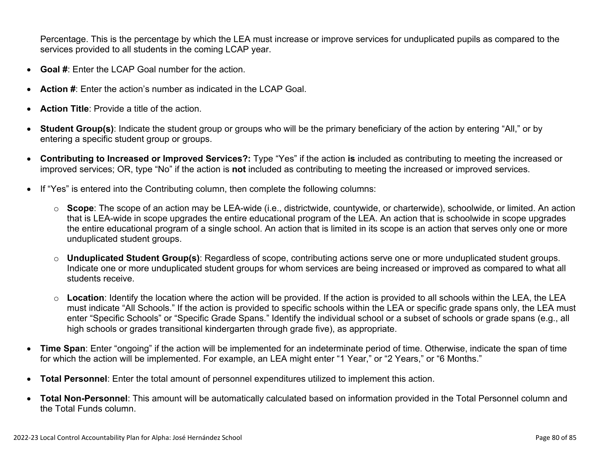Percentage. This is the percentage by which the LEA must increase or improve services for unduplicated pupils as compared to the services provided to all students in the coming LCAP year.

- **Goal #**: Enter the LCAP Goal number for the action.
- **Action #**: Enter the action's number as indicated in the LCAP Goal.
- **Action Title**: Provide a title of the action.
- **Student Group(s)**: Indicate the student group or groups who will be the primary beneficiary of the action by entering "All," or by entering a specific student group or groups.
- **Contributing to Increased or Improved Services?:** Type "Yes" if the action **is** included as contributing to meeting the increased or improved services; OR, type "No" if the action is **not** included as contributing to meeting the increased or improved services.
- If "Yes" is entered into the Contributing column, then complete the following columns:
	- o **Scope**: The scope of an action may be LEA-wide (i.e., districtwide, countywide, or charterwide), schoolwide, or limited. An action that is LEA-wide in scope upgrades the entire educational program of the LEA. An action that is schoolwide in scope upgrades the entire educational program of a single school. An action that is limited in its scope is an action that serves only one or more unduplicated student groups.
	- o **Unduplicated Student Group(s)**: Regardless of scope, contributing actions serve one or more unduplicated student groups. Indicate one or more unduplicated student groups for whom services are being increased or improved as compared to what all students receive.
	- o **Location**: Identify the location where the action will be provided. If the action is provided to all schools within the LEA, the LEA must indicate "All Schools." If the action is provided to specific schools within the LEA or specific grade spans only, the LEA must enter "Specific Schools" or "Specific Grade Spans." Identify the individual school or a subset of schools or grade spans (e.g., all high schools or grades transitional kindergarten through grade five), as appropriate.
- **Time Span**: Enter "ongoing" if the action will be implemented for an indeterminate period of time. Otherwise, indicate the span of time for which the action will be implemented. For example, an LEA might enter "1 Year," or "2 Years," or "6 Months."
- **Total Personnel**: Enter the total amount of personnel expenditures utilized to implement this action.
- **Total Non-Personnel**: This amount will be automatically calculated based on information provided in the Total Personnel column and the Total Funds column.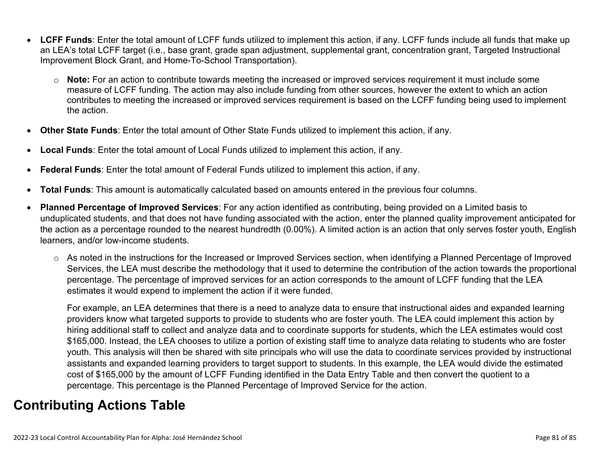- **LCFF Funds**: Enter the total amount of LCFF funds utilized to implement this action, if any. LCFF funds include all funds that make up an LEA's total LCFF target (i.e., base grant, grade span adjustment, supplemental grant, concentration grant, Targeted Instructional Improvement Block Grant, and Home-To-School Transportation).
	- o **Note:** For an action to contribute towards meeting the increased or improved services requirement it must include some measure of LCFF funding. The action may also include funding from other sources, however the extent to which an action contributes to meeting the increased or improved services requirement is based on the LCFF funding being used to implement the action.
- **Other State Funds**: Enter the total amount of Other State Funds utilized to implement this action, if any.
- **Local Funds**: Enter the total amount of Local Funds utilized to implement this action, if any.
- **Federal Funds**: Enter the total amount of Federal Funds utilized to implement this action, if any.
- **Total Funds**: This amount is automatically calculated based on amounts entered in the previous four columns.
- **Planned Percentage of Improved Services**: For any action identified as contributing, being provided on a Limited basis to unduplicated students, and that does not have funding associated with the action, enter the planned quality improvement anticipated for the action as a percentage rounded to the nearest hundredth (0.00%). A limited action is an action that only serves foster youth, English learners, and/or low-income students.
	- o As noted in the instructions for the Increased or Improved Services section, when identifying a Planned Percentage of Improved Services, the LEA must describe the methodology that it used to determine the contribution of the action towards the proportional percentage. The percentage of improved services for an action corresponds to the amount of LCFF funding that the LEA estimates it would expend to implement the action if it were funded.

For example, an LEA determines that there is a need to analyze data to ensure that instructional aides and expanded learning providers know what targeted supports to provide to students who are foster youth. The LEA could implement this action by hiring additional staff to collect and analyze data and to coordinate supports for students, which the LEA estimates would cost \$165,000. Instead, the LEA chooses to utilize a portion of existing staff time to analyze data relating to students who are foster youth. This analysis will then be shared with site principals who will use the data to coordinate services provided by instructional assistants and expanded learning providers to target support to students. In this example, the LEA would divide the estimated cost of \$165,000 by the amount of LCFF Funding identified in the Data Entry Table and then convert the quotient to a percentage. This percentage is the Planned Percentage of Improved Service for the action.

### **Contributing Actions Table**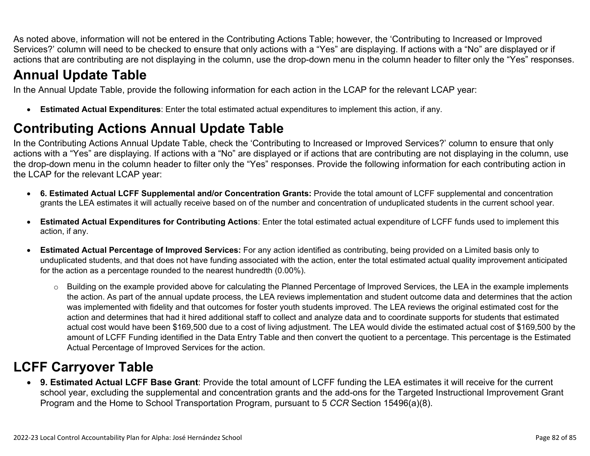As noted above, information will not be entered in the Contributing Actions Table; however, the 'Contributing to Increased or Improved Services?' column will need to be checked to ensure that only actions with a "Yes" are displaying. If actions with a "No" are displayed or if actions that are contributing are not displaying in the column, use the drop-down menu in the column header to filter only the "Yes" responses.

## **Annual Update Table**

In the Annual Update Table, provide the following information for each action in the LCAP for the relevant LCAP year:

• **Estimated Actual Expenditures**: Enter the total estimated actual expenditures to implement this action, if any.

## **Contributing Actions Annual Update Table**

In the Contributing Actions Annual Update Table, check the 'Contributing to Increased or Improved Services?' column to ensure that only actions with a "Yes" are displaying. If actions with a "No" are displayed or if actions that are contributing are not displaying in the column, use the drop-down menu in the column header to filter only the "Yes" responses. Provide the following information for each contributing action in the LCAP for the relevant LCAP year:

- **6. Estimated Actual LCFF Supplemental and/or Concentration Grants:** Provide the total amount of LCFF supplemental and concentration grants the LEA estimates it will actually receive based on of the number and concentration of unduplicated students in the current school year.
- **Estimated Actual Expenditures for Contributing Actions**: Enter the total estimated actual expenditure of LCFF funds used to implement this action, if any.
- **Estimated Actual Percentage of Improved Services:** For any action identified as contributing, being provided on a Limited basis only to unduplicated students, and that does not have funding associated with the action, enter the total estimated actual quality improvement anticipated for the action as a percentage rounded to the nearest hundredth (0.00%).
	- o Building on the example provided above for calculating the Planned Percentage of Improved Services, the LEA in the example implements the action. As part of the annual update process, the LEA reviews implementation and student outcome data and determines that the action was implemented with fidelity and that outcomes for foster youth students improved. The LEA reviews the original estimated cost for the action and determines that had it hired additional staff to collect and analyze data and to coordinate supports for students that estimated actual cost would have been \$169,500 due to a cost of living adjustment. The LEA would divide the estimated actual cost of \$169,500 by the amount of LCFF Funding identified in the Data Entry Table and then convert the quotient to a percentage. This percentage is the Estimated Actual Percentage of Improved Services for the action.

## **LCFF Carryover Table**

• **9. Estimated Actual LCFF Base Grant**: Provide the total amount of LCFF funding the LEA estimates it will receive for the current school year, excluding the supplemental and concentration grants and the add-ons for the Targeted Instructional Improvement Grant Program and the Home to School Transportation Program, pursuant to 5 *CCR* Section 15496(a)(8).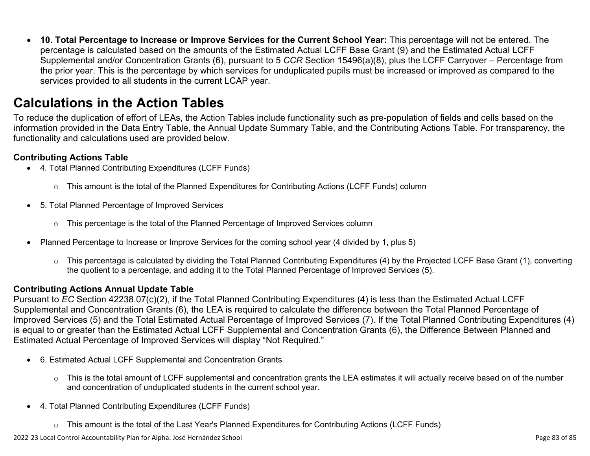• **10. Total Percentage to Increase or Improve Services for the Current School Year:** This percentage will not be entered. The percentage is calculated based on the amounts of the Estimated Actual LCFF Base Grant (9) and the Estimated Actual LCFF Supplemental and/or Concentration Grants (6), pursuant to 5 *CCR* Section 15496(a)(8), plus the LCFF Carryover – Percentage from the prior year. This is the percentage by which services for unduplicated pupils must be increased or improved as compared to the services provided to all students in the current LCAP year.

### **Calculations in the Action Tables**

To reduce the duplication of effort of LEAs, the Action Tables include functionality such as pre-population of fields and cells based on the information provided in the Data Entry Table, the Annual Update Summary Table, and the Contributing Actions Table. For transparency, the functionality and calculations used are provided below.

### **Contributing Actions Table**

- 4. Total Planned Contributing Expenditures (LCFF Funds)
	- $\circ$  This amount is the total of the Planned Expenditures for Contributing Actions (LCFF Funds) column
- 5. Total Planned Percentage of Improved Services
	- $\circ$  This percentage is the total of the Planned Percentage of Improved Services column
- Planned Percentage to Increase or Improve Services for the coming school year (4 divided by 1, plus 5)
	- o This percentage is calculated by dividing the Total Planned Contributing Expenditures (4) by the Projected LCFF Base Grant (1), converting the quotient to a percentage, and adding it to the Total Planned Percentage of Improved Services (5).

### **Contributing Actions Annual Update Table**

Pursuant to *EC* Section 42238.07(c)(2), if the Total Planned Contributing Expenditures (4) is less than the Estimated Actual LCFF Supplemental and Concentration Grants (6), the LEA is required to calculate the difference between the Total Planned Percentage of Improved Services (5) and the Total Estimated Actual Percentage of Improved Services (7). If the Total Planned Contributing Expenditures (4) is equal to or greater than the Estimated Actual LCFF Supplemental and Concentration Grants (6), the Difference Between Planned and Estimated Actual Percentage of Improved Services will display "Not Required."

- 6. Estimated Actual LCFF Supplemental and Concentration Grants
	- o This is the total amount of LCFF supplemental and concentration grants the LEA estimates it will actually receive based on of the number and concentration of unduplicated students in the current school year.
- 4. Total Planned Contributing Expenditures (LCFF Funds)
	- $\circ$  This amount is the total of the Last Year's Planned Expenditures for Contributing Actions (LCFF Funds)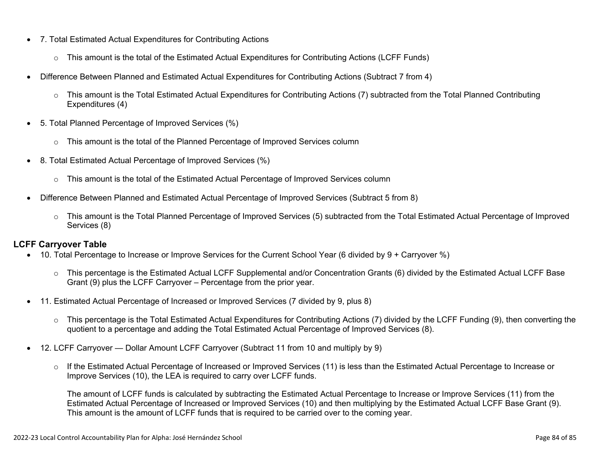- 7. Total Estimated Actual Expenditures for Contributing Actions
	- o This amount is the total of the Estimated Actual Expenditures for Contributing Actions (LCFF Funds)
- Difference Between Planned and Estimated Actual Expenditures for Contributing Actions (Subtract 7 from 4)
	- $\circ$  This amount is the Total Estimated Actual Expenditures for Contributing Actions (7) subtracted from the Total Planned Contributing Expenditures (4)
- 5. Total Planned Percentage of Improved Services (%)
	- $\circ$  This amount is the total of the Planned Percentage of Improved Services column
- 8. Total Estimated Actual Percentage of Improved Services (%)
	- o This amount is the total of the Estimated Actual Percentage of Improved Services column
- Difference Between Planned and Estimated Actual Percentage of Improved Services (Subtract 5 from 8)
	- o This amount is the Total Planned Percentage of Improved Services (5) subtracted from the Total Estimated Actual Percentage of Improved Services (8)

### **LCFF Carryover Table**

- 10. Total Percentage to Increase or Improve Services for the Current School Year (6 divided by 9 + Carryover %)
	- $\circ$  This percentage is the Estimated Actual LCFF Supplemental and/or Concentration Grants (6) divided by the Estimated Actual LCFF Base Grant (9) plus the LCFF Carryover – Percentage from the prior year.
- 11. Estimated Actual Percentage of Increased or Improved Services (7 divided by 9, plus 8)
	- o This percentage is the Total Estimated Actual Expenditures for Contributing Actions (7) divided by the LCFF Funding (9), then converting the quotient to a percentage and adding the Total Estimated Actual Percentage of Improved Services (8).
- 12. LCFF Carryover Dollar Amount LCFF Carryover (Subtract 11 from 10 and multiply by 9)
	- $\circ$  If the Estimated Actual Percentage of Increased or Improved Services (11) is less than the Estimated Actual Percentage to Increase or Improve Services (10), the LEA is required to carry over LCFF funds.

The amount of LCFF funds is calculated by subtracting the Estimated Actual Percentage to Increase or Improve Services (11) from the Estimated Actual Percentage of Increased or Improved Services (10) and then multiplying by the Estimated Actual LCFF Base Grant (9). This amount is the amount of LCFF funds that is required to be carried over to the coming year.